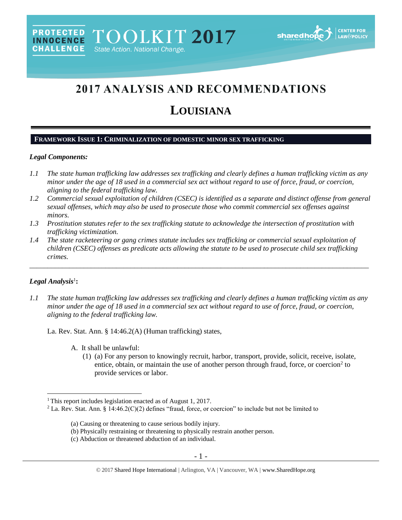

# 2017 ANALYSIS AND RECOMMENDATIONS

## **LOUISIANA**

## **FRAMEWORK ISSUE 1: CRIMINALIZATION OF DOMESTIC MINOR SEX TRAFFICKING**

#### *Legal Components:*

- *1.1 The state human trafficking law addresses sex trafficking and clearly defines a human trafficking victim as any minor under the age of 18 used in a commercial sex act without regard to use of force, fraud, or coercion, aligning to the federal trafficking law.*
- *1.2 Commercial sexual exploitation of children (CSEC) is identified as a separate and distinct offense from general sexual offenses, which may also be used to prosecute those who commit commercial sex offenses against minors.*
- *1.3 Prostitution statutes refer to the sex trafficking statute to acknowledge the intersection of prostitution with trafficking victimization.*
- *1.4 The state racketeering or gang crimes statute includes sex trafficking or commercial sexual exploitation of children (CSEC) offenses as predicate acts allowing the statute to be used to prosecute child sex trafficking crimes.*

## $Legal$  *Analysis*<sup>1</sup>:

 $\overline{a}$ 

*1.1 The state human trafficking law addresses sex trafficking and clearly defines a human trafficking victim as any minor under the age of 18 used in a commercial sex act without regard to use of force, fraud, or coercion, aligning to the federal trafficking law.*

\_\_\_\_\_\_\_\_\_\_\_\_\_\_\_\_\_\_\_\_\_\_\_\_\_\_\_\_\_\_\_\_\_\_\_\_\_\_\_\_\_\_\_\_\_\_\_\_\_\_\_\_\_\_\_\_\_\_\_\_\_\_\_\_\_\_\_\_\_\_\_\_\_\_\_\_\_\_\_\_\_\_\_\_\_\_\_\_\_\_\_\_\_\_

La. Rev. Stat. Ann. § 14:46.2(A) (Human trafficking) states,

- A. It shall be unlawful:
	- (1) (a) For any person to knowingly recruit, harbor, transport, provide, solicit, receive, isolate, entice, obtain, or maintain the use of another person through fraud, force, or coercion<sup>2</sup> to provide services or labor.

<sup>&</sup>lt;sup>1</sup> This report includes legislation enacted as of August 1, 2017.

<sup>&</sup>lt;sup>2</sup> La. Rev. Stat. Ann. § 14:46.2(C)(2) defines "fraud, force, or coercion" to include but not be limited to

<sup>(</sup>a) Causing or threatening to cause serious bodily injury.

<sup>(</sup>b) Physically restraining or threatening to physically restrain another person.

<sup>(</sup>c) Abduction or threatened abduction of an individual.

<span id="page-0-0"></span><sup>© 2017</sup> Shared Hope International | Arlington, VA | Vancouver, WA | www.SharedHope.org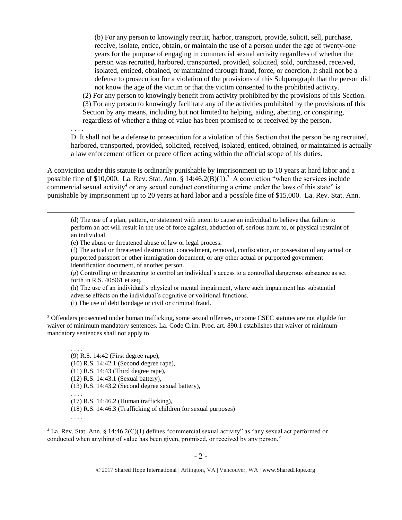(b) For any person to knowingly recruit, harbor, transport, provide, solicit, sell, purchase, receive, isolate, entice, obtain, or maintain the use of a person under the age of twenty-one years for the purpose of engaging in commercial sexual activity regardless of whether the person was recruited, harbored, transported, provided, solicited, sold, purchased, received, isolated, enticed, obtained, or maintained through fraud, force, or coercion. It shall not be a defense to prosecution for a violation of the provisions of this Subparagraph that the person did not know the age of the victim or that the victim consented to the prohibited activity.

(2) For any person to knowingly benefit from activity prohibited by the provisions of this Section. (3) For any person to knowingly facilitate any of the activities prohibited by the provisions of this Section by any means, including but not limited to helping, aiding, abetting, or conspiring, regardless of whether a thing of value has been promised to or received by the person.

. . . . D. It shall not be a defense to prosecution for a violation of this Section that the person being recruited, harbored, transported, provided, solicited, received, isolated, enticed, obtained, or maintained is actually a law enforcement officer or peace officer acting within the official scope of his duties.

A conviction under this statute is ordinarily punishable by imprisonment up to 10 years at hard labor and a possible fine of \$10,000. La. Rev. Stat. Ann. § 14:46.2(B)(1).<sup>3</sup> A conviction "when the services include commercial sexual activity<sup>4</sup> or any sexual conduct constituting a crime under the laws of this state" is punishable by imprisonment up to 20 years at hard labor and a possible fine of \$15,000. La. Rev. Stat. Ann.

<span id="page-1-0"></span>(d) The use of a plan, pattern, or statement with intent to cause an individual to believe that failure to perform an act will result in the use of force against, abduction of, serious harm to, or physical restraint of an individual.

(e) The abuse or threatened abuse of law or legal process.

(f) The actual or threatened destruction, concealment, removal, confiscation, or possession of any actual or purported passport or other immigration document, or any other actual or purported government identification document, of another person.

(g) Controlling or threatening to control an individual's access to a controlled dangerous substance as set forth in R.S. 40:961 et seq.

(h) The use of an individual's physical or mental impairment, where such impairment has substantial adverse effects on the individual's cognitive or volitional functions.

(i) The use of debt bondage or civil or criminal fraud.

<sup>3</sup> Offenders prosecuted under human trafficking, some sexual offenses, or some CSEC statutes are not eligible for waiver of minimum mandatory sentences. La. Code Crim. Proc. art. 890.1 establishes that waiver of minimum mandatory sentences shall not apply to

. . . . (9) R.S. 14:42 (First degree rape),

(10) R.S. 14:42.1 (Second degree rape),

(11) R.S. 14:43 (Third degree rape),

(12) R.S. 14:43.1 (Sexual battery),

(13) R.S. 14:43.2 (Second degree sexual battery),

. . . . (17) R.S. 14:46.2 (Human trafficking),

(18) R.S. 14:46.3 (Trafficking of children for sexual purposes)

. . . .

 $\overline{a}$ 

<sup>4</sup> La. Rev. Stat. Ann. § 14:46.2(C)(1) defines "commercial sexual activity" as "any sexual act performed or conducted when anything of value has been given, promised, or received by any person."

<sup>© 2017</sup> Shared Hope International | Arlington, VA | Vancouver, WA | www.SharedHope.org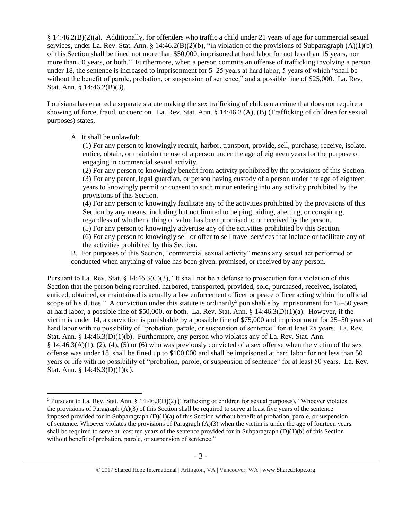§ 14:46.2(B)(2)(a). Additionally, for offenders who traffic a child under 21 years of age for commercial sexual services, under La. Rev. Stat. Ann. § 14:46.2(B)(2)(b), "in violation of the provisions of Subparagraph (A)(1)(b) of this Section shall be fined not more than \$50,000, imprisoned at hard labor for not less than 15 years, nor more than 50 years, or both." Furthermore, when a person commits an offense of trafficking involving a person under 18, the sentence is increased to imprisonment for 5–25 years at hard labor, 5 years of which "shall be without the benefit of parole, probation, or suspension of sentence," and a possible fine of \$25,000. La. Rev. Stat. Ann. § 14:46.2(B)(3).

Louisiana has enacted a separate statute making the sex trafficking of children a crime that does not require a showing of force, fraud, or coercion. La. Rev. Stat. Ann. § 14:46.3 (A), (B) (Trafficking of children for sexual purposes) states,

A. It shall be unlawful:

 $\overline{a}$ 

(1) For any person to knowingly recruit, harbor, transport, provide, sell, purchase, receive, isolate, entice, obtain, or maintain the use of a person under the age of eighteen years for the purpose of engaging in commercial sexual activity.

(2) For any person to knowingly benefit from activity prohibited by the provisions of this Section. (3) For any parent, legal guardian, or person having custody of a person under the age of eighteen years to knowingly permit or consent to such minor entering into any activity prohibited by the provisions of this Section.

(4) For any person to knowingly facilitate any of the activities prohibited by the provisions of this Section by any means, including but not limited to helping, aiding, abetting, or conspiring, regardless of whether a thing of value has been promised to or received by the person.

(5) For any person to knowingly advertise any of the activities prohibited by this Section.

(6) For any person to knowingly sell or offer to sell travel services that include or facilitate any of the activities prohibited by this Section.

B. For purposes of this Section, "commercial sexual activity" means any sexual act performed or conducted when anything of value has been given, promised, or received by any person.

Pursuant to La. Rev. Stat. § 14:46.3(C)(3), "It shall not be a defense to prosecution for a violation of this Section that the person being recruited, harbored, transported, provided, sold, purchased, received, isolated, enticed, obtained, or maintained is actually a law enforcement officer or peace officer acting within the official scope of his duties." A conviction under this statute is ordinarily<sup>5</sup> punishable by imprisonment for  $15-50$  years at hard labor, a possible fine of \$50,000, or both. La. Rev. Stat. Ann. § 14:46.3(D)(1)(a). However, if the victim is under 14, a conviction is punishable by a possible fine of \$75,000 and imprisonment for 25–50 years at hard labor with no possibility of "probation, parole, or suspension of sentence" for at least 25 years. La. Rev. Stat. Ann. § 14:46.3(D)(1)(b). Furthermore, any person who violates any of La. Rev. Stat. Ann.  $§$  14:46.3(A)(1), (2), (4), (5) or (6) who was previously convicted of a sex offense when the victim of the sex offense was under 18, shall be fined up to \$100,000 and shall be imprisoned at hard labor for not less than 50 years or life with no possibility of "probation, parole, or suspension of sentence" for at least 50 years. La. Rev. Stat. Ann. § 14:46.3(D)(1)(c).

<sup>5</sup> Pursuant to La. Rev. Stat. Ann. § 14:46.3(D)(2) (Trafficking of children for sexual purposes), "Whoever violates the provisions of Paragraph (A)(3) of this Section shall be required to serve at least five years of the sentence imposed provided for in Subparagraph (D)(1)(a) of this Section without benefit of probation, parole, or suspension of sentence. Whoever violates the provisions of Paragraph  $(A)(3)$  when the victim is under the age of fourteen years shall be required to serve at least ten years of the sentence provided for in Subparagraph  $(D)(1)(b)$  of this Section without benefit of probation, parole, or suspension of sentence."

<sup>© 2017</sup> Shared Hope International | Arlington, VA | Vancouver, WA | www.SharedHope.org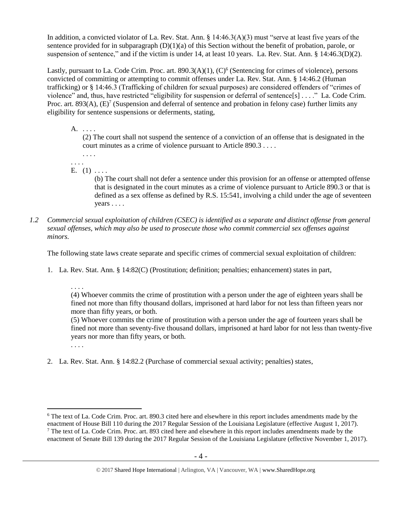In addition, a convicted violator of La. Rev. Stat. Ann. § 14:46.3(A)(3) must "serve at least five years of the sentence provided for in subparagraph  $(D)(1)(a)$  of this Section without the benefit of probation, parole, or suspension of sentence," and if the victim is under 14, at least 10 years. La. Rev. Stat. Ann. § 14:46.3(D)(2).

Lastly, pursuant to La. Code Crim. Proc. art. 890.3(A)(1), (C)<sup>6</sup> (Sentencing for crimes of violence), persons convicted of committing or attempting to commit offenses under La. Rev. Stat. Ann. § 14:46.2 (Human trafficking) or § 14:46.3 (Trafficking of children for sexual purposes) are considered offenders of "crimes of violence" and, thus, have restricted "eligibility for suspension or deferral of sentence[s] . . . ." La. Code Crim. Proc. art. 893(A),  $(E)^7$  (Suspension and deferral of sentence and probation in felony case) further limits any eligibility for sentence suspensions or deferments, stating,

A. . . . .

<span id="page-3-1"></span><span id="page-3-0"></span>(2) The court shall not suspend the sentence of a conviction of an offense that is designated in the court minutes as a crime of violence pursuant to Article 890.3 . . . .

- . . . . . . . .
- E.  $(1)$  ....

(b) The court shall not defer a sentence under this provision for an offense or attempted offense that is designated in the court minutes as a crime of violence pursuant to Article 890.3 or that is defined as a sex offense as defined by R.S. 15:541, involving a child under the age of seventeen years . . . .

*1.2 Commercial sexual exploitation of children (CSEC) is identified as a separate and distinct offense from general sexual offenses, which may also be used to prosecute those who commit commercial sex offenses against minors.*

The following state laws create separate and specific crimes of commercial sexual exploitation of children:

- 1. La. Rev. Stat. Ann. § 14:82(C) (Prostitution; definition; penalties; enhancement) states in part,
	- . . . .

(4) Whoever commits the crime of prostitution with a person under the age of eighteen years shall be fined not more than fifty thousand dollars, imprisoned at hard labor for not less than fifteen years nor more than fifty years, or both.

(5) Whoever commits the crime of prostitution with a person under the age of fourteen years shall be fined not more than seventy-five thousand dollars, imprisoned at hard labor for not less than twenty-five years nor more than fifty years, or both.

. . . .

 $\overline{a}$ 

2. La. Rev. Stat. Ann. § 14:82.2 (Purchase of commercial sexual activity; penalties) states,

<sup>6</sup> The text of La. Code Crim. Proc. art. 890.3 cited here and elsewhere in this report includes amendments made by the enactment of House Bill 110 during the 2017 Regular Session of the Louisiana Legislature (effective August 1, 2017).  $7$  The text of La. Code Crim. Proc. art. 893 cited here and elsewhere in this report includes amendments made by the enactment of Senate Bill 139 during the 2017 Regular Session of the Louisiana Legislature (effective November 1, 2017).

<sup>© 2017</sup> Shared Hope International | Arlington, VA | Vancouver, WA | www.SharedHope.org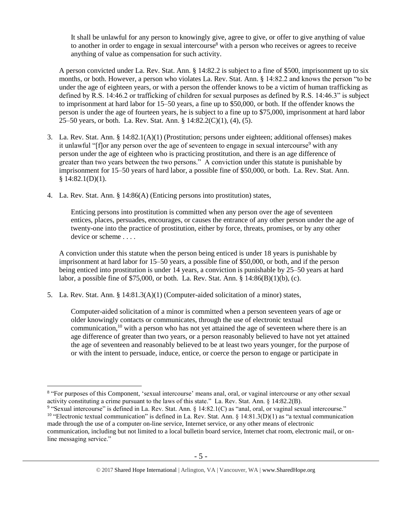It shall be unlawful for any person to knowingly give, agree to give, or offer to give anything of value to another in order to engage in sexual intercourse<sup>8</sup> with a person who receives or agrees to receive anything of value as compensation for such activity.

A person convicted under La. Rev. Stat. Ann. § 14:82.2 is subject to a fine of \$500, imprisonment up to six months, or both. However, a person who violates La. Rev. Stat. Ann. § 14:82.2 and knows the person "to be under the age of eighteen years, or with a person the offender knows to be a victim of human trafficking as defined by R.S. 14:46.2 or trafficking of children for sexual purposes as defined by R.S. 14:46.3" is subject to imprisonment at hard labor for 15–50 years, a fine up to \$50,000, or both. If the offender knows the person is under the age of fourteen years, he is subject to a fine up to \$75,000, imprisonment at hard labor 25–50 years, or both. La. Rev. Stat. Ann. § 14:82.2(C)(1), (4), (5).

- 3. La. Rev. Stat. Ann. § 14:82.1(A)(1) (Prostitution; persons under eighteen; additional offenses) makes it unlawful "[flor any person over the age of seventeen to engage in sexual intercourse<sup>9</sup> with any person under the age of eighteen who is practicing prostitution, and there is an age difference of greater than two years between the two persons." A conviction under this statute is punishable by imprisonment for 15–50 years of hard labor, a possible fine of \$50,000, or both. La. Rev. Stat. Ann.  $§ 14:82.1(D)(1).$
- 4. La. Rev. Stat. Ann. § 14:86(A) (Enticing persons into prostitution) states,

Enticing persons into prostitution is committed when any person over the age of seventeen entices, places, persuades, encourages, or causes the entrance of any other person under the age of twenty-one into the practice of prostitution, either by force, threats, promises, or by any other device or scheme . . . .

A conviction under this statute when the person being enticed is under 18 years is punishable by imprisonment at hard labor for 15–50 years, a possible fine of \$50,000, or both, and if the person being enticed into prostitution is under 14 years, a conviction is punishable by 25–50 years at hard labor, a possible fine of \$75,000, or both. La. Rev. Stat. Ann. § 14:86(B)(1)(b), (c).

5. La. Rev. Stat. Ann. § 14:81.3(A)(1) (Computer-aided solicitation of a minor) states,

 $\overline{a}$ 

<span id="page-4-0"></span>Computer-aided solicitation of a minor is committed when a person seventeen years of age or older knowingly contacts or communicates, through the use of electronic textual communication, $10$  with a person who has not yet attained the age of seventeen where there is an age difference of greater than two years, or a person reasonably believed to have not yet attained the age of seventeen and reasonably believed to be at least two years younger, for the purpose of or with the intent to persuade, induce, entice, or coerce the person to engage or participate in

<sup>8</sup> "For purposes of this Component, 'sexual intercourse' means anal, oral, or vaginal intercourse or any other sexual activity constituting a crime pursuant to the laws of this state." La. Rev. Stat. Ann. § 14:82.2(B).

<sup>9</sup> "Sexual intercourse" is defined in La. Rev. Stat. Ann. § 14:82.1(C) as "anal, oral, or vaginal sexual intercourse." <sup>10</sup> "Electronic textual communication" is defined in La. Rev. Stat. Ann.  $\S$  14:81.3(D)(1) as "a textual communication made through the use of a computer on-line service, Internet service, or any other means of electronic communication, including but not limited to a local bulletin board service, Internet chat room, electronic mail, or online messaging service."

<sup>© 2017</sup> Shared Hope International | Arlington, VA | Vancouver, WA | www.SharedHope.org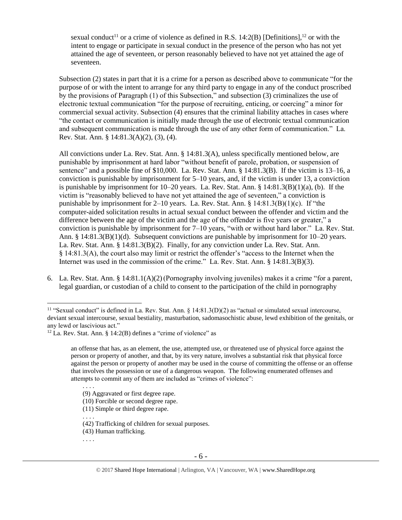sexual conduct<sup>11</sup> or a crime of violence as defined in [R.S. 14:2\(B\)](https://www.lexis.com/research/buttonTFLink?_m=cab6dd21dd29306a3d10703ad9288f43&_xfercite=%3ccite%20cc%3d%22USA%22%3e%3c%21%5bCDATA%5bLa.%20R.S.%2014%3a81.3%5d%5d%3e%3c%2fcite%3e&_butType=4&_butStat=0&_butNum=2&_butInline=1&_butinfo=LACODE%2014%3a2&_fmtstr=FULL&docnum=1&_startdoc=1&wchp=dGLbVzV-zSkAA&_md5=d31e1e2fad189a60cd471ae8696c87cd) [Definitions],<sup>12</sup> or with the intent to engage or participate in sexual conduct in the presence of the person who has not yet attained the age of seventeen, or person reasonably believed to have not yet attained the age of seventeen.

Subsection (2) states in part that it is a crime for a person as described above to communicate "for the purpose of or with the intent to arrange for any third party to engage in any of the conduct proscribed by the provisions of Paragraph (1) of this Subsection," and subsection (3) criminalizes the use of electronic textual communication "for the purpose of recruiting, enticing, or coercing" a minor for commercial sexual activity. Subsection (4) ensures that the criminal liability attaches in cases where "the contact or communication is initially made through the use of electronic textual communication and subsequent communication is made through the use of any other form of communication." La. Rev. Stat. Ann. § 14:81.3(A)(2), (3), (4).

All convictions under La. Rev. Stat. Ann. § 14:81.3(A), unless specifically mentioned below, are punishable by imprisonment at hard labor "without benefit of parole, probation, or suspension of sentence" and a possible fine of \$10,000. La. Rev. Stat. Ann. § 14:81.3(B). If the victim is 13–16, a conviction is punishable by imprisonment for 5–10 years, and, if the victim is under 13, a conviction is punishable by imprisonment for  $10-20$  years. La. Rev. Stat. Ann. §  $14:81.3(B)(1)(a)$ , (b). If the victim is "reasonably believed to have not yet attained the age of seventeen," a conviction is punishable by imprisonment for 2–10 years. La. Rev. Stat. Ann.  $\S 14:81.3(B)(1)(c)$ . If "the computer-aided solicitation results in actual sexual conduct between the offender and victim and the difference between the age of the victim and the age of the offender is five years or greater," a conviction is punishable by imprisonment for 7–10 years, "with or without hard labor." La. Rev. Stat. Ann. § 14:81.3(B)(1)(d). Subsequent convictions are punishable by imprisonment for 10–20 years. La. Rev. Stat. Ann. § 14:81.3(B)(2). Finally, for any conviction under La. Rev. Stat. Ann. § 14:81.3(A), the court also may limit or restrict the offender's "access to the Internet when the Internet was used in the commission of the crime." La. Rev. Stat. Ann. § 14:81.3(B)(3).

6. La. Rev. Stat. Ann. § 14:81.1(A)(2)(Pornography involving juveniles) makes it a crime "for a parent, legal guardian, or custodian of a child to consent to the participation of the child in pornography

. . . .

. . . .

<sup>&</sup>lt;sup>11</sup> "Sexual conduct" is defined in La. Rev. Stat. Ann.  $\S$  14:81.3(D)(2) as "actual or simulated sexual intercourse, deviant sexual intercourse, sexual bestiality, masturbation, sadomasochistic abuse, lewd exhibition of the genitals, or any lewd or lascivious act."

<sup>&</sup>lt;sup>12</sup> La. Rev. Stat. Ann. § 14:2(B) defines a "crime of violence" as

an offense that has, as an element, the use, attempted use, or threatened use of physical force against the person or property of another, and that, by its very nature, involves a substantial risk that physical force against the person or property of another may be used in the course of committing the offense or an offense that involves the possession or use of a dangerous weapon. The following enumerated offenses and attempts to commit any of them are included as "crimes of violence":

<sup>(9)</sup> Aggravated or first degree rape.

<sup>(10)</sup> Forcible or second degree rape.

<sup>(11)</sup> Simple or third degree rape.

<sup>(42)</sup> Trafficking of children for sexual purposes.

<sup>(43)</sup> Human trafficking.

<sup>. . . .</sup>

<sup>© 2017</sup> Shared Hope International | Arlington, VA | Vancouver, WA | www.SharedHope.org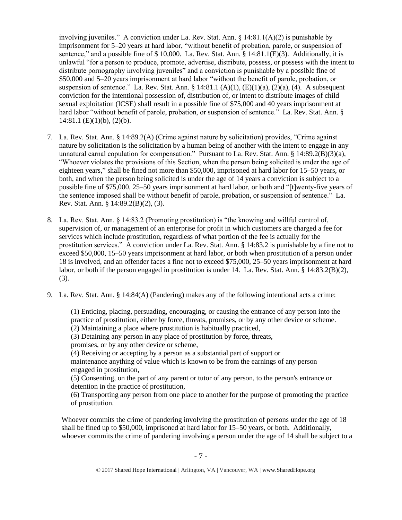involving juveniles." A conviction under La. Rev. Stat. Ann.  $\S$  14:81.1(A)(2) is punishable by imprisonment for 5–20 years at hard labor, "without benefit of probation, parole, or suspension of sentence," and a possible fine of  $$ 10,000$ . La. Rev. Stat. Ann.  $§ 14:81.1(E)(3)$ . Additionally, it is unlawful "for a person to produce, promote, advertise, distribute, possess, or possess with the intent to distribute pornography involving juveniles" and a conviction is punishable by a possible fine of \$50,000 and 5–20 years imprisonment at hard labor "without the benefit of parole, probation, or suspension of sentence." La. Rev. Stat. Ann. § 14:81.1 (A)(1),  $(E)(1)(a)$ ,  $(2)(a)$ ,  $(4)$ . A subsequent conviction for the intentional possession of, distribution of, or intent to distribute images of child sexual exploitation (ICSE) shall result in a possible fine of \$75,000 and 40 years imprisonment at hard labor "without benefit of parole, probation, or suspension of sentence." La. Rev. Stat. Ann. §  $14:81.1$  (E)(1)(b), (2)(b).

- 7. La. Rev. Stat. Ann. § 14:89.2(A) (Crime against nature by solicitation) provides, "Crime against nature by solicitation is the solicitation by a human being of another with the intent to engage in any unnatural carnal copulation for compensation." Pursuant to La. Rev. Stat. Ann.  $\S 14:89.2(B)(3)(a)$ , "Whoever violates the provisions of this Section, when the person being solicited is under the age of eighteen years," shall be fined not more than \$50,000, imprisoned at hard labor for 15–50 years, or both, and when the person being solicited is under the age of 14 years a conviction is subject to a possible fine of \$75,000, 25–50 years imprisonment at hard labor, or both and "[t]wenty-five years of the sentence imposed shall be without benefit of parole, probation, or suspension of sentence." La. Rev. Stat. Ann. § 14:89.2(B)(2), (3).
- 8. La. Rev. Stat. Ann. § 14:83.2 (Promoting prostitution) is "the knowing and willful control of, supervision of, or management of an enterprise for profit in which customers are charged a fee for services which include prostitution, regardless of what portion of the fee is actually for the prostitution services." A conviction under La. Rev. Stat. Ann. § 14:83.2 is punishable by a fine not to exceed \$50,000, 15–50 years imprisonment at hard labor, or both when prostitution of a person under 18 is involved, and an offender faces a fine not to exceed \$75,000, 25–50 years imprisonment at hard labor, or both if the person engaged in prostitution is under 14. La. Rev. Stat. Ann. § 14:83.2(B)(2), (3).
- 9. La. Rev. Stat. Ann. § 14:84(A) (Pandering) makes any of the following intentional acts a crime:

(1) Enticing, placing, persuading, encouraging, or causing the entrance of any person into the practice of prostitution, either by force, threats, promises, or by any other device or scheme. (2) Maintaining a place where prostitution is habitually practiced,

(3) Detaining any person in any place of prostitution by force, threats,

promises, or by any other device or scheme,

(4) Receiving or accepting by a person as a substantial part of support or

maintenance anything of value which is known to be from the earnings of any person engaged in prostitution,

(5) Consenting, on the part of any parent or tutor of any person, to the person's entrance or detention in the practice of prostitution,

(6) Transporting any person from one place to another for the purpose of promoting the practice of prostitution.

Whoever commits the crime of pandering involving the prostitution of persons under the age of 18 shall be fined up to \$50,000, imprisoned at hard labor for 15–50 years, or both. Additionally, whoever commits the crime of pandering involving a person under the age of 14 shall be subject to a

<sup>© 2017</sup> Shared Hope International | Arlington, VA | Vancouver, WA | www.SharedHope.org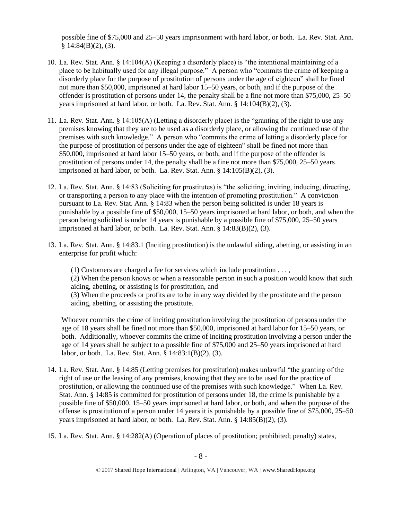possible fine of \$75,000 and 25–50 years imprisonment with hard labor, or both. La. Rev. Stat. Ann.  $§ 14:84(B)(2), (3).$ 

- 10. La. Rev. Stat. Ann. § 14:104(A) (Keeping a disorderly place) is "the intentional maintaining of a place to be habitually used for any illegal purpose." A person who "commits the crime of keeping a disorderly place for the purpose of prostitution of persons under the age of eighteen" shall be fined not more than \$50,000, imprisoned at hard labor 15–50 years, or both, and if the purpose of the offender is prostitution of persons under 14, the penalty shall be a fine not more than \$75,000, 25–50 years imprisoned at hard labor, or both. La. Rev. Stat. Ann. § 14:104(B)(2), (3).
- 11. La. Rev. Stat. Ann. § 14:105(A) (Letting a disorderly place) is the "granting of the right to use any premises knowing that they are to be used as a disorderly place, or allowing the continued use of the premises with such knowledge." A person who "commits the crime of letting a disorderly place for the purpose of prostitution of persons under the age of eighteen" shall be fined not more than \$50,000, imprisoned at hard labor 15–50 years, or both, and if the purpose of the offender is prostitution of persons under 14, the penalty shall be a fine not more than \$75,000, 25–50 years imprisoned at hard labor, or both. La. Rev. Stat. Ann.  $\S$  14:105(B)(2), (3).
- 12. La. Rev. Stat. Ann. § 14:83 (Soliciting for prostitutes) is "the soliciting, inviting, inducing, directing, or transporting a person to any place with the intention of promoting prostitution." A conviction pursuant to La. Rev. Stat. Ann. § 14:83 when the person being solicited is under 18 years is punishable by a possible fine of \$50,000, 15–50 years imprisoned at hard labor, or both, and when the person being solicited is under 14 years is punishable by a possible fine of \$75,000, 25–50 years imprisoned at hard labor, or both. La. Rev. Stat. Ann.  $\S$   $14:83(B)(2)$ , (3).
- 13. La. Rev. Stat. Ann. § 14:83.1 (Inciting prostitution) is the unlawful aiding, abetting, or assisting in an enterprise for profit which:

(1) Customers are charged a fee for services which include prostitution . . . ,

(2) When the person knows or when a reasonable person in such a position would know that such aiding, abetting, or assisting is for prostitution, and

(3) When the proceeds or profits are to be in any way divided by the prostitute and the person aiding, abetting, or assisting the prostitute.

Whoever commits the crime of inciting prostitution involving the prostitution of persons under the age of 18 years shall be fined not more than \$50,000, imprisoned at hard labor for 15–50 years, or both. Additionally, whoever commits the crime of inciting prostitution involving a person under the age of 14 years shall be subject to a possible fine of \$75,000 and 25–50 years imprisoned at hard labor, or both. La. Rev. Stat. Ann. § 14:83:1(B)(2), (3).

- 14. La. Rev. Stat. Ann. § 14:85 (Letting premises for prostitution) makes unlawful "the granting of the right of use or the leasing of any premises, knowing that they are to be used for the practice of prostitution, or allowing the continued use of the premises with such knowledge." When La. Rev. Stat. Ann. § 14:85 is committed for prostitution of persons under 18, the crime is punishable by a possible fine of \$50,000, 15–50 years imprisoned at hard labor, or both, and when the purpose of the offense is prostitution of a person under 14 years it is punishable by a possible fine of \$75,000, 25–50 years imprisoned at hard labor, or both. La. Rev. Stat. Ann. § 14:85(B)(2), (3).
- 15. La. Rev. Stat. Ann. § 14:282(A) (Operation of places of prostitution; prohibited; penalty) states,

<sup>© 2017</sup> Shared Hope International | Arlington, VA | Vancouver, WA | www.SharedHope.org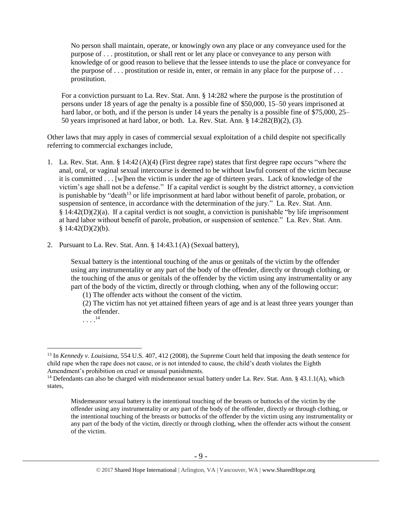No person shall maintain, operate, or knowingly own any place or any conveyance used for the purpose of . . . prostitution, or shall rent or let any place or conveyance to any person with knowledge of or good reason to believe that the lessee intends to use the place or conveyance for the purpose of  $\ldots$  prostitution or reside in, enter, or remain in any place for the purpose of  $\ldots$ prostitution.

For a conviction pursuant to La. Rev. Stat. Ann. § 14:282 where the purpose is the prostitution of persons under 18 years of age the penalty is a possible fine of \$50,000, 15–50 years imprisoned at hard labor, or both, and if the person is under 14 years the penalty is a possible fine of \$75,000, 25– 50 years imprisoned at hard labor, or both. La. Rev. Stat. Ann. § 14:282(B)(2), (3).

Other laws that may apply in cases of commercial sexual exploitation of a child despite not specifically referring to commercial exchanges include,

- 1. La. Rev. Stat. Ann. § 14:42 (A)(4) (First degree rape) states that first degree rape occurs "where the anal, oral, or vaginal sexual intercourse is deemed to be without lawful consent of the victim because it is committed . . . [w]hen the victim is under the age of thirteen years. Lack of knowledge of the victim's age shall not be a defense." If a capital verdict is sought by the district attorney, a conviction is punishable by "death<sup>13</sup> or life imprisonment at hard labor without benefit of parole, probation, or suspension of sentence, in accordance with the determination of the jury." La. Rev. Stat. Ann. § 14:42(D)(2)(a). If a capital verdict is not sought, a conviction is punishable "by life imprisonment at hard labor without benefit of parole, probation, or suspension of sentence." La. Rev. Stat. Ann.  $$14:42(D)(2)(b).$
- 2. Pursuant to La. Rev. Stat. Ann. § 14:43.1 (A) (Sexual battery),

Sexual battery is the intentional touching of the anus or genitals of the victim by the offender using any instrumentality or any part of the body of the offender, directly or through clothing, or the touching of the anus or genitals of the offender by the victim using any instrumentality or any part of the body of the victim, directly or through clothing, when any of the following occur:

(1) The offender acts without the consent of the victim.

(2) The victim has not yet attained fifteen years of age and is at least three years younger than the offender.

. . . . 14

 $\overline{a}$ <sup>13</sup> In *Kennedy v. Louisiana*, 554 U.S. 407, 412 (2008), the Supreme Court held that imposing the death sentence for child rape when the rape does not cause, or is not intended to cause, the child's death violates the Eighth Amendment's prohibition on cruel or unusual punishments.

<sup>&</sup>lt;sup>14</sup> Defendants can also be charged with misdemeanor sexual battery under La. Rev. Stat. Ann. § 43.1.1(A), which states,

Misdemeanor sexual battery is the intentional touching of the breasts or buttocks of the victim by the offender using any instrumentality or any part of the body of the offender, directly or through clothing, or the intentional touching of the breasts or buttocks of the offender by the victim using any instrumentality or any part of the body of the victim, directly or through clothing, when the offender acts without the consent of the victim.

<sup>© 2017</sup> Shared Hope International | Arlington, VA | Vancouver, WA | www.SharedHope.org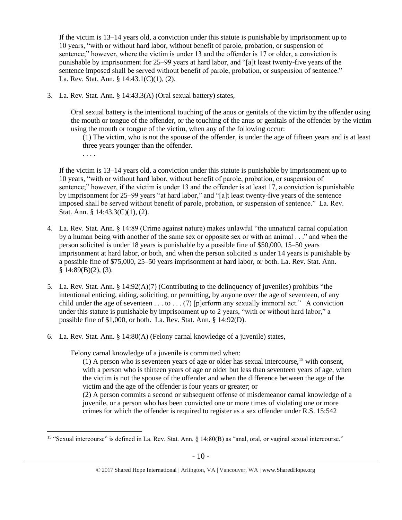If the victim is 13–14 years old, a conviction under this statute is punishable by imprisonment up to 10 years, "with or without hard labor, without benefit of parole, probation, or suspension of sentence;" however, where the victim is under 13 and the offender is 17 or older, a conviction is punishable by imprisonment for 25–99 years at hard labor, and "[a]t least twenty-five years of the sentence imposed shall be served without benefit of parole, probation, or suspension of sentence." La. Rev. Stat. Ann. § 14:43.1(C)(1), (2).

3. La. Rev. Stat. Ann. § 14:43.3(A) (Oral sexual battery) states,

Oral sexual battery is the intentional touching of the anus or genitals of the victim by the offender using the mouth or tongue of the offender, or the touching of the anus or genitals of the offender by the victim using the mouth or tongue of the victim, when any of the following occur:

(1) The victim, who is not the spouse of the offender, is under the age of fifteen years and is at least three years younger than the offender.

. . . .

 $\overline{a}$ 

If the victim is 13–14 years old, a conviction under this statute is punishable by imprisonment up to 10 years, "with or without hard labor, without benefit of parole, probation, or suspension of sentence;" however, if the victim is under 13 and the offender is at least 17, a conviction is punishable by imprisonment for 25–99 years "at hard labor," and "[a]t least twenty-five years of the sentence imposed shall be served without benefit of parole, probation, or suspension of sentence." La. Rev. Stat. Ann. § 14:43.3(C)(1), (2).

- 4. La. Rev. Stat. Ann. § 14:89 (Crime against nature) makes unlawful "the unnatural carnal copulation by a human being with another of the same sex or opposite sex or with an animal . . ." and when the person solicited is under 18 years is punishable by a possible fine of \$50,000, 15–50 years imprisonment at hard labor, or both, and when the person solicited is under 14 years is punishable by a possible fine of \$75,000, 25–50 years imprisonment at hard labor, or both. La. Rev. Stat. Ann.  $§$  14:89(B)(2), (3).
- 5. La. Rev. Stat. Ann. § 14:92(A)(7) (Contributing to the delinquency of juveniles) prohibits "the intentional enticing, aiding, soliciting, or permitting, by anyone over the age of seventeen, of any child under the age of seventeen . . . to . . . (7) [p]erform any sexually immoral act." A conviction under this statute is punishable by imprisonment up to 2 years, "with or without hard labor," a possible fine of \$1,000, or both. La. Rev. Stat. Ann. § 14:92(D).
- 6. La. Rev. Stat. Ann. § 14:80(A) (Felony carnal knowledge of a juvenile) states,

Felony carnal knowledge of a juvenile is committed when:

(1) A person who is seventeen years of age or older has sexual intercourse,<sup>15</sup> with consent, with a person who is thirteen years of age or older but less than seventeen years of age, when the victim is not the spouse of the offender and when the difference between the age of the victim and the age of the offender is four years or greater; or

(2) A person commits a second or subsequent offense of misdemeanor carnal knowledge of a juvenile, or a person who has been convicted one or more times of violating one or more crimes for which the offender is required to register as a sex offender under R.S. 15:542

<sup>15</sup> "Sexual intercourse" is defined in La. Rev. Stat. Ann. § 14:80(B) as "anal, oral, or vaginal sexual intercourse."

<sup>© 2017</sup> Shared Hope International | Arlington, VA | Vancouver, WA | www.SharedHope.org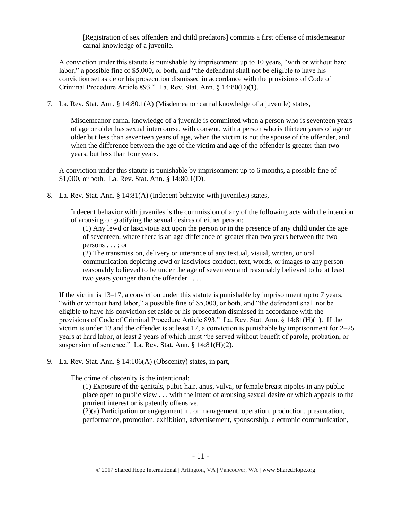[Registration of sex offenders and child predators] commits a first offense of misdemeanor carnal knowledge of a juvenile.

A conviction under this statute is punishable by imprisonment up to 10 years, "with or without hard labor," a possible fine of \$5,000, or both, and "the defendant shall not be eligible to have his conviction set aside or his prosecution dismissed in accordance with the provisions of Code of Criminal Procedure Article 893." La. Rev. Stat. Ann. § 14:80(D)(1).

7. La. Rev. Stat. Ann. § 14:80.1(A) (Misdemeanor carnal knowledge of a juvenile) states,

Misdemeanor carnal knowledge of a juvenile is committed when a person who is seventeen years of age or older has sexual intercourse, with consent, with a person who is thirteen years of age or older but less than seventeen years of age, when the victim is not the spouse of the offender, and when the difference between the age of the victim and age of the offender is greater than two years, but less than four years.

A conviction under this statute is punishable by imprisonment up to 6 months, a possible fine of \$1,000, or both. La. Rev. Stat. Ann. § 14:80.1(D).

8. La. Rev. Stat. Ann. § 14:81(A) (Indecent behavior with juveniles) states,

Indecent behavior with juveniles is the commission of any of the following acts with the intention of arousing or gratifying the sexual desires of either person:

(1) Any lewd or lascivious act upon the person or in the presence of any child under the age of seventeen, where there is an age difference of greater than two years between the two persons . . . ; or

(2) The transmission, delivery or utterance of any textual, visual, written, or oral communication depicting lewd or lascivious conduct, text, words, or images to any person reasonably believed to be under the age of seventeen and reasonably believed to be at least two years younger than the offender . . . .

If the victim is 13–17, a conviction under this statute is punishable by imprisonment up to 7 years, "with or without hard labor," a possible fine of \$5,000, or both, and "the defendant shall not be eligible to have his conviction set aside or his prosecution dismissed in accordance with the provisions of Code of Criminal Procedure Article 893." La. Rev. Stat. Ann. § 14:81(H)(1). If the victim is under 13 and the offender is at least 17, a conviction is punishable by imprisonment for 2–25 years at hard labor, at least 2 years of which must "be served without benefit of parole, probation, or suspension of sentence." La. Rev. Stat. Ann. § 14:81(H)(2).

9. La. Rev. Stat. Ann. § 14:106(A) (Obscenity) states, in part,

The crime of obscenity is the intentional:

(1) Exposure of the genitals, pubic hair, anus, vulva, or female breast nipples in any public place open to public view . . . with the intent of arousing sexual desire or which appeals to the prurient interest or is patently offensive.

(2)(a) Participation or engagement in, or management, operation, production, presentation, performance, promotion, exhibition, advertisement, sponsorship, electronic communication,

<sup>© 2017</sup> Shared Hope International | Arlington, VA | Vancouver, WA | www.SharedHope.org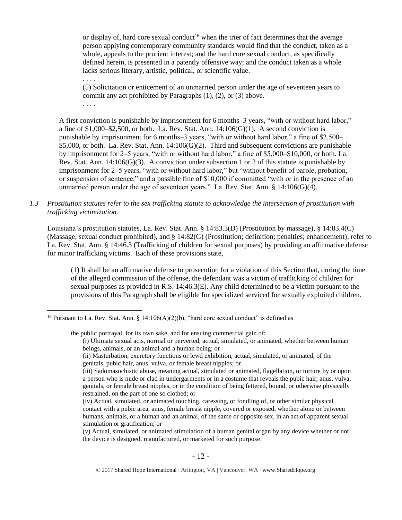or display of, hard core sexual conduct<sup>16</sup> when the trier of fact determines that the average person applying contemporary community standards would find that the conduct, taken as a whole, appeals to the prurient interest; and the hard core sexual conduct, as specifically defined herein, is presented in a patently offensive way; and the conduct taken as a whole lacks serious literary, artistic, political, or scientific value.

(5) Solicitation or enticement of an unmarried person under the age of seventeen years to commit any act prohibited by Paragraphs (1), (2), or (3) above. . . . .

. . . .

 $\overline{a}$ 

A first conviction is punishable by imprisonment for 6 months–3 years, "with or without hard labor," a fine of  $$1,000–$2,500$ , or both. La. Rev. Stat. Ann.  $14:106(G)(1)$ . A second conviction is punishable by imprisonment for 6 months–3 years, "with or without hard labor," a fine of \$2,500–  $$5,000$ , or both. La. Rev. Stat. Ann. 14:106(G)(2). Third and subsequent convictions are punishable by imprisonment for 2–5 years, "with or without hard labor," a fine of \$5,000–\$10,000, or both. La. Rev. Stat. Ann.  $14:106(G)(3)$ . A conviction under subsection 1 or 2 of this statute is punishable by imprisonment for 2–5 years, "with or without hard labor," but "without benefit of parole, probation, or suspension of sentence," and a possible fine of \$10,000 if committed "with or in the presence of an unmarried person under the age of seventeen years." La. Rev. Stat. Ann. § 14:106(G)(4).

## *1.3 Prostitution statutes refer to the sex trafficking statute to acknowledge the intersection of prostitution with trafficking victimization.*

Louisiana's prostitution statutes, La. Rev. Stat. Ann. § 14:83.3(D) (Prostitution by massage), § 14:83.4(C) (Massage; sexual conduct prohibited), and § 14:82(G) (Prostitution; definition; penalties; enhancement), refer to La. Rev. Stat. Ann. § 14:46.3 (Trafficking of children for sexual purposes) by providing an affirmative defense for minor trafficking victims. Each of these provisions state,

(1) It shall be an affirmative defense to prosecution for a violation of this Section that, during the time of the alleged commission of the offense, the defendant was a victim of trafficking of children for sexual purposes as provided in R.S. 14:46.3(E). Any child determined to be a victim pursuant to the provisions of this Paragraph shall be eligible for specialized serviced for sexually exploited children.

the public portrayal, for its own sake, and for ensuing commercial gain of:

<sup>&</sup>lt;sup>16</sup> Pursuant to La. Rev. Stat. Ann. § 14:106(A)(2)(b), "hard core sexual conduct" is defined as

<sup>(</sup>i) Ultimate sexual acts, normal or perverted, actual, simulated, or animated, whether between human beings, animals, or an animal and a human being; or

<sup>(</sup>ii) Masturbation, excretory functions or lewd exhibition, actual, simulated, or animated, of the genitals, pubic hair, anus, vulva, or female breast nipples; or

<sup>(</sup>iii) Sadomasochistic abuse, meaning actual, simulated or animated, flagellation, or torture by or upon a person who is nude or clad in undergarments or in a costume that reveals the pubic hair, anus, vulva, genitals, or female breast nipples, or in the condition of being fettered, bound, or otherwise physically restrained, on the part of one so clothed; or

<sup>(</sup>iv) Actual, simulated, or animated touching, caressing, or fondling of, or other similar physical contact with a pubic area, anus, female breast nipple, covered or exposed, whether alone or between humans, animals, or a human and an animal, of the same or opposite sex, in an act of apparent sexual stimulation or gratification; or

<sup>(</sup>v) Actual, simulated, or animated stimulation of a human genital organ by any device whether or not the device is designed, manufactured, or marketed for such purpose.

<sup>© 2017</sup> Shared Hope International | Arlington, VA | Vancouver, WA | www.SharedHope.org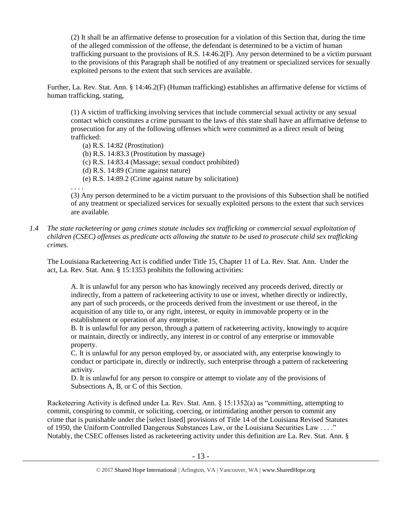(2) It shall be an affirmative defense to prosecution for a violation of this Section that, during the time of the alleged commission of the offense, the defendant is determined to be a victim of human trafficking pursuant to the provisions of R.S. 14:46.2(F). Any person determined to be a victim pursuant to the provisions of this Paragraph shall be notified of any treatment or specialized services for sexually exploited persons to the extent that such services are available.

Further, La. Rev. Stat. Ann. § 14:46.2(F) (Human trafficking) establishes an affirmative defense for victims of human trafficking, stating,

(1) A victim of trafficking involving services that include commercial sexual activity or any sexual contact which constitutes a crime pursuant to the laws of this state shall have an affirmative defense to prosecution for any of the following offenses which were committed as a direct result of being trafficked:

(a) R.S. 14:82 (Prostitution)

- (b) R.S. 14:83.3 (Prostitution by massage)
- (c) R.S. 14:83.4 (Massage; sexual conduct prohibited)
- (d) R.S. 14:89 (Crime against nature)
- (e) R.S. 14:89.2 (Crime against nature by solicitation)

. . . .

(3) Any person determined to be a victim pursuant to the provisions of this Subsection shall be notified of any treatment or specialized services for sexually exploited persons to the extent that such services are available.

*1.4 The state racketeering or gang crimes statute includes sex trafficking or commercial sexual exploitation of children (CSEC) offenses as predicate acts allowing the statute to be used to prosecute child sex trafficking crimes.* 

The Louisiana Racketeering Act is codified under Title 15, Chapter 11 of La. Rev. Stat. Ann. Under the act, La. Rev. Stat. Ann. § 15:1353 prohibits the following activities:

A. It is unlawful for any person who has knowingly received any proceeds derived, directly or indirectly, from a pattern of racketeering activity to use or invest, whether directly or indirectly, any part of such proceeds, or the proceeds derived from the investment or use thereof, in the acquisition of any title to, or any right, interest, or equity in immovable property or in the establishment or operation of any enterprise.

B. It is unlawful for any person, through a pattern of racketeering activity, knowingly to acquire or maintain, directly or indirectly, any interest in or control of any enterprise or immovable property.

C. It is unlawful for any person employed by, or associated with, any enterprise knowingly to conduct or participate in, directly or indirectly, such enterprise through a pattern of racketeering activity.

D. It is unlawful for any person to conspire or attempt to violate any of the provisions of Subsections A, B, or C of this Section.

Racketeering Activity is defined under La. Rev. Stat. Ann. § 15:1352(a) as "committing, attempting to commit, conspiring to commit, or soliciting, coercing, or intimidating another person to commit any crime that is punishable under the [select listed] provisions of Title 14 of the Louisiana Revised Statutes of 1950, the Uniform Controlled Dangerous Substances Law, or the Louisiana Securities Law . . . ." Notably, the CSEC offenses listed as racketeering activity under this definition are La. Rev. Stat. Ann. §

<sup>© 2017</sup> Shared Hope International | Arlington, VA | Vancouver, WA | www.SharedHope.org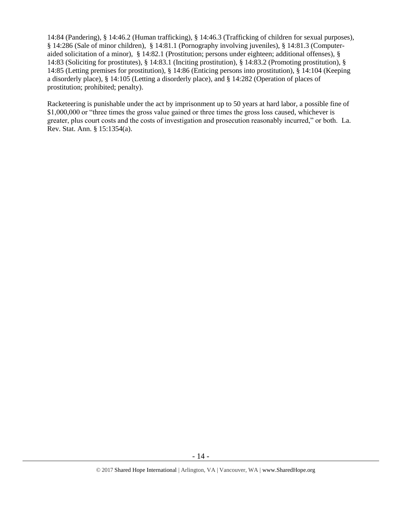14:84 (Pandering), § 14:46.2 (Human trafficking), § 14:46.3 (Trafficking of children for sexual purposes), § 14:286 (Sale of minor children), § 14:81.1 (Pornography involving juveniles), § 14:81.3 (Computeraided solicitation of a minor), § 14:82.1 (Prostitution; persons under eighteen; additional offenses), § 14:83 (Soliciting for prostitutes), § 14:83.1 (Inciting prostitution), § 14:83.2 (Promoting prostitution), § 14:85 (Letting premises for prostitution), § 14:86 (Enticing persons into prostitution), § 14:104 (Keeping a disorderly place), § 14:105 (Letting a disorderly place), and § 14:282 (Operation of places of prostitution; prohibited; penalty).

Racketeering is punishable under the act by imprisonment up to 50 years at hard labor, a possible fine of \$1,000,000 or "three times the gross value gained or three times the gross loss caused, whichever is greater, plus court costs and the costs of investigation and prosecution reasonably incurred," or both. La. Rev. Stat. Ann. § 15:1354(a).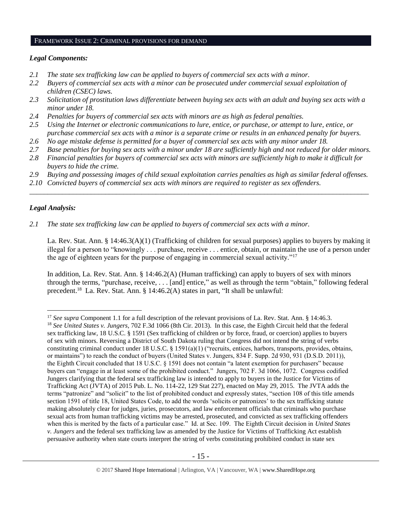#### FRAMEWORK ISSUE 2: CRIMINAL PROVISIONS FOR DEMAND

#### *Legal Components:*

- *2.1 The state sex trafficking law can be applied to buyers of commercial sex acts with a minor.*
- *2.2 Buyers of commercial sex acts with a minor can be prosecuted under commercial sexual exploitation of children (CSEC) laws.*
- *2.3 Solicitation of prostitution laws differentiate between buying sex acts with an adult and buying sex acts with a minor under 18.*
- *2.4 Penalties for buyers of commercial sex acts with minors are as high as federal penalties.*
- *2.5 Using the Internet or electronic communications to lure, entice, or purchase, or attempt to lure, entice, or purchase commercial sex acts with a minor is a separate crime or results in an enhanced penalty for buyers.*
- *2.6 No age mistake defense is permitted for a buyer of commercial sex acts with any minor under 18.*
- *2.7 Base penalties for buying sex acts with a minor under 18 are sufficiently high and not reduced for older minors.*
- *2.8 Financial penalties for buyers of commercial sex acts with minors are sufficiently high to make it difficult for buyers to hide the crime.*
- *2.9 Buying and possessing images of child sexual exploitation carries penalties as high as similar federal offenses.*

\_\_\_\_\_\_\_\_\_\_\_\_\_\_\_\_\_\_\_\_\_\_\_\_\_\_\_\_\_\_\_\_\_\_\_\_\_\_\_\_\_\_\_\_\_\_\_\_\_\_\_\_\_\_\_\_\_\_\_\_\_\_\_\_\_\_\_\_\_\_\_\_\_\_\_\_\_\_\_\_\_\_\_\_\_\_\_\_\_\_\_\_\_\_

*2.10 Convicted buyers of commercial sex acts with minors are required to register as sex offenders.*

## *Legal Analysis:*

 $\overline{a}$ 

*2.1 The state sex trafficking law can be applied to buyers of commercial sex acts with a minor.*

La. Rev. Stat. Ann. § 14:46.3(A)(1) (Trafficking of children for sexual purposes) applies to buyers by making it illegal for a person to "knowingly . . . purchase, receive . . . entice, obtain, or maintain the use of a person under the age of eighteen years for the purpose of engaging in commercial sexual activity."<sup>17</sup>

In addition, La. Rev. Stat. Ann. § 14:46.2(A) (Human trafficking) can apply to buyers of sex with minors through the terms, "purchase, receive, . . . [and] entice," as well as through the term "obtain," following federal precedent.<sup>18</sup> La. Rev. Stat. Ann. § 14:46.2(A) states in part, "It shall be unlawful:

<sup>&</sup>lt;sup>17</sup> *See supra* Component 1.1 for a full description of the relevant provisions of La. Rev. Stat. Ann. § 14:46.3. <sup>18</sup> *See United States v. Jungers*, 702 F.3d 1066 (8th Cir. 2013). In this case, the Eighth Circuit held that the federal sex trafficking law, 18 U.S.C. § 1591 (Sex trafficking of children or by force, fraud, or coercion) applies to buyers of sex with minors. Reversing a District of South Dakota ruling that Congress did not intend the string of verbs constituting criminal conduct under 18 U.S.C. § 1591(a)(1) ("recruits, entices, harbors, transports, provides, obtains, or maintains") to reach the conduct of buyers (United States v. Jungers, 834 F. Supp. 2d 930, 931 (D.S.D. 2011)), the Eighth Circuit concluded that 18 U.S.C. § 1591 does not contain "a latent exemption for purchasers" because buyers can "engage in at least some of the prohibited conduct." Jungers, 702 F. 3d 1066, 1072. Congress codified Jungers clarifying that the federal sex trafficking law is intended to apply to buyers in the Justice for Victims of Trafficking Act (JVTA) of 2015 Pub. L. No. 114-22, 129 Stat 227), enacted on May 29, 2015. The JVTA adds the terms "patronize" and "solicit" to the list of prohibited conduct and expressly states, "section 108 of this title amends section 1591 of title 18, United States Code, to add the words 'solicits or patronizes' to the sex trafficking statute making absolutely clear for judges, juries, prosecutors, and law enforcement officials that criminals who purchase sexual acts from human trafficking victims may be arrested, prosecuted, and convicted as sex trafficking offenders when this is merited by the facts of a particular case." Id. at Sec. 109. The Eighth Circuit decision in *United States v. Jungers* and the federal sex trafficking law as amended by the Justice for Victims of Trafficking Act establish persuasive authority when state courts interpret the string of verbs constituting prohibited conduct in state sex

<sup>© 2017</sup> Shared Hope International | Arlington, VA | Vancouver, WA | www.SharedHope.org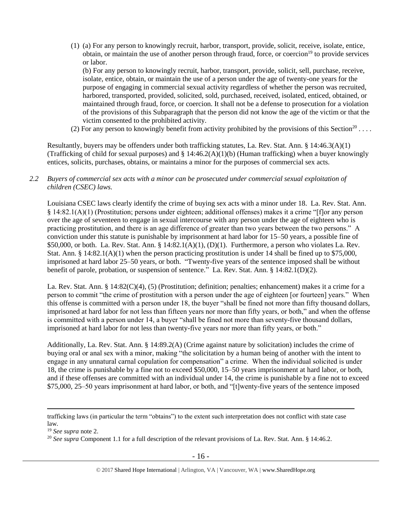(1) (a) For any person to knowingly recruit, harbor, transport, provide, solicit, receive, isolate, entice, obtain, or maintain the use of another person through fraud, force, or coercion<sup>19</sup> to provide services or labor.

(b) For any person to knowingly recruit, harbor, transport, provide, solicit, sell, purchase, receive, isolate, entice, obtain, or maintain the use of a person under the age of twenty-one years for the purpose of engaging in commercial sexual activity regardless of whether the person was recruited, harbored, transported, provided, solicited, sold, purchased, received, isolated, enticed, obtained, or maintained through fraud, force, or coercion. It shall not be a defense to prosecution for a violation of the provisions of this Subparagraph that the person did not know the age of the victim or that the victim consented to the prohibited activity.

(2) For any person to knowingly benefit from activity prohibited by the provisions of this Section<sup>20</sup>...

Resultantly, buyers may be offenders under both trafficking statutes, La. Rev. Stat. Ann. § 14:46.3(A)(1) (Trafficking of child for sexual purposes) and  $\S 14:46.2(A)(1)(b)$  (Human trafficking) when a buyer knowingly entices, solicits, purchases, obtains, or maintains a minor for the purposes of commercial sex acts.

## *2.2 Buyers of commercial sex acts with a minor can be prosecuted under commercial sexual exploitation of children (CSEC) laws.*

Louisiana CSEC laws clearly identify the crime of buying sex acts with a minor under 18. La. Rev. Stat. Ann. § 14:82.1(A)(1) (Prostitution; persons under eighteen; additional offenses) makes it a crime "[f]or any person over the age of seventeen to engage in sexual intercourse with any person under the age of eighteen who is practicing prostitution, and there is an age difference of greater than two years between the two persons." A conviction under this statute is punishable by imprisonment at hard labor for 15–50 years, a possible fine of \$50,000, or both. La. Rev. Stat. Ann. §  $14:82.1(A)(1)$ ,  $(D)(1)$ . Furthermore, a person who violates La. Rev. Stat. Ann. § 14:82.1(A)(1) when the person practicing prostitution is under 14 shall be fined up to \$75,000, imprisoned at hard labor 25–50 years, or both. "Twenty-five years of the sentence imposed shall be without benefit of parole, probation, or suspension of sentence." La. Rev. Stat. Ann. § 14:82.1(D)(2).

La. Rev. Stat. Ann. § 14:82(C)(4), (5) (Prostitution; definition; penalties; enhancement) makes it a crime for a person to commit "the crime of prostitution with a person under the age of eighteen [or fourteen] years." When this offense is committed with a person under 18, the buyer "shall be fined not more than fifty thousand dollars, imprisoned at hard labor for not less than fifteen years nor more than fifty years, or both," and when the offense is committed with a person under 14, a buyer "shall be fined not more than seventy-five thousand dollars, imprisoned at hard labor for not less than twenty-five years nor more than fifty years, or both."

Additionally, La. Rev. Stat. Ann. § 14:89.2(A) (Crime against nature by solicitation) includes the crime of buying oral or anal sex with a minor, making "the solicitation by a human being of another with the intent to engage in any unnatural carnal copulation for compensation" a crime. When the individual solicited is under 18, the crime is punishable by a fine not to exceed \$50,000, 15–50 years imprisonment at hard labor, or both, and if these offenses are committed with an individual under 14, the crime is punishable by a fine not to exceed \$75,000, 25–50 years imprisonment at hard labor, or both, and "[t]wenty-five years of the sentence imposed

trafficking laws (in particular the term "obtains") to the extent such interpretation does not conflict with state case law.

<sup>19</sup> *See supra* note [2.](#page-0-0)

<sup>&</sup>lt;sup>20</sup> *See supra* Component 1.1 for a full description of the relevant provisions of La. Rev. Stat. Ann. § 14:46.2.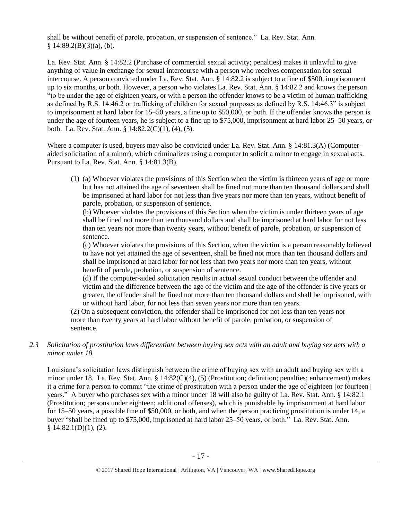shall be without benefit of parole, probation, or suspension of sentence." La. Rev. Stat. Ann.  $§ 14:89.2(B)(3)(a)$ , (b).

La. Rev. Stat. Ann. § 14:82.2 (Purchase of commercial sexual activity; penalties) makes it unlawful to give anything of value in exchange for sexual intercourse with a person who receives compensation for sexual intercourse. A person convicted under La. Rev. Stat. Ann. § 14:82.2 is subject to a fine of \$500, imprisonment up to six months, or both. However, a person who violates La. Rev. Stat. Ann. § 14:82.2 and knows the person "to be under the age of eighteen years, or with a person the offender knows to be a victim of human trafficking as defined by R.S. 14:46.2 or trafficking of children for sexual purposes as defined by R.S. 14:46.3" is subject to imprisonment at hard labor for 15–50 years, a fine up to \$50,000, or both. If the offender knows the person is under the age of fourteen years, he is subject to a fine up to \$75,000, imprisonment at hard labor 25–50 years, or both. La. Rev. Stat. Ann. § 14:82.2(C)(1), (4), (5).

Where a computer is used, buyers may also be convicted under La. Rev. Stat. Ann. § 14:81.3(A) (Computeraided solicitation of a minor), which criminalizes using a computer to solicit a minor to engage in sexual acts. Pursuant to La. Rev. Stat. Ann. § 14:81.3(B),

(1) (a) Whoever violates the provisions of this Section when the victim is thirteen years of age or more but has not attained the age of seventeen shall be fined not more than ten thousand dollars and shall be imprisoned at hard labor for not less than five years nor more than ten years, without benefit of parole, probation, or suspension of sentence.

(b) Whoever violates the provisions of this Section when the victim is under thirteen years of age shall be fined not more than ten thousand dollars and shall be imprisoned at hard labor for not less than ten years nor more than twenty years, without benefit of parole, probation, or suspension of sentence.

(c) Whoever violates the provisions of this Section, when the victim is a person reasonably believed to have not yet attained the age of seventeen, shall be fined not more than ten thousand dollars and shall be imprisoned at hard labor for not less than two years nor more than ten years, without benefit of parole, probation, or suspension of sentence.

(d) If the computer-aided solicitation results in actual sexual conduct between the offender and victim and the difference between the age of the victim and the age of the offender is five years or greater, the offender shall be fined not more than ten thousand dollars and shall be imprisoned, with or without hard labor, for not less than seven years nor more than ten years.

(2) On a subsequent conviction, the offender shall be imprisoned for not less than ten years nor more than twenty years at hard labor without benefit of parole, probation, or suspension of sentence.

*2.3 Solicitation of prostitution laws differentiate between buying sex acts with an adult and buying sex acts with a minor under 18.*

Louisiana's solicitation laws distinguish between the crime of buying sex with an adult and buying sex with a minor under 18. La. Rev. Stat. Ann. § 14:82(C)(4), (5) (Prostitution; definition; penalties; enhancement) makes it a crime for a person to commit "the crime of prostitution with a person under the age of eighteen [or fourteen] years." A buyer who purchases sex with a minor under 18 will also be guilty of La. Rev. Stat. Ann. § 14:82.1 (Prostitution; persons under eighteen; additional offenses), which is punishable by imprisonment at hard labor for 15–50 years, a possible fine of \$50,000, or both, and when the person practicing prostitution is under 14, a buyer "shall be fined up to \$75,000, imprisoned at hard labor 25–50 years, or both." La. Rev. Stat. Ann.  $§ 14:82.1(D)(1), (2).$ 

<sup>© 2017</sup> Shared Hope International | Arlington, VA | Vancouver, WA | www.SharedHope.org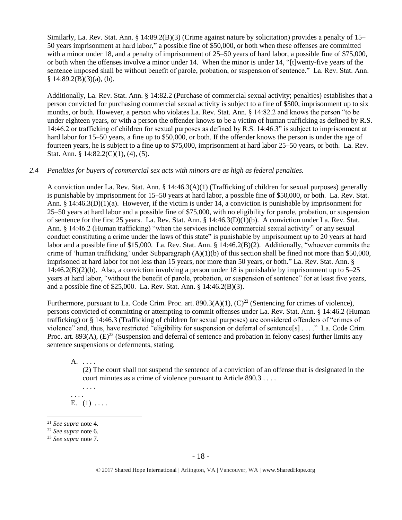Similarly, La. Rev. Stat. Ann. § 14:89.2(B)(3) (Crime against nature by solicitation) provides a penalty of 15– 50 years imprisonment at hard labor," a possible fine of \$50,000, or both when these offenses are committed with a minor under 18, and a penalty of imprisonment of 25–50 years of hard labor, a possible fine of \$75,000, or both when the offenses involve a minor under 14. When the minor is under 14, "[t]wenty-five years of the sentence imposed shall be without benefit of parole, probation, or suspension of sentence." La. Rev. Stat. Ann.  $§ 14:89.2(B)(3)(a)$ , (b).

Additionally, La. Rev. Stat. Ann. § 14:82.2 (Purchase of commercial sexual activity; penalties) establishes that a person convicted for purchasing commercial sexual activity is subject to a fine of \$500, imprisonment up to six months, or both. However, a person who violates La. Rev. Stat. Ann. § 14:82.2 and knows the person "to be under eighteen years, or with a person the offender knows to be a victim of human trafficking as defined by R.S. 14:46.2 or trafficking of children for sexual purposes as defined by R.S. 14:46.3" is subject to imprisonment at hard labor for 15–50 years, a fine up to \$50,000, or both. If the offender knows the person is under the age of fourteen years, he is subject to a fine up to \$75,000, imprisonment at hard labor 25–50 years, or both. La. Rev. Stat. Ann. § 14:82.2(C)(1), (4), (5).

## *2.4 Penalties for buyers of commercial sex acts with minors are as high as federal penalties.*

A conviction under La. Rev. Stat. Ann. § 14:46.3(A)(1) (Trafficking of children for sexual purposes) generally is punishable by imprisonment for 15–50 years at hard labor, a possible fine of \$50,000, or both. La. Rev. Stat. Ann. § 14:46.3(D)(1)(a). However, if the victim is under 14, a conviction is punishable by imprisonment for 25–50 years at hard labor and a possible fine of \$75,000, with no eligibility for parole, probation, or suspension of sentence for the first 25 years. La. Rev. Stat. Ann. § 14:46.3(D)(1)(b). A conviction under La. Rev. Stat. Ann. § 14:46.2 (Human trafficking) "when the services include commercial sexual activity<sup>21</sup> or any sexual conduct constituting a crime under the laws of this state" is punishable by imprisonment up to 20 years at hard labor and a possible fine of \$15,000. La. Rev. Stat. Ann. § 14:46.2(B)(2). Additionally, "whoever commits the crime of 'human trafficking' under Subparagraph  $(A)(1)(b)$  of this section shall be fined not more than \$50,000, imprisoned at hard labor for not less than 15 years, nor more than 50 years, or both." La. Rev. Stat. Ann. §  $14:46.2(B)(2)(b)$ . Also, a conviction involving a person under 18 is punishable by imprisonment up to 5–25 years at hard labor, "without the benefit of parole, probation, or suspension of sentence" for at least five years, and a possible fine of \$25,000. La. Rev. Stat. Ann. § 14:46.2(B)(3).

Furthermore, pursuant to La. Code Crim. Proc. art.  $890.3(A)(1)$ ,  $(C)^{22}$  (Sentencing for crimes of violence), persons convicted of committing or attempting to commit offenses under La. Rev. Stat. Ann. § 14:46.2 (Human trafficking) or § 14:46.3 (Trafficking of children for sexual purposes) are considered offenders of "crimes of violence" and, thus, have restricted "eligibility for suspension or deferral of sentence[s] . . . ." La. Code Crim. Proc. art. 893(A),  $(E)^{23}$  (Suspension and deferral of sentence and probation in felony cases) further limits any sentence suspensions or deferments, stating,

A. . . . .

(2) The court shall not suspend the sentence of a conviction of an offense that is designated in the court minutes as a crime of violence pursuant to Article 890.3 . . . .

. . . . . . . . E.  $(1) \ldots$ .

<sup>21</sup> *See supra* note [4.](#page-1-0)

<sup>22</sup> *See supra* note [6.](#page-3-0)

<sup>23</sup> *See supra* note [7.](#page-3-1)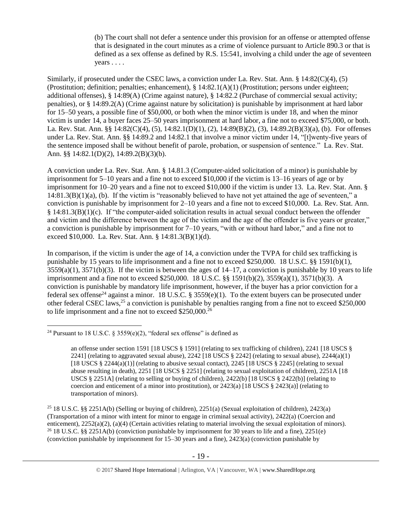(b) The court shall not defer a sentence under this provision for an offense or attempted offense that is designated in the court minutes as a crime of violence pursuant to Article 890.3 or that is defined as a sex offense as defined by R.S. 15:541, involving a child under the age of seventeen years . . . .

Similarly, if prosecuted under the CSEC laws, a conviction under La. Rev. Stat. Ann. § 14:82(C)(4), (5) (Prostitution; definition; penalties; enhancement), § 14:82.1(A)(1) (Prostitution; persons under eighteen; additional offenses), § 14:89(A) (Crime against nature), § 14:82.2 (Purchase of commercial sexual activity; penalties), or § 14:89.2(A) (Crime against nature by solicitation) is punishable by imprisonment at hard labor for 15–50 years, a possible fine of \$50,000, or both when the minor victim is under 18, and when the minor victim is under 14, a buyer faces 25–50 years imprisonment at hard labor, a fine not to exceed \$75,000, or both. La. Rev. Stat. Ann. §§ 14:82(C)(4), (5), 14:82.1(D)(1), (2), 14:89(B)(2), (3), 14:89.2(B)(3)(a), (b). For offenses under La. Rev. Stat. Ann. §§ 14:89.2 and 14:82.1 that involve a minor victim under 14, "[t]wenty-five years of the sentence imposed shall be without benefit of parole, probation, or suspension of sentence." La. Rev. Stat. Ann. §§ 14:82.1(D)(2), 14:89.2(B)(3)(b).

A conviction under La. Rev. Stat. Ann. § 14.81.3 (Computer-aided solicitation of a minor) is punishable by imprisonment for 5–10 years and a fine not to exceed \$10,000 if the victim is 13–16 years of age or by imprisonment for 10–20 years and a fine not to exceed \$10,000 if the victim is under 13. La. Rev. Stat. Ann. § 14:81.3(B)(1)(a), (b). If the victim is "reasonably believed to have not yet attained the age of seventeen," a conviction is punishable by imprisonment for 2–10 years and a fine not to exceed \$10,000. La. Rev. Stat. Ann. § 14:81.3(B)(1)(c). If "the computer-aided solicitation results in actual sexual conduct between the offender and victim and the difference between the age of the victim and the age of the offender is five years or greater," a conviction is punishable by imprisonment for 7–10 years, "with or without hard labor," and a fine not to exceed \$10,000. La. Rev. Stat. Ann. § 14:81.3(B)(1)(d).

In comparison, if the victim is under the age of 14, a conviction under the TVPA for child sex trafficking is punishable by 15 years to life imprisonment and a fine not to exceed \$250,000. 18 U.S.C. §§ 1591(b)(1),  $3559(a)(1)$ ,  $3571(b)(3)$ . If the victim is between the ages of  $14-17$ , a conviction is punishable by 10 years to life imprisonment and a fine not to exceed \$250,000. 18 U.S.C. §§ 1591(b)(2), 3559(a)(1), 3571(b)(3). A conviction is punishable by mandatory life imprisonment, however, if the buyer has a prior conviction for a federal sex offense<sup>24</sup> against a minor. 18 U.S.C. § 3559(e)(1). To the extent buyers can be prosecuted under other federal CSEC laws,<sup>25</sup> a conviction is punishable by penalties ranging from a fine not to exceed \$250,000 to life imprisonment and a fine not to exceed \$250,000.<sup>26</sup>

<sup>&</sup>lt;sup>24</sup> Pursuant to 18 U.S.C. § 3559(e)(2), "federal sex offense" is defined as

<span id="page-18-0"></span>an offense under section 1591 [18 USCS § 1591] (relating to sex trafficking of children), 2241 [18 USCS § 2241] (relating to aggravated sexual abuse),  $2242$  [18 USCS § 2242] (relating to sexual abuse),  $2244(a)(1)$ [18 USCS  $\S$  2244(a)(1)] (relating to abusive sexual contact), 2245 [18 USCS  $\S$  2245] (relating to sexual abuse resulting in death), 2251 [18 USCS § 2251] (relating to sexual exploitation of children), 2251A [18 USCS § 2251A] (relating to selling or buying of children), 2422(b) [18 USCS § 2422(b)] (relating to coercion and enticement of a minor into prostitution), or  $2423(a)$  [18 USCS §  $2423(a)$ ] (relating to transportation of minors).

<sup>&</sup>lt;sup>25</sup> 18 U.S.C. §§ 2251A(b) (Selling or buying of children), 2251(a) (Sexual exploitation of children), 2423(a) (Transportation of a minor with intent for minor to engage in criminal sexual activity), 2422(a) (Coercion and enticement), 2252(a)(2), (a)(4) (Certain activities relating to material involving the sexual exploitation of minors). <sup>26</sup> 18 U.S.C. §§ 2251A(b) (conviction punishable by imprisonment for 30 years to life and a fine), 2251(e) (conviction punishable by imprisonment for 15–30 years and a fine), 2423(a) (conviction punishable by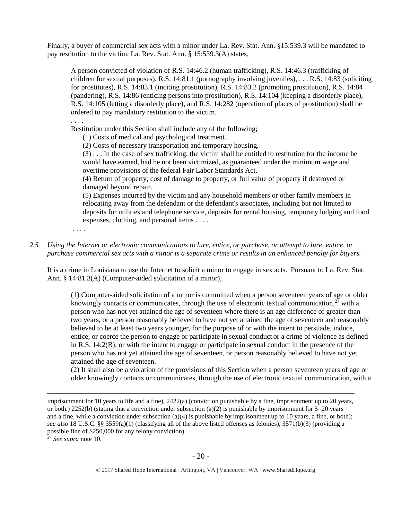Finally, a buyer of commercial sex acts with a minor under La. Rev. Stat. Ann. §15:539.3 will be mandated to pay restitution to the victim. La. Rev. Stat. Ann. § 15:539.3(A) states,

A person convicted of violation of R.S. 14:46.2 (human trafficking), R.S. 14:46.3 (trafficking of children for sexual purposes), R.S. 14:81.1 (pornography involving juveniles), . . . R.S. 14:83 (soliciting for prostitutes), R.S. 14:83.1 (inciting prostitution), R.S. 14:83.2 (promoting prostitution), R.S. 14:84 (pandering), R.S. 14:86 (enticing persons into prostitution), R.S. 14:104 (keeping a disorderly place), R.S. 14:105 (letting a disorderly place), and R.S. 14:282 (operation of places of prostitution) shall be ordered to pay mandatory restitution to the victim.

. . . .

Restitution under this Section shall include any of the following;

(1) Costs of medical and psychological treatment.

(2) Costs of necessary transportation and temporary housing.

(3) . . . In the case of sex trafficking, the victim shall be entitled to restitution for the income he would have earned, had he not been victimized, as guaranteed under the minimum wage and overtime provisions of the federal Fair Labor Standards Act.

(4) Return of property, cost of damage to property, or full value of property if destroyed or damaged beyond repair.

(5) Expenses incurred by the victim and any household members or other family members in relocating away from the defendant or the defendant's associates, including but not limited to deposits for utilities and telephone service, deposits for rental housing, temporary lodging and food expenses, clothing, and personal items . . . .

. . . .

*2.5 Using the Internet or electronic communications to lure, entice, or purchase, or attempt to lure, entice, or purchase commercial sex acts with a minor is a separate crime or results in an enhanced penalty for buyers.*

It is a crime in Louisiana to use the Internet to solicit a minor to engage in sex acts. Pursuant to La. Rev. Stat. Ann. § 14:81.3(A) (Computer-aided solicitation of a minor),

(1) Computer-aided solicitation of a minor is committed when a person seventeen years of age or older knowingly contacts or communicates, through the use of electronic textual communication, $2^7$  with a person who has not yet attained the age of seventeen where there is an age difference of greater than two years, or a person reasonably believed to have not yet attained the age of seventeen and reasonably believed to be at least two years younger, for the purpose of or with the intent to persuade, induce, entice, or coerce the person to engage or participate in sexual conduct or a crime of violence as defined in [R.S. 14:2\(B\),](https://www.lexis.com/research/buttonTFLink?_m=99d0f5a773918e7181bbcf01552bc950&_xfercite=%3ccite%20cc%3d%22USA%22%3e%3c%21%5bCDATA%5bLa.%20R.S.%2014%3a81.2%5d%5d%3e%3c%2fcite%3e&_butType=4&_butStat=0&_butNum=5&_butInline=1&_butinfo=LACODE%2015%3a539.1&_fmtstr=FULL&docnum=1&_startdoc=1&wchp=dGLzVlz-zSkAA&_md5=dbb10adb6468eeda4d3d1f1bc675eee1) or with the intent to engage or participate in sexual conduct in the presence of the person who has not yet attained the age of seventeen, or person reasonably believed to have not yet attained the age of seventeen.

(2) It shall also be a violation of the provisions of this Section when a person seventeen years of age or older knowingly contacts or communicates, through the use of electronic textual communication, with a

<sup>27</sup> *See supra* note [10.](#page-4-0)

imprisonment for 10 years to life and a fine), 2422(a) (conviction punishable by a fine, imprisonment up to 20 years, or both.) 2252(b) (stating that a conviction under subsection (a)(2) is punishable by imprisonment for  $5-20$  years and a fine, while a conviction under subsection (a)(4) is punishable by imprisonment up to 10 years, a fine, or both); *see also* 18 U.S.C. §§ 3559(a)(1) (classifying all of the above listed offenses as felonies), 3571(b)(3) (providing a possible fine of \$250,000 for any felony conviction).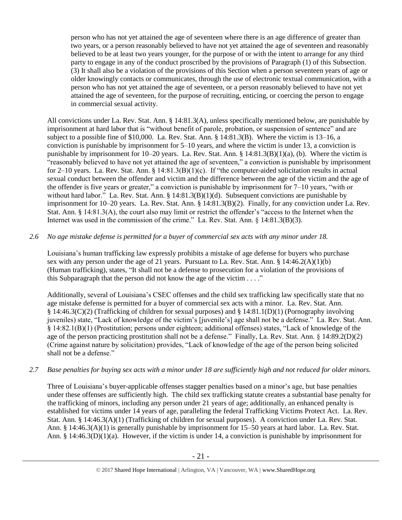person who has not yet attained the age of seventeen where there is an age difference of greater than two years, or a person reasonably believed to have not yet attained the age of seventeen and reasonably believed to be at least two years younger, for the purpose of or with the intent to arrange for any third party to engage in any of the conduct proscribed by the provisions of Paragraph (1) of this Subsection. (3) It shall also be a violation of the provisions of this Section when a person seventeen years of age or older knowingly contacts or communicates, through the use of electronic textual communication, with a person who has not yet attained the age of seventeen, or a person reasonably believed to have not yet attained the age of seventeen, for the purpose of recruiting, enticing, or coercing the person to engage in commercial sexual activity.

All convictions under La. Rev. Stat. Ann. § 14:81.3(A), unless specifically mentioned below, are punishable by imprisonment at hard labor that is "without benefit of parole, probation, or suspension of sentence" and are subject to a possible fine of \$10,000. La. Rev. Stat. Ann. § 14:81.3(B). Where the victim is 13–16, a conviction is punishable by imprisonment for 5–10 years, and where the victim is under 13, a conviction is punishable by imprisonment for 10–20 years. La. Rev. Stat. Ann. § 14:81.3(B)(1)(a), (b). Where the victim is "reasonably believed to have not yet attained the age of seventeen," a conviction is punishable by imprisonment for 2–10 years. La. Rev. Stat. Ann. §  $14:81.3(B)(1)(c)$ . If "the computer-aided solicitation results in actual sexual conduct between the offender and victim and the difference between the age of the victim and the age of the offender is five years or greater," a conviction is punishable by imprisonment for 7–10 years, "with or without hard labor." La. Rev. Stat. Ann. § 14:81.3(B)(1)(d). Subsequent convictions are punishable by imprisonment for 10–20 years. La. Rev. Stat. Ann. § 14:81.3(B)(2). Finally, for any conviction under La. Rev. Stat. Ann. § 14:81.3(A), the court also may limit or restrict the offender's "access to the Internet when the Internet was used in the commission of the crime." La. Rev. Stat. Ann. § 14:81.3(B)(3).

*2.6 No age mistake defense is permitted for a buyer of commercial sex acts with any minor under 18.*

Louisiana's human trafficking law expressly prohibits a mistake of age defense for buyers who purchase sex with any person under the age of 21 years. Pursuant to La. Rev. Stat. Ann. § 14:46.2(A)(1)(b) (Human trafficking), states, "It shall not be a defense to prosecution for a violation of the provisions of this Subparagraph that the person did not know the age of the victim . . . ."

Additionally, several of Louisiana's CSEC offenses and the child sex trafficking law specifically state that no age mistake defense is permitted for a buyer of commercial sex acts with a minor. La. Rev. Stat. Ann. § 14:46.3(C)(2) (Trafficking of children for sexual purposes) and § 14:81.1(D)(1) (Pornography involving juveniles) state, "Lack of knowledge of the victim's [juvenile's] age shall not be a defense." La. Rev. Stat. Ann. § 14:82.1(B)(1) (Prostitution; persons under eighteen; additional offenses) states, "Lack of knowledge of the age of the person practicing prostitution shall not be a defense." Finally, La. Rev. Stat. Ann. § 14:89.2(D)(2) (Crime against nature by solicitation) provides, "Lack of knowledge of the age of the person being solicited shall not be a defense."

*2.7 Base penalties for buying sex acts with a minor under 18 are sufficiently high and not reduced for older minors.*

Three of Louisiana's buyer-applicable offenses stagger penalties based on a minor's age, but base penalties under these offenses are sufficiently high. The child sex trafficking statute creates a substantial base penalty for the trafficking of minors, including any person under 21 years of age; additionally, an enhanced penalty is established for victims under 14 years of age, paralleling the federal Trafficking Victims Protect Act. La. Rev. Stat. Ann. § 14:46.3(A)(1) (Trafficking of children for sexual purposes). A conviction under La. Rev. Stat. Ann. § 14:46.3(A)(1) is generally punishable by imprisonment for 15–50 years at hard labor. La. Rev. Stat. Ann. § 14:46.3(D)(1)(a). However, if the victim is under 14, a conviction is punishable by imprisonment for

<sup>© 2017</sup> Shared Hope International | Arlington, VA | Vancouver, WA | www.SharedHope.org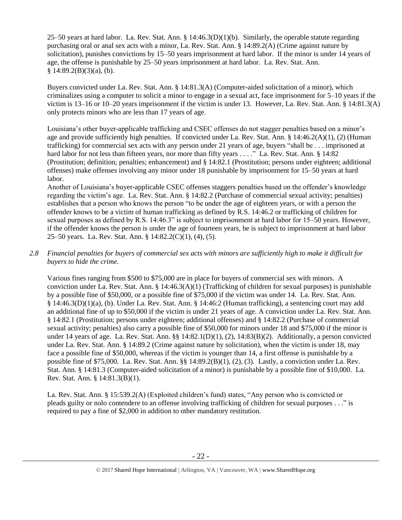25–50 years at hard labor. La. Rev. Stat. Ann. § 14:46.3(D)(1)(b). Similarly, the operable statute regarding purchasing oral or anal sex acts with a minor, La. Rev. Stat. Ann. § 14:89.2(A) (Crime against nature by solicitation), punishes convictions by 15–50 years imprisonment at hard labor. If the minor is under 14 years of age, the offense is punishable by 25–50 years imprisonment at hard labor. La. Rev. Stat. Ann.  $§ 14:89.2(B)(3)(a)$ , (b).

Buyers convicted under La. Rev. Stat. Ann. § 14:81.3(A) (Computer-aided solicitation of a minor), which criminalizes using a computer to solicit a minor to engage in a sexual act, face imprisonment for 5–10 years if the victim is 13–16 or 10–20 years imprisonment if the victim is under 13. However, La. Rev. Stat. Ann. § 14:81.3(A) only protects minors who are less than 17 years of age.

Louisiana's other buyer-applicable trafficking and CSEC offenses do not stagger penalties based on a minor's age and provide sufficiently high penalties. If convicted under La. Rev. Stat. Ann. § 14:46.2(A)(1), (2) (Human trafficking) for commercial sex acts with any person under 21 years of age, buyers "shall be . . . imprisoned at hard labor for not less than fifteen years, nor more than fifty years . . . ." La. Rev. Stat. Ann. § 14:82 (Prostitution; definition; penalties; enhancement) and § 14:82.1 (Prostitution; persons under eighteen; additional offenses) make offenses involving any minor under 18 punishable by imprisonment for 15–50 years at hard labor.

Another of Louisiana's buyer-applicable CSEC offenses staggers penalties based on the offender's knowledge regarding the victim's age. La. Rev. Stat. Ann. § 14:82.2 (Purchase of commercial sexual activity; penalties) establishes that a person who knows the person "to be under the age of eighteen years, or with a person the offender knows to be a victim of human trafficking as defined by R.S. 14:46.2 or trafficking of children for sexual purposes as defined by R.S. 14:46.3" is subject to imprisonment at hard labor for 15–50 years. However, if the offender knows the person is under the age of fourteen years, he is subject to imprisonment at hard labor 25–50 years. La. Rev. Stat. Ann. § 14:82.2(C)(1), (4), (5).

## *2.8 Financial penalties for buyers of commercial sex acts with minors are sufficiently high to make it difficult for buyers to hide the crime.*

Various fines ranging from \$500 to \$75,000 are in place for buyers of commercial sex with minors. A conviction under La. Rev. Stat. Ann. § 14:46.3(A)(1) (Trafficking of children for sexual purposes) is punishable by a possible fine of \$50,000, or a possible fine of \$75,000 if the victim was under 14. La. Rev. Stat. Ann. § 14:46.3(D)(1)(a), (b). Under La. Rev. Stat. Ann. § 14:46:2 (Human trafficking), a sentencing court may add an additional fine of up to \$50,000 if the victim is under 21 years of age. A conviction under La. Rev. Stat. Ann. § 14:82.1 (Prostitution; persons under eighteen; additional offenses) and § 14:82.2 (Purchase of commercial sexual activity; penalties) also carry a possible fine of \$50,000 for minors under 18 and \$75,000 if the minor is under 14 years of age. La. Rev. Stat. Ann. §§ 14:82.1(D)(1), (2), 14:83(B)(2). Additionally, a person convicted under La. Rev. Stat. Ann. § 14:89.2 (Crime against nature by solicitation), when the victim is under 18, may face a possible fine of \$50,000, whereas if the victim is younger than 14, a first offense is punishable by a possible fine of \$75,000. La. Rev. Stat. Ann. §§ 14:89.2(B)(1), (2), (3). Lastly, a conviction under La. Rev. Stat. Ann. § 14:81.3 (Computer-aided solicitation of a minor) is punishable by a possible fine of \$10,000. La. Rev. Stat. Ann. § 14:81.3(B)(1).

La. Rev. Stat. Ann. § 15:539.2(A) (Exploited children's fund) states, "Any person who is convicted or pleads guilty or nolo contendere to an offense involving trafficking of children for sexual purposes . . ." is required to pay a fine of \$2,000 in addition to other mandatory restitution.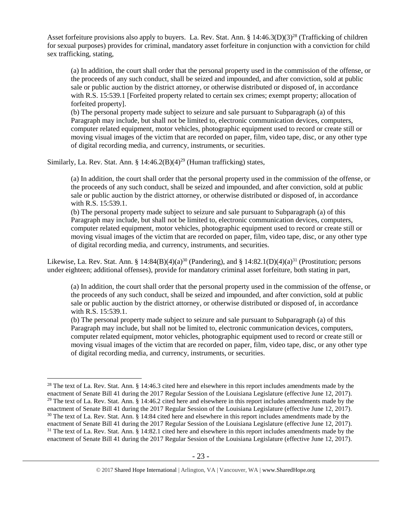Asset forfeiture provisions also apply to buyers. La. Rev. Stat. Ann. §  $14:46.3(D)(3)^{28}$  (Trafficking of children for sexual purposes) provides for criminal, mandatory asset forfeiture in conjunction with a conviction for child sex trafficking, stating,

<span id="page-22-0"></span>(a) In addition, the court shall order that the personal property used in the commission of the offense, or the proceeds of any such conduct, shall be seized and impounded, and after conviction, sold at public sale or public auction by the district attorney, or otherwise distributed or disposed of, in accordance with R.S. 15:539.1 [Forfeited property related to certain sex crimes; exempt property; allocation of forfeited property].

(b) The personal property made subject to seizure and sale pursuant to Subparagraph (a) of this Paragraph may include, but shall not be limited to, electronic communication devices, computers, computer related equipment, motor vehicles, photographic equipment used to record or create still or moving visual images of the victim that are recorded on paper, film, video tape, disc, or any other type of digital recording media, and currency, instruments, or securities.

Similarly, La. Rev. Stat. Ann. §  $14:46.2(B)(4)^{29}$  (Human trafficking) states,

<span id="page-22-1"></span>(a) In addition, the court shall order that the personal property used in the commission of the offense, or the proceeds of any such conduct, shall be seized and impounded, and after conviction, sold at public sale or public auction by the district attorney, or otherwise distributed or disposed of, in accordance with R.S. 15:539.1.

(b) The personal property made subject to seizure and sale pursuant to Subparagraph (a) of this Paragraph may include, but shall not be limited to, electronic communication devices, computers, computer related equipment, motor vehicles, photographic equipment used to record or create still or moving visual images of the victim that are recorded on paper, film, video tape, disc, or any other type of digital recording media, and currency, instruments, and securities.

Likewise, La. Rev. Stat. Ann. § 14:84(B)(4)(a)<sup>30</sup> (Pandering), and § 14:82.1(D)(4)(a)<sup>31</sup> (Prostitution; persons under eighteen; additional offenses), provide for mandatory criminal asset forfeiture, both stating in part,

<span id="page-22-2"></span>(a) In addition, the court shall order that the personal property used in the commission of the offense, or the proceeds of any such conduct, shall be seized and impounded, and after conviction, sold at public sale or public auction by the district attorney, or otherwise distributed or disposed of, in accordance with R.S. 15:539.1.

(b) The personal property made subject to seizure and sale pursuant to Subparagraph (a) of this Paragraph may include, but shall not be limited to, electronic communication devices, computers, computer related equipment, motor vehicles, photographic equipment used to record or create still or moving visual images of the victim that are recorded on paper, film, video tape, disc, or any other type of digital recording media, and currency, instruments, or securities.

 $\overline{a}$ <sup>28</sup> The text of La. Rev. Stat. Ann.  $\S$  14:46.3 cited here and elsewhere in this report includes amendments made by the enactment of Senate Bill 41 during the 2017 Regular Session of the Louisiana Legislature (effective June 12, 2017). <sup>29</sup> The text of La. Rev. Stat. Ann. § 14:46.2 cited here and elsewhere in this report includes amendments made by the enactment of Senate Bill 41 during the 2017 Regular Session of the Louisiana Legislature (effective June 12, 2017).  $30$  The text of La. Rev. Stat. Ann. § 14:84 cited here and elsewhere in this report includes amendments made by the enactment of Senate Bill 41 during the 2017 Regular Session of the Louisiana Legislature (effective June 12, 2017).  $31$  The text of La. Rev. Stat. Ann. § 14:82.1 cited here and elsewhere in this report includes amendments made by the enactment of Senate Bill 41 during the 2017 Regular Session of the Louisiana Legislature (effective June 12, 2017).

<sup>© 2017</sup> Shared Hope International | Arlington, VA | Vancouver, WA | www.SharedHope.org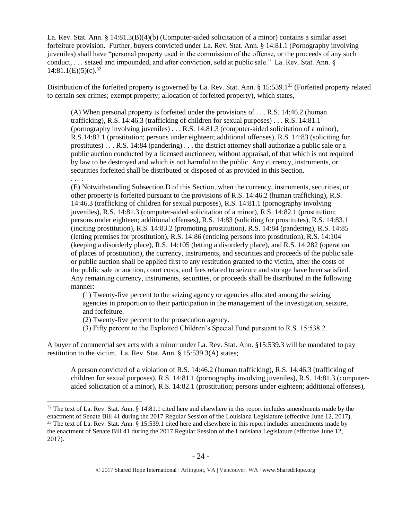La. Rev. Stat. Ann. § 14:81.3(B)(4)(b) (Computer-aided solicitation of a minor) contains a similar asset forfeiture provision. Further, buyers convicted under La. Rev. Stat. Ann. § 14:81.1 (Pornography involving juveniles) shall have "personal property used in the commission of the offense, or the proceeds of any such conduct, . . . seized and impounded, and after conviction, sold at public sale." La. Rev. Stat. Ann. §  $14:81.1(E)(5)(c).^{32}$ 

Distribution of the forfeited property is governed by La. Rev. Stat. Ann. § 15:539.1<sup>33</sup> (Forfeited property related to certain sex crimes; exempt property; allocation of forfeited property), which states,

<span id="page-23-1"></span><span id="page-23-0"></span>(A) When personal property is forfeited under the provisions of . . . R.S. 14:46.2 (human trafficking), R.S. 14:46.3 (trafficking of children for sexual purposes) . . . R.S. 14:81.1 (pornography involving juveniles) . . . R.S. 14:81.3 (computer-aided solicitation of a minor), R.S.14:82.1 (prostitution; persons under eighteen; additional offenses), R.S. 14:83 (soliciting for prostitutes) . . . R.S. 14:84 (pandering) . . . the district attorney shall authorize a public sale or a public auction conducted by a licensed auctioneer, without appraisal, of that which is not required by law to be destroyed and which is not harmful to the public. Any currency, instruments, or securities forfeited shall be distributed or disposed of as provided in this Section.

. . . .

 $\overline{a}$ 

(E) Notwithstanding Subsection D of this Section, when the currency, instruments, securities, or other property is forfeited pursuant to the provisions of R.S. 14:46.2 (human trafficking), R.S. 14:46.3 (trafficking of children for sexual purposes), R.S. 14:81.1 (pornography involving juveniles), R.S. 14:81.3 (computer-aided solicitation of a minor), R.S. 14:82.1 (prostitution; persons under eighteen; additional offenses), R.S. 14:83 (soliciting for prostitutes), R.S. 14:83.1 (inciting prostitution), R.S. 14:83.2 (promoting prostitution), R.S. 14:84 (pandering), R.S. 14:85 (letting premises for prostitution), R.S. 14:86 (enticing persons into prostitution), R.S. 14:104 (keeping a disorderly place), R.S. 14:105 (letting a disorderly place), and R.S. 14:282 (operation of places of prostitution), the currency, instruments, and securities and proceeds of the public sale or public auction shall be applied first to any restitution granted to the victim, after the costs of the public sale or auction, court costs, and fees related to seizure and storage have been satisfied. Any remaining currency, instruments, securities, or proceeds shall be distributed in the following manner:

(1) Twenty-five percent to the seizing agency or agencies allocated among the seizing agencies in proportion to their participation in the management of the investigation, seizure, and forfeiture.

(2) Twenty-five percent to the prosecution agency.

(3) Fifty percent to the Exploited Children's Special Fund pursuant to R.S. 15:538.2.

A buyer of commercial sex acts with a minor under La. Rev. Stat. Ann. §15:539.3 will be mandated to pay restitution to the victim. La. Rev. Stat. Ann. § 15:539.3(A) states;

A person convicted of a violation of R.S. 14:46.2 (human trafficking), R.S. 14:46.3 (trafficking of children for sexual purposes), R.S. 14:81.1 (pornography involving juveniles), R.S. 14:81.3 (computeraided solicitation of a minor), R.S. 14:82.1 (prostitution; persons under eighteen; additional offenses),

 $32$  The text of La. Rev. Stat. Ann. § 14:81.1 cited here and elsewhere in this report includes amendments made by the enactment of Senate Bill 41 during the 2017 Regular Session of the Louisiana Legislature (effective June 12, 2017).  $33$  The text of La. Rev. Stat. Ann. § 15:539.1 cited here and elsewhere in this report includes amendments made by the enactment of Senate Bill 41 during the 2017 Regular Session of the Louisiana Legislature (effective June 12, 2017).

<sup>© 2017</sup> Shared Hope International | Arlington, VA | Vancouver, WA | www.SharedHope.org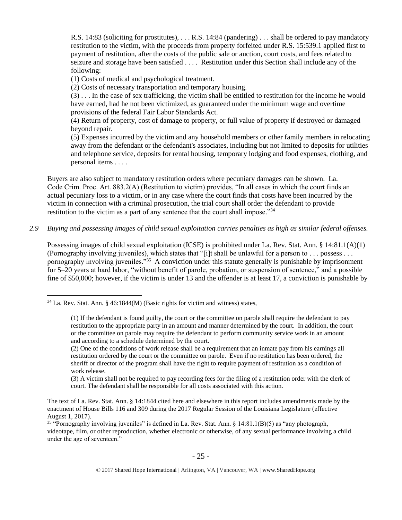R.S. 14:83 (soliciting for prostitutes), . . . R.S. 14:84 (pandering) . . . shall be ordered to pay mandatory restitution to the victim, with the proceeds from property forfeited under R.S. 15:539.1 applied first to payment of restitution, after the costs of the public sale or auction, court costs, and fees related to seizure and storage have been satisfied . . . . Restitution under this Section shall include any of the following:

(1) Costs of medical and psychological treatment.

(2) Costs of necessary transportation and temporary housing.

(3) . . . In the case of sex trafficking, the victim shall be entitled to restitution for the income he would have earned, had he not been victimized, as guaranteed under the minimum wage and overtime provisions of the federal Fair Labor Standards Act.

(4) Return of property, cost of damage to property, or full value of property if destroyed or damaged beyond repair.

<span id="page-24-0"></span>(5) Expenses incurred by the victim and any household members or other family members in relocating away from the defendant or the defendant's associates, including but not limited to deposits for utilities and telephone service, deposits for rental housing, temporary lodging and food expenses, clothing, and personal items . . . .

Buyers are also subject to mandatory restitution orders where pecuniary damages can be shown. La. Code Crim. Proc. Art. 883.2(A) (Restitution to victim) provides, "In all cases in which the court finds an actual pecuniary loss to a victim, or in any case where the court finds that costs have been incurred by the victim in connection with a criminal prosecution, the trial court shall order the defendant to provide restitution to the victim as a part of any sentence that the court shall impose."<sup>34</sup>

## *2.9 Buying and possessing images of child sexual exploitation carries penalties as high as similar federal offenses.*

Possessing images of child sexual exploitation (ICSE) is prohibited under La. Rev. Stat. Ann. § 14:81.1(A)(1) (Pornography involving juveniles), which states that "[i]t shall be unlawful for a person to . . . possess . . . pornography involving juveniles."<sup>35</sup> A conviction under this statute generally is punishable by imprisonment for 5–20 years at hard labor, "without benefit of parole, probation, or suspension of sentence," and a possible fine of \$50,000; however, if the victim is under 13 and the offender is at least 17, a conviction is punishable by

 $\overline{a}$ 

(3) A victim shall not be required to pay recording fees for the filing of a restitution order with the clerk of court. The defendant shall be responsible for all costs associated with this action.

 $34$  La. Rev. Stat. Ann. § 46:1844(M) (Basic rights for victim and witness) states,

<sup>(1)</sup> If the defendant is found guilty, the court or the committee on parole shall require the defendant to pay restitution to the appropriate party in an amount and manner determined by the court. In addition, the court or the committee on parole may require the defendant to perform community service work in an amount and according to a schedule determined by the court.

<sup>(2)</sup> One of the conditions of work release shall be a requirement that an inmate pay from his earnings all restitution ordered by the court or the committee on parole. Even if no restitution has been ordered, the sheriff or director of the program shall have the right to require payment of restitution as a condition of work release.

The text of La. Rev. Stat. Ann. § 14:1844 cited here and elsewhere in this report includes amendments made by the enactment of House Bills 116 and 309 during the 2017 Regular Session of the Louisiana Legislature (effective August 1, 2017).

<sup>&</sup>lt;sup>35</sup> "Pornography involving juveniles" is defined in La. Rev. Stat. Ann.  $\S$  14:81.1(B)(5) as "any photograph, videotape, film, or other reproduction, whether electronic or otherwise, of any sexual performance involving a child under the age of seventeen."

<sup>© 2017</sup> Shared Hope International | Arlington, VA | Vancouver, WA | www.SharedHope.org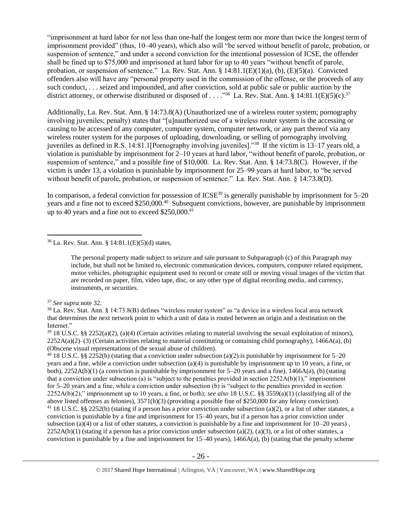"imprisonment at hard labor for not less than one-half the longest term nor more than twice the longest term of imprisonment provided" (thus, 10–40 years), which also will "be served without benefit of parole, probation, or suspension of sentence," and under a second conviction for the intentional possession of ICSE, the offender shall be fined up to \$75,000 and imprisoned at hard labor for up to 40 years "without benefit of parole, probation, or suspension of sentence." La. Rev. Stat. Ann. § 14:81.1(E)(1)(a), (b), (E)(5)(a). Convicted offenders also will have any "personal property used in the commission of the offense, or the proceeds of any such conduct, . . . seized and impounded, and after conviction, sold at public sale or public auction by the district attorney, or otherwise distributed or disposed of . . . . <sup>356</sup> La. Rev. Stat. Ann. § 14:81.1(E)(5)(c).<sup>37</sup>

Additionally, La. Rev. Stat. Ann. § 14:73.8(A) (Unauthorized use of a wireless router system; pornography involving juveniles; penalty) states that "[u]nauthorized use of a wireless router system is the accessing or causing to be accessed of any computer, computer system, computer network, or any part thereof via any wireless router system for the purposes of uploading, downloading, or selling of pornography involving juveniles as defined in R.S. 14:81.1[Pornography involving juveniles]."<sup>38</sup> If the victim is 13–17 years old, a violation is punishable by imprisonment for 2–10 years at hard labor, "without benefit of parole, probation, or suspension of sentence," and a possible fine of \$10,000. La. Rev. Stat. Ann. § 14:73.8(C). However, if the victim is under 13, a violation is punishable by imprisonment for 25–99 years at hard labor, to "be served without benefit of parole, probation, or suspension of sentence." La. Rev. Stat. Ann. § 14:73.8(D).

In comparison, a federal conviction for possession of  $ICSE<sup>39</sup>$  is generally punishable by imprisonment for  $5-20$ years and a fine not to exceed \$250,000.<sup>40</sup> Subsequent convictions, however, are punishable by imprisonment up to 40 years and a fine not to exceed \$250,000.<sup>41</sup>

<sup>36</sup> La. Rev. Stat. Ann. § 14:81.1(E)(5)(d) states,

The personal property made subject to seizure and sale pursuant to Subparagraph (c) of this Paragraph may include, but shall not be limited to, electronic communication devices, computers, computer related equipment, motor vehicles, photographic equipment used to record or create still or moving visual images of the victim that are recorded on paper, film, video tape, disc, or any other type of digital recording media, and currency, instruments, or securities.

 $\overline{a}$ 

<sup>40</sup> 18 U.S.C. §§ 2252(b) (stating that a conviction under subsection (a)(2) is punishable by imprisonment for 5–20 years and a fine, while a conviction under subsection (a)(4) is punishable by imprisonment up to 10 years, a fine, or both), 2252A(b)(1) (a conviction is punishable by imprisonment for 5–20 years and a fine), 1466A(a), (b) (stating that a conviction under subsection (a) is "subject to the penalties provided in section  $2252A(b)(1)$ ," imprisonment for 5–20 years and a fine, while a conviction under subsection (b) is "subject to the penalties provided in section 2252A(b)(2)," imprisonment up to 10 years, a fine, or both); *see also* 18 U.S.C. §§ 3559(a)(1) (classifying all of the above listed offenses as felonies), 3571(b)(3) (providing a possible fine of \$250,000 for any felony conviction). <sup>41</sup> 18 U.S.C. §§ 2252(b) (stating if a person has a prior conviction under subsection (a)(2), or a list of other statutes, a conviction is punishable by a fine and imprisonment for 15–40 years, but if a person has a prior conviction under subsection (a)(4) or a list of other statutes, a conviction is punishable by a fine and imprisonment for  $10-20$  years),  $2252A(b)(1)$  (stating if a person has a prior conviction under subsection (a)(2), (a)(3), or a list of other statutes, a conviction is punishable by a fine and imprisonment for  $15-40$  years),  $1466A(a)$ , (b) (stating that the penalty scheme

<sup>37</sup> *See supra* note [32.](#page-23-0)

<sup>38</sup> La. Rev. Stat. Ann. § 14:73.8(B) defines "wireless router system" as "a device in a wireless local area network that determines the next network point to which a unit of data is routed between an origin and a destination on the Internet."

 $39\,18$  U.S.C. §§ 2252(a)(2), (a)(4) (Certain activities relating to material involving the sexual exploitation of minors),  $2252A(a)(2)$ –(3) (Certain activities relating to material constituting or containing child pornography), 1466A(a), (b) (Obscene visual representations of the sexual abuse of children).

<sup>© 2017</sup> Shared Hope International | Arlington, VA | Vancouver, WA | www.SharedHope.org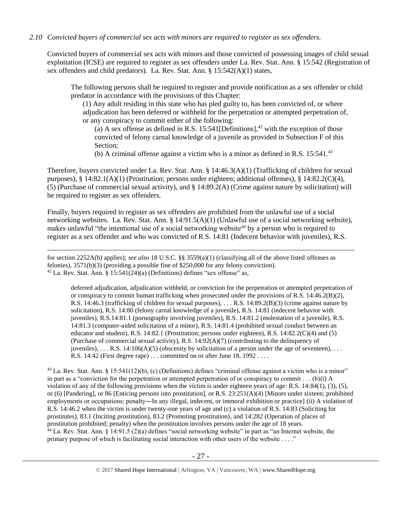## *2.10 Convicted buyers of commercial sex acts with minors are required to register as sex offenders.*

Convicted buyers of commercial sex acts with minors and those convicted of possessing images of child sexual exploitation (ICSE) are required to register as sex offenders under La. Rev. Stat. Ann. § 15:542 (Registration of sex offenders and child predators). La. Rev. Stat. Ann. § 15:542(A)(1) states,

The following persons shall be required to register and provide notification as a sex offender or child predator in accordance with the provisions of this Chapter:

(1) Any adult residing in this state who has pled guilty to, has been convicted of, or where adjudication has been deferred or withheld for the perpetration or attempted perpetration of, or any conspiracy to commit either of the following:

(a) A sex offense as defined in R.S. 15:541 [Definitions],<sup>42</sup> with the exception of those convicted of felony carnal knowledge of a juvenile as provided in Subsection F of this Section;

<span id="page-26-0"></span>(b) A criminal offense against a victim who is a minor as defined in R.S.  $15:541.^{43}$ 

Therefore, buyers convicted under La. Rev. Stat. Ann. § 14:46.3(A)(1) (Trafficking of children for sexual purposes),  $\S$  14:82.1(A)(1) (Prostitution; persons under eighteen; additional offenses),  $\S$  14:82.2(C)(4), (5) (Purchase of commercial sexual activity), and § 14:89.2(A) (Crime against nature by solicitation) will be required to register as sex offenders.

Finally, buyers required to register as sex offenders are prohibited from the unlawful use of a social networking websites. La. Rev. Stat. Ann. § 14:91.5(A)(1) (Unlawful use of a social networking website), makes unlawful "the intentional use of a social networking website<sup>44</sup> by a person who is required to register as a sex offender and who was convicted of R.S. 14:81 (Indecent behavior with juveniles), R.S.

for section 2252A(b) applies); *see also* 18 U.S.C. §§ 3559(a)(1) (classifying all of the above listed offenses as felonies), 3571(b)(3) (providing a possible fine of \$250,000 for any felony conviction).  $42$  La. Rev. Stat. Ann. § 15:541(24)(a) (Definitions) defines "sex offense" as,

 $\overline{a}$ 

deferred adjudication, adjudication withheld, or conviction for the perpetration or attempted perpetration of or conspiracy to commit human trafficking when prosecuted under the provisions of R.S. 14:46.2(B)(2), R.S. 14:46.3 (trafficking of children for sexual purposes), . . . R.S. 14:89.2(B)(3) (crime against nature by solicitation), R.S. 14:80 (felony carnal knowledge of a juvenile), R.S. 14:81 (indecent behavior with juveniles), R.S.14:81.1 (pornography involving juveniles), R.S. 14:81.2 (molestation of a juvenile), R.S. 14:81.3 (computer-aided solicitation of a minor), R.S. 14:81.4 (prohibited sexual conduct between an educator and student), R.S. 14:82.1 (Prostitution; persons under eighteen), R.S. 14:82.2(C)(4) and (5) (Purchase of commercial sexual activity), R.S.  $14:92(A)(7)$  (contributing to the delinquency of juveniles), ... R.S. 14:106(A)(5) (obscenity by solicitation of a person under the age of seventeen), ... R.S. 14:42 (First degree rape) . . . committed on or after June 18, 1992 . . . .

 $43$  La. Rev. Stat. Ann. § 15:541(12)(b), (c) (Definitions) defines "criminal offense against a victim who is a minor" in part as a "conviction for the perpetration or attempted perpetration of or conspiracy to commit . . . (b)(i) A violation of any of the following provisions when the victim is under eighteen years of age: R.S. 14:84(1), (3), (5), or (6) [Pandering], or 86 [Enticing persons into prostitution], or R.S. 23:251(A)(4) [Minors under sixteen; prohibited employments or occupations; penalty—In any illegal, indecent, or immoral exhibition or practice] (ii) A violation of R.S. 14:46.2 when the victim is under twenty-one years of age and (c) a violation of R.S. 14:83 (Soliciting for prostitutes), 83.1 (Inciting prostitution), 83.2 (Promoting prostitution), and 14:282 (Operation of places of prostitution prohibited; penalty) when the prostitution involves persons under the age of 18 years. <sup>44</sup> La. Rev. Stat. Ann. § 14:91.5 (2)(a) defines "social networking website" in part as "an Internet website, the primary purpose of which is facilitating social interaction with other users of the website . . . ."

<sup>© 2017</sup> Shared Hope International | Arlington, VA | Vancouver, WA | www.SharedHope.org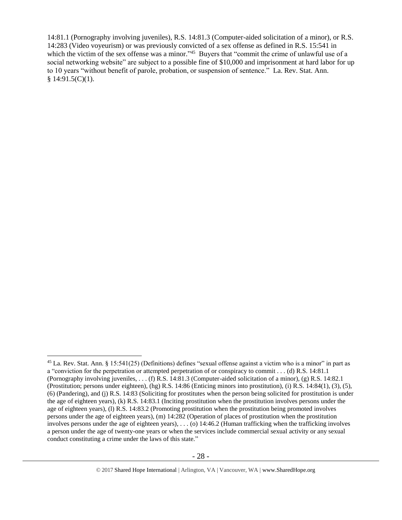<span id="page-27-0"></span>14:81.1 (Pornography involving juveniles), R.S. 14:81.3 (Computer-aided solicitation of a minor), or R.S. 14:283 (Video voyeurism) or was previously convicted of a sex offense as defined in R.S. 15:541 in which the victim of the sex offense was a minor."<sup>45</sup> Buyers that "commit the crime of unlawful use of a social networking website" are subject to a possible fine of \$10,000 and imprisonment at hard labor for up to 10 years "without benefit of parole, probation, or suspension of sentence." La. Rev. Stat. Ann.  $§ 14:91.5(C)(1).$ 

 $45$  La. Rev. Stat. Ann. § 15:541(25) (Definitions) defines "sexual offense against a victim who is a minor" in part as a "conviction for the perpetration or attempted perpetration of or conspiracy to commit . . . (d) R.S. 14:81.1 (Pornography involving juveniles, . . . (f) R.S. 14:81.3 (Computer-aided solicitation of a minor), (g) R.S. 14:82.1 (Prostitution; persons under eighteen), (hg) R.S. 14:86 (Enticing minors into prostitution), (i) R.S. 14:84(1), (3), (5), (6) (Pandering), and (j) R.S. 14:83 (Soliciting for prostitutes when the person being solicited for prostitution is under the age of eighteen years), (k) R.S. 14:83.1 (Inciting prostitution when the prostitution involves persons under the age of eighteen years), (l) R.S. 14:83.2 (Promoting prostitution when the prostitution being promoted involves persons under the age of eighteen years), (m) 14:282 (Operation of places of prostitution when the prostitution involves persons under the age of eighteen years), . . . (o) 14:46.2 (Human trafficking when the trafficking involves a person under the age of twenty-one years or when the services include commercial sexual activity or any sexual conduct constituting a crime under the laws of this state."

<sup>© 2017</sup> Shared Hope International | Arlington, VA | Vancouver, WA | www.SharedHope.org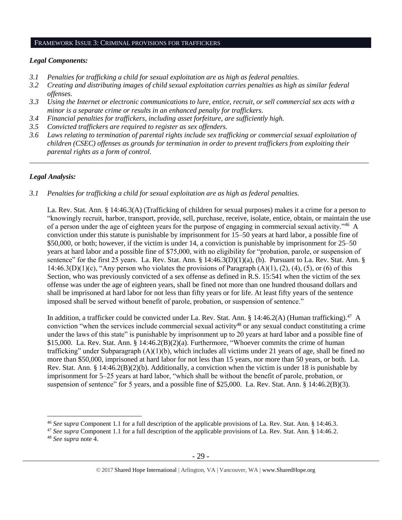#### FRAMEWORK ISSUE 3: CRIMINAL PROVISIONS FOR TRAFFICKERS

#### *Legal Components:*

- *3.1 Penalties for trafficking a child for sexual exploitation are as high as federal penalties.*
- *3.2 Creating and distributing images of child sexual exploitation carries penalties as high as similar federal offenses.*
- *3.3 Using the Internet or electronic communications to lure, entice, recruit, or sell commercial sex acts with a minor is a separate crime or results in an enhanced penalty for traffickers.*
- *3.4 Financial penalties for traffickers, including asset forfeiture, are sufficiently high.*
- *3.5 Convicted traffickers are required to register as sex offenders.*
- *3.6 Laws relating to termination of parental rights include sex trafficking or commercial sexual exploitation of children (CSEC) offenses as grounds for termination in order to prevent traffickers from exploiting their parental rights as a form of control.*

*\_\_\_\_\_\_\_\_\_\_\_\_\_\_\_\_\_\_\_\_\_\_\_\_\_\_\_\_\_\_\_\_\_\_\_\_\_\_\_\_\_\_\_\_\_\_\_\_\_\_\_\_\_\_\_\_\_\_\_\_\_\_\_\_\_\_\_\_\_\_\_\_\_\_\_\_\_\_\_\_\_\_\_\_\_\_\_\_\_\_\_\_\_\_*

## *Legal Analysis:*

 $\overline{a}$ 

*3.1 Penalties for trafficking a child for sexual exploitation are as high as federal penalties.*

La. Rev. Stat. Ann. § 14:46.3(A) (Trafficking of children for sexual purposes) makes it a crime for a person to "knowingly recruit, harbor, transport, provide, sell, purchase, receive, isolate, entice, obtain, or maintain the use of a person under the age of eighteen years for the purpose of engaging in commercial sexual activity."<sup>46</sup> A conviction under this statute is punishable by imprisonment for 15–50 years at hard labor, a possible fine of \$50,000, or both; however, if the victim is under 14, a conviction is punishable by imprisonment for 25–50 years at hard labor and a possible fine of \$75,000, with no eligibility for "probation, parole, or suspension of sentence" for the first 25 years. La. Rev. Stat. Ann. § 14:46.3(D)(1)(a), (b). Pursuant to La. Rev. Stat. Ann. § 14:46.3(D)(1)(c), "Any person who violates the provisions of Paragraph (A)(1), (2), (4), (5), or (6) of this Section, who was previously convicted of a sex offense as defined in R.S. 15:541 when the victim of the sex offense was under the age of eighteen years, shall be fined not more than one hundred thousand dollars and shall be imprisoned at hard labor for not less than fifty years or for life. At least fifty years of the sentence imposed shall be served without benefit of parole, probation, or suspension of sentence."

In addition, a trafficker could be convicted under La. Rev. Stat. Ann. § 14:46.2(A) (Human trafficking).<sup>47</sup> A conviction "when the services include commercial sexual activity<sup>48</sup> or any sexual conduct constituting a crime under the laws of this state" is punishable by imprisonment up to 20 years at hard labor and a possible fine of \$15,000. La. Rev. Stat. Ann. § 14:46.2(B)(2)(a). Furthermore, "Whoever commits the crime of human trafficking" under Subparagraph  $(A)(1)(b)$ , which includes all victims under 21 years of age, shall be fined no more than \$50,000, imprisoned at hard labor for not less than 15 years, nor more than 50 years, or both. La. Rev. Stat. Ann. § 14:46.2(B)(2)(b). Additionally, a conviction when the victim is under 18 is punishable by imprisonment for 5–25 years at hard labor, "which shall be without the benefit of parole, probation, or suspension of sentence" for 5 years, and a possible fine of \$25,000. La. Rev. Stat. Ann. § 14:46.2(B)(3).

<sup>46</sup> *See supra* Component 1.1 for a full description of the applicable provisions of La. Rev. Stat. Ann. § 14:46.3.

<sup>47</sup> *See supra* Component 1.1 for a full description of the applicable provisions of La. Rev. Stat. Ann. § 14:46.2. <sup>48</sup> *See supra* note [4.](#page-1-0)

<sup>© 2017</sup> Shared Hope International | Arlington, VA | Vancouver, WA | www.SharedHope.org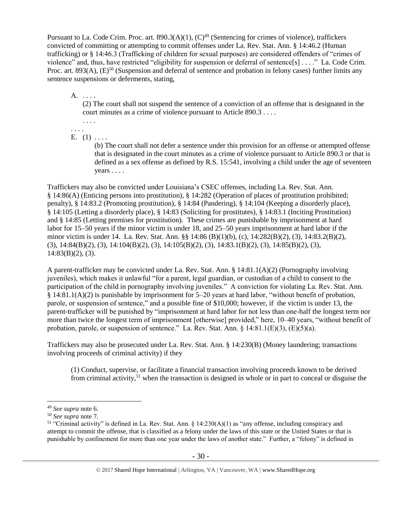Pursuant to La. Code Crim. Proc. art.  $890.3(A)(1)$ ,  $(C)^{49}$  (Sentencing for crimes of violence), traffickers convicted of committing or attempting to commit offenses under La. Rev. Stat. Ann. § 14:46.2 (Human trafficking) or § 14:46.3 (Trafficking of children for sexual purposes) are considered offenders of "crimes of violence" and, thus, have restricted "eligibility for suspension or deferral of sentence[s] . . . ." La. Code Crim. Proc. art. 893(A),  $(E)^{50}$  (Suspension and deferral of sentence and probation in felony cases) further limits any sentence suspensions or deferments, stating,

A. . . . .

(2) The court shall not suspend the sentence of a conviction of an offense that is designated in the court minutes as a crime of violence pursuant to Article 890.3 . . . .

. . . . . . . .

E.  $(1) \ldots$ 

(b) The court shall not defer a sentence under this provision for an offense or attempted offense that is designated in the court minutes as a crime of violence pursuant to Article 890.3 or that is defined as a sex offense as defined by R.S. 15:541, involving a child under the age of seventeen years . . . .

Traffickers may also be convicted under Louisiana's CSEC offenses, including La. Rev. Stat. Ann. § 14:86(A) (Enticing persons into prostitution), § 14:282 (Operation of places of prostitution prohibited; penalty), § 14:83.2 (Promoting prostitution), § 14:84 (Pandering), § 14:104 (Keeping a disorderly place), § 14:105 (Letting a disorderly place), § 14:83 (Soliciting for prostitutes), § 14:83.1 (Inciting Prostitution) and § 14:85 (Letting premises for prostitution). These crimes are punishable by imprisonment at hard labor for 15–50 years if the minor victim is under 18, and 25–50 years imprisonment at hard labor if the minor victim is under 14. La. Rev. Stat. Ann. §§ 14:86 (B)(1)(b), (c), 14:282(B)(2), (3), 14:83.2(B)(2), (3), 14:84(B)(2), (3), 14:104(B)(2), (3), 14:105(B)(2), (3), 14:83.1(B)(2), (3), 14:85(B)(2), (3),  $14:83(B)(2)$ , (3).

A parent-trafficker may be convicted under La. Rev. Stat. Ann. § 14:81.1(A)(2) (Pornography involving juveniles), which makes it unlawful "for a parent, legal guardian, or custodian of a child to consent to the participation of the child in pornography involving juveniles." A conviction for violating La. Rev. Stat. Ann. § 14:81.1(A)(2) is punishable by imprisonment for 5–20 years at hard labor, "without benefit of probation, parole, or suspension of sentence," and a possible fine of \$10,000; however, if the victim is under 13, the parent-trafficker will be punished by "imprisonment at hard labor for not less than one-half the longest term nor more than twice the longest term of imprisonment [otherwise] provided," here, 10–40 years, "without benefit of probation, parole, or suspension of sentence." La. Rev. Stat. Ann.  $\S$  14:81.1(E)(3), (E)(5)(a).

Traffickers may also be prosecuted under La. Rev. Stat. Ann. § 14:230(B) (Money laundering; transactions involving proceeds of criminal activity) if they

(1) Conduct, supervise, or facilitate a financial transaction involving proceeds known to be derived from criminal activity,<sup>51</sup> when the transaction is designed in whole or in part to conceal or disguise the

<sup>49</sup> *See supra* note [6.](#page-3-0)

<sup>50</sup> *See supra* note [7.](#page-3-1)

<sup>&</sup>lt;sup>51</sup> "Criminal activity" is defined in La. Rev. Stat. Ann.  $\S$  14:230(A)(1) as "any offense, including conspiracy and attempt to commit the offense, that is classified as a felony under the laws of this state or the United States or that is punishable by confinement for more than one year under the laws of another state." Further, a "felony" is defined in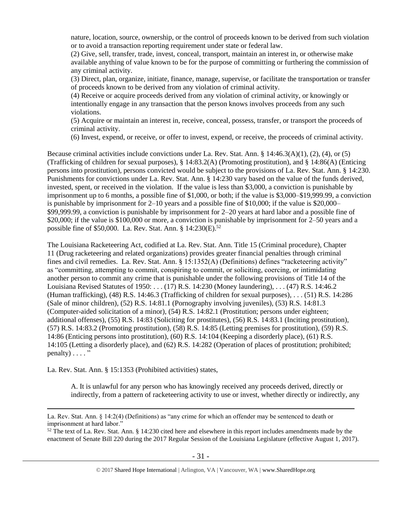nature, location, source, ownership, or the control of proceeds known to be derived from such violation or to avoid a transaction reporting requirement under state or federal law.

(2) Give, sell, transfer, trade, invest, conceal, transport, maintain an interest in, or otherwise make available anything of value known to be for the purpose of committing or furthering the commission of any criminal activity.

(3) Direct, plan, organize, initiate, finance, manage, supervise, or facilitate the transportation or transfer of proceeds known to be derived from any violation of criminal activity.

(4) Receive or acquire proceeds derived from any violation of criminal activity, or knowingly or intentionally engage in any transaction that the person knows involves proceeds from any such violations.

(5) Acquire or maintain an interest in, receive, conceal, possess, transfer, or transport the proceeds of criminal activity.

(6) Invest, expend, or receive, or offer to invest, expend, or receive, the proceeds of criminal activity.

Because criminal activities include convictions under La. Rev. Stat. Ann. § 14:46.3(A)(1), (2), (4), or (5) (Trafficking of children for sexual purposes), § 14:83.2(A) (Promoting prostitution), and § 14:86(A) (Enticing persons into prostitution), persons convicted would be subject to the provisions of La. Rev. Stat. Ann. § 14:230. Punishments for convictions under La. Rev. Stat. Ann. § 14:230 vary based on the value of the funds derived, invested, spent, or received in the violation. If the value is less than \$3,000, a conviction is punishable by imprisonment up to 6 months, a possible fine of \$1,000, or both; if the value is \$3,000–\$19,999.99, a conviction is punishable by imprisonment for 2–10 years and a possible fine of \$10,000; if the value is \$20,000– \$99,999.99, a conviction is punishable by imprisonment for 2–20 years at hard labor and a possible fine of \$20,000; if the value is \$100,000 or more, a conviction is punishable by imprisonment for 2–50 years and a possible fine of \$50,000. La. Rev. Stat. Ann. §  $14:230(E)$ .<sup>52</sup>

<span id="page-30-0"></span>The Louisiana Racketeering Act, codified at La. Rev. Stat. Ann. Title 15 (Criminal procedure), Chapter 11 (Drug racketeering and related organizations) provides greater financial penalties through criminal fines and civil remedies. La. Rev. Stat. Ann. § 15:1352(A) (Definitions) defines "racketeering activity" as "committing, attempting to commit, conspiring to commit, or soliciting, coercing, or intimidating another person to commit any crime that is punishable under the following provisions of Title 14 of the Louisiana Revised Statutes of 1950: . . . (17) [R.S. 14:230](https://owa.regent.edu/owa/redir.aspx?C=0e2d79adea07471dbdda445e0bdec5a1&URL=https%3a%2f%2fwww.lexis.com%2fresearch%2fbuttonTFLink%3f_m%3d77bedd41a1d353e2f7fb983c7e7d9776%26_xfercite%3d%253ccite%2520cc%253d%2522USA%2522%253e%253c%2521%255bCDATA%255bLa.%2520R.S.%252015%253a1352%255d%255d%253e%253c%252fcite%253e%26_butType%3d4%26_butStat%3d0%26_butNum%3d17%26_butInline%3d1%26_butinfo%3dLACODE%252014%253a230%26_fmtstr%3dFULL%26docnum%3d1%26_startdoc%3d1%26wchp%3ddGLbVzS-zSkAA%26_md5%3d250b0b7bf18842c9490cfcc3fc704d6e) (Money laundering), . . . (47) R.S. 14:46.2 (Human trafficking), (48) R.S. 14:46.3 (Trafficking of children for sexual purposes), . . . (51) R.S. 14:286 (Sale of minor children), (52) R.S. 14:81.1 (Pornography involving juveniles), (53) R.S. 14:81.3 (Computer-aided solicitation of a minor), (54) R.S. 14:82.1 (Prostitution; persons under eighteen; additional offenses), (55) R.S. 14:83 (Soliciting for prostitutes), (56) R.S. 14:83.1 (Inciting prostitution), (57) R.S. 14:83.2 (Promoting prostitution), (58) R.S. 14:85 (Letting premises for prostitution), (59) R.S. 14:86 (Enticing persons into prostitution), (60) R.S. 14:104 (Keeping a disorderly place), (61) R.S. 14:105 (Letting a disorderly place), and (62) R.S. 14:282 (Operation of places of prostitution; prohibited;  $penalty$ )  $\dots$  ."

La. Rev. Stat. Ann. § 15:1353 (Prohibited activities) states,

 $\overline{a}$ 

A. It is unlawful for any person who has knowingly received any proceeds derived, directly or indirectly, from a pattern of racketeering activity to use or invest, whether directly or indirectly, any

La. Rev. Stat. Ann. § 14:2(4) (Definitions) as "any crime for which an offender may be sentenced to death or imprisonment at hard labor."

 $52$  The text of La. Rev. Stat. Ann. § 14:230 cited here and elsewhere in this report includes amendments made by the enactment of Senate Bill 220 during the 2017 Regular Session of the Louisiana Legislature (effective August 1, 2017).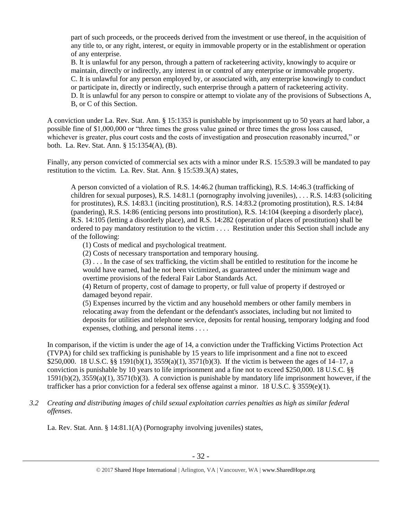part of such proceeds, or the proceeds derived from the investment or use thereof, in the acquisition of any title to, or any right, interest, or equity in immovable property or in the establishment or operation of any enterprise.

B. It is unlawful for any person, through a pattern of racketeering activity, knowingly to acquire or maintain, directly or indirectly, any interest in or control of any enterprise or immovable property. C. It is unlawful for any person employed by, or associated with, any enterprise knowingly to conduct or participate in, directly or indirectly, such enterprise through a pattern of racketeering activity. D. It is unlawful for any person to conspire or attempt to violate any of the provisions of Subsections A, B, or C of this Section.

A conviction under La. Rev. Stat. Ann. § 15:1353 is punishable by imprisonment up to 50 years at hard labor, a possible fine of \$1,000,000 or "three times the gross value gained or three times the gross loss caused, whichever is greater, plus court costs and the costs of investigation and prosecution reasonably incurred," or both. La. Rev. Stat. Ann. § 15:1354(A), (B).

Finally, any person convicted of commercial sex acts with a minor under R.S. 15:539.3 will be mandated to pay restitution to the victim. La. Rev. Stat. Ann. § 15:539.3(A) states,

A person convicted of a violation of R.S. 14:46.2 (human trafficking), R.S. 14:46.3 (trafficking of children for sexual purposes), R.S. 14:81.1 (pornography involving juveniles), . . . R.S. 14:83 (soliciting for prostitutes), R.S. 14:83.1 (inciting prostitution), R.S. 14:83.2 (promoting prostitution), R.S. 14:84 (pandering), R.S. 14:86 (enticing persons into prostitution), R.S. 14:104 (keeping a disorderly place), R.S. 14:105 (letting a disorderly place), and R.S. 14:282 (operation of places of prostitution) shall be ordered to pay mandatory restitution to the victim . . . . Restitution under this Section shall include any of the following:

(1) Costs of medical and psychological treatment.

(2) Costs of necessary transportation and temporary housing.

(3) . . . In the case of sex trafficking, the victim shall be entitled to restitution for the income he would have earned, had he not been victimized, as guaranteed under the minimum wage and overtime provisions of the federal Fair Labor Standards Act.

(4) Return of property, cost of damage to property, or full value of property if destroyed or damaged beyond repair.

(5) Expenses incurred by the victim and any household members or other family members in relocating away from the defendant or the defendant's associates, including but not limited to deposits for utilities and telephone service, deposits for rental housing, temporary lodging and food expenses, clothing, and personal items . . . .

In comparison, if the victim is under the age of 14, a conviction under the Trafficking Victims Protection Act (TVPA) for child sex trafficking is punishable by 15 years to life imprisonment and a fine not to exceed \$250,000. 18 U.S.C. §§ 1591(b)(1), 3559(a)(1), 3571(b)(3). If the victim is between the ages of 14–17, a conviction is punishable by 10 years to life imprisonment and a fine not to exceed \$250,000. 18 U.S.C. §§ 1591(b)(2), 3559(a)(1), 3571(b)(3). A conviction is punishable by mandatory life imprisonment however, if the trafficker has a prior conviction for a federal sex offense against a minor. 18 U.S.C. § 3559(e)(1).

*3.2 Creating and distributing images of child sexual exploitation carries penalties as high as similar federal offenses*.

La. Rev. Stat. Ann. § 14:81.1(A) (Pornography involving juveniles) states,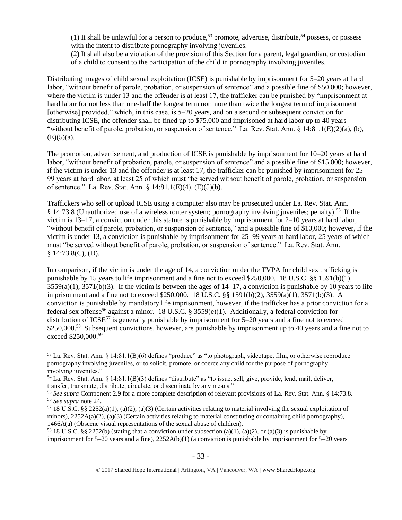(1) It shall be unlawful for a person to produce,<sup>53</sup> promote, advertise, distribute,<sup>54</sup> possess, or possess with the intent to distribute pornography involving juveniles.

(2) It shall also be a violation of the provision of this Section for a parent, legal guardian, or custodian of a child to consent to the participation of the child in pornography involving juveniles.

Distributing images of child sexual exploitation (ICSE) is punishable by imprisonment for 5–20 years at hard labor, "without benefit of parole, probation, or suspension of sentence" and a possible fine of \$50,000; however, where the victim is under 13 and the offender is at least 17, the trafficker can be punished by "imprisonment at hard labor for not less than one-half the longest term nor more than twice the longest term of imprisonment [otherwise] provided," which, in this case, is 5–20 years, and on a second or subsequent conviction for distributing ICSE, the offender shall be fined up to \$75,000 and imprisoned at hard labor up to 40 years "without benefit of parole, probation, or suspension of sentence." La. Rev. Stat. Ann. § 14:81.1(E)(2)(a), (b),  $(E)(5)(a)$ .

The promotion, advertisement, and production of ICSE is punishable by imprisonment for 10–20 years at hard labor, "without benefit of probation, parole, or suspension of sentence" and a possible fine of \$15,000; however, if the victim is under 13 and the offender is at least 17, the trafficker can be punished by imprisonment for 25– 99 years at hard labor, at least 25 of which must "be served without benefit of parole, probation, or suspension of sentence." La. Rev. Stat. Ann. § 14:81.1(E)(4), (E)(5)(b).

Traffickers who sell or upload ICSE using a computer also may be prosecuted under La. Rev. Stat. Ann. § 14:73.8 (Unauthorized use of a wireless router system; pornography involving juveniles; penalty).<sup>55</sup> If the victim is 13–17, a conviction under this statute is punishable by imprisonment for 2–10 years at hard labor, "without benefit of parole, probation, or suspension of sentence," and a possible fine of \$10,000; however, if the victim is under 13, a conviction is punishable by imprisonment for 25–99 years at hard labor, 25 years of which must "be served without benefit of parole, probation, or suspension of sentence." La. Rev. Stat. Ann. § 14:73.8(C), (D).

In comparison, if the victim is under the age of 14, a conviction under the TVPA for child sex trafficking is punishable by 15 years to life imprisonment and a fine not to exceed \$250,000. 18 U.S.C. §§ 1591(b)(1),  $3559(a)(1)$ ,  $3571(b)(3)$ . If the victim is between the ages of  $14-17$ , a conviction is punishable by 10 years to life imprisonment and a fine not to exceed \$250,000. 18 U.S.C. §§ 1591(b)(2), 3559(a)(1), 3571(b)(3). A conviction is punishable by mandatory life imprisonment, however, if the trafficker has a prior conviction for a federal sex offense<sup>56</sup> against a minor. 18 U.S.C. § 3559(e)(1). Additionally, a federal conviction for distribution of  $ICSE^{57}$  is generally punishable by imprisonment for 5–20 years and a fine not to exceed \$250,000.<sup>58</sup> Subsequent convictions, however, are punishable by imprisonment up to 40 years and a fine not to exceed \$250,000.<sup>59</sup>

<sup>53</sup> La. Rev. Stat. Ann. § 14:81.1(B)(6) defines "produce" as "to photograph, videotape, film, or otherwise reproduce pornography involving juveniles, or to solicit, promote, or coerce any child for the purpose of pornography involving juveniles."

<sup>54</sup> La. Rev. Stat. Ann. § 14:81.1(B)(3) defines "distribute" as "to issue, sell, give, provide, lend, mail, deliver, transfer, transmute, distribute, circulate, or disseminate by any means."

<sup>55</sup> *See supra* Component 2.9 for a more complete description of relevant provisions of La. Rev. Stat. Ann. § 14:73.8. <sup>56</sup> *See supra* note [24.](#page-18-0)

<sup>&</sup>lt;sup>57</sup> 18 U.S.C. §§ 2252(a)(1), (a)(2), (a)(3) (Certain activities relating to material involving the sexual exploitation of minors),  $2252A(a)(2)$ , (a)(3) (Certain activities relating to material constituting or containing child pornography), 1466A(a) (Obscene visual representations of the sexual abuse of children).

<sup>&</sup>lt;sup>58</sup> 18 U.S.C. §§ 2252(b) (stating that a conviction under subsection (a)(1), (a)(2), or (a)(3) is punishable by imprisonment for 5–20 years and a fine), 2252A(b)(1) (a conviction is punishable by imprisonment for 5–20 years

<sup>© 2017</sup> Shared Hope International | Arlington, VA | Vancouver, WA | www.SharedHope.org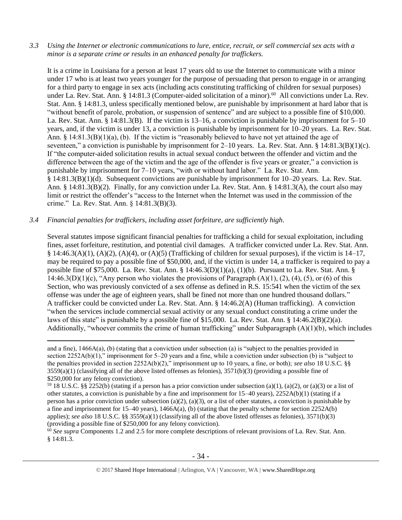*3.3 Using the Internet or electronic communications to lure, entice, recruit, or sell commercial sex acts with a minor is a separate crime or results in an enhanced penalty for traffickers.*

It is a crime in Louisiana for a person at least 17 years old to use the Internet to communicate with a minor under 17 who is at least two years younger for the purpose of persuading that person to engage in or arranging for a third party to engage in sex acts (including acts constituting trafficking of children for sexual purposes) under La. Rev. Stat. Ann. § 14:81.3 (Computer-aided solicitation of a minor).<sup>60</sup> All convictions under La. Rev. Stat. Ann. § 14:81.3, unless specifically mentioned below, are punishable by imprisonment at hard labor that is "without benefit of parole, probation, or suspension of sentence" and are subject to a possible fine of \$10,000. La. Rev. Stat. Ann. § 14:81.3(B). If the victim is 13–16, a conviction is punishable by imprisonment for 5–10 years, and, if the victim is under 13, a conviction is punishable by imprisonment for 10–20 years. La. Rev. Stat. Ann. § 14:81.3(B)(1)(a), (b). If the victim is "reasonably believed to have not yet attained the age of seventeen," a conviction is punishable by imprisonment for 2–10 years. La. Rev. Stat. Ann. § 14:81.3(B)(1)(c). If "the computer-aided solicitation results in actual sexual conduct between the offender and victim and the difference between the age of the victim and the age of the offender is five years or greater," a conviction is punishable by imprisonment for 7–10 years, "with or without hard labor." La. Rev. Stat. Ann. § 14:81.3(B)(1)(d). Subsequent convictions are punishable by imprisonment for 10–20 years. La. Rev. Stat. Ann. § 14:81.3(B)(2). Finally, for any conviction under La. Rev. Stat. Ann. § 14:81.3(A), the court also may limit or restrict the offender's "access to the Internet when the Internet was used in the commission of the crime." La. Rev. Stat. Ann. § 14:81.3(B)(3).

## *3.4 Financial penalties for traffickers, including asset forfeiture, are sufficiently high*.

 $\overline{a}$ 

Several statutes impose significant financial penalties for trafficking a child for sexual exploitation, including fines, asset forfeiture, restitution, and potential civil damages. A trafficker convicted under La. Rev. Stat. Ann. §  $14:46.3(A)(1)$ ,  $(A)(2)$ ,  $(A)(4)$ , or  $(A)(5)$  (Trafficking of children for sexual purposes), if the victim is  $14-17$ , may be required to pay a possible fine of \$50,000, and, if the victim is under 14, a trafficker is required to pay a possible fine of \$75,000. La. Rev. Stat. Ann. § 14:46.3(D)(1)(a), (1)(b). Pursuant to La. Rev. Stat. Ann. § 14:46.3(D)(1)(c), "Any person who violates the provisions of Paragraph  $(A)(1)$ ,  $(2)$ ,  $(4)$ ,  $(5)$ , or  $(6)$  of this Section, who was previously convicted of a sex offense as defined in R.S. 15:541 when the victim of the sex offense was under the age of eighteen years, shall be fined not more than one hundred thousand dollars." A trafficker could be convicted under La. Rev. Stat. Ann. § 14:46.2(A) (Human trafficking). A conviction "when the services include commercial sexual activity or any sexual conduct constituting a crime under the laws of this state" is punishable by a possible fine of \$15,000. La. Rev. Stat. Ann. § 14:46.2(B)(2)(a). Additionally, "whoever commits the crime of human trafficking" under Subparagraph (A)(1)(b), which includes

<sup>60</sup> See supra Components 1.2 and 2.5 for more complete descriptions of relevant provisions of La. Rev. Stat. Ann. § 14:81.3.

and a fine), 1466A(a), (b) (stating that a conviction under subsection (a) is "subject to the penalties provided in section 2252A(b)(1)," imprisonment for 5–20 years and a fine, while a conviction under subsection (b) is "subject to the penalties provided in section 2252A(b)(2)," imprisonment up to 10 years, a fine, or both); *see also* 18 U.S.C. §§  $3559(a)(1)$  (classifying all of the above listed offenses as felonies),  $3571(b)(3)$  (providing a possible fine of \$250,000 for any felony conviction).

<sup>&</sup>lt;sup>59</sup> 18 U.S.C. §§ 2252(b) (stating if a person has a prior conviction under subsection (a)(1), (a)(2), or (a)(3) or a list of other statutes, a conviction is punishable by a fine and imprisonment for 15–40 years), 2252A(b)(1) (stating if a person has a prior conviction under subsection (a)(2), (a)(3), or a list of other statutes, a conviction is punishable by a fine and imprisonment for  $15-40$  years),  $1466A(a)$ , (b) (stating that the penalty scheme for section  $2252A(b)$ applies); *see also* 18 U.S.C. §§ 3559(a)(1) (classifying all of the above listed offenses as felonies), 3571(b)(3) (providing a possible fine of \$250,000 for any felony conviction).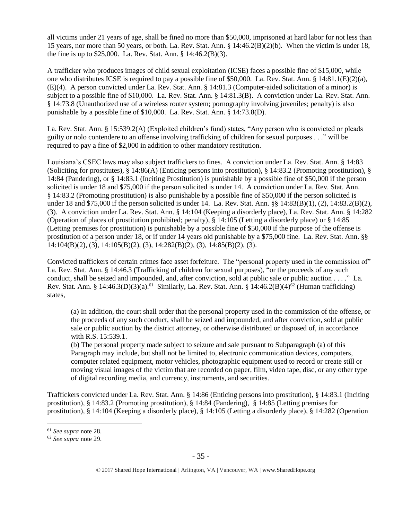all victims under 21 years of age, shall be fined no more than \$50,000, imprisoned at hard labor for not less than 15 years, nor more than 50 years, or both. La. Rev. Stat. Ann. § 14:46.2(B)(2)(b). When the victim is under 18, the fine is up to \$25,000. La. Rev. Stat. Ann. § 14:46.2(B)(3).

A trafficker who produces images of child sexual exploitation (ICSE) faces a possible fine of \$15,000, while one who distributes ICSE is required to pay a possible fine of \$50,000. La. Rev. Stat. Ann. § 14:81.1(E)(2)(a), (E)(4). A person convicted under La. Rev. Stat. Ann. § 14:81.3 (Computer-aided solicitation of a minor) is subject to a possible fine of \$10,000. La. Rev. Stat. Ann. § 14:81.3(B). A conviction under La. Rev. Stat. Ann. § 14:73.8 (Unauthorized use of a wireless router system; pornography involving juveniles; penalty) is also punishable by a possible fine of \$10,000. La. Rev. Stat. Ann. § 14:73.8(D).

La. Rev. Stat. Ann. § 15:539.2(A) (Exploited children's fund) states, "Any person who is convicted or pleads guilty or nolo contendere to an offense involving trafficking of children for sexual purposes . . ." will be required to pay a fine of \$2,000 in addition to other mandatory restitution.

Louisiana's CSEC laws may also subject traffickers to fines. A conviction under La. Rev. Stat. Ann. § 14:83 (Soliciting for prostitutes),  $\S$  14:86(A) (Enticing persons into prostitution),  $\S$  14:83.2 (Promoting prostitution),  $\S$ 14:84 (Pandering), or § 14:83.1 (Inciting Prostitution) is punishable by a possible fine of \$50,000 if the person solicited is under 18 and \$75,000 if the person solicited is under 14. A conviction under La. Rev. Stat. Ann. § 14:83.2 (Promoting prostitution) is also punishable by a possible fine of \$50,000 if the person solicited is under 18 and \$75,000 if the person solicited is under 14. La. Rev. Stat. Ann. §§ 14:83(B)(1), (2), 14:83.2(B)(2), (3). A conviction under La. Rev. Stat. Ann. § 14:104 (Keeping a disorderly place), La. Rev. Stat. Ann. § 14:282 (Operation of places of prostitution prohibited; penalty), § 14:105 (Letting a disorderly place) or § 14:85 (Letting premises for prostitution) is punishable by a possible fine of \$50,000 if the purpose of the offense is prostitution of a person under 18, or if under 14 years old punishable by a \$75,000 fine. La. Rev. Stat. Ann. §§ 14:104(B)(2), (3), 14:105(B)(2), (3), 14:282(B)(2), (3), 14:85(B)(2), (3).

Convicted traffickers of certain crimes face asset forfeiture. The "personal property used in the commission of" La. Rev. Stat. Ann. § 14:46.3 (Trafficking of children for sexual purposes), "or the proceeds of any such conduct, shall be seized and impounded, and, after conviction, sold at public sale or public auction . . . ." La. Rev. Stat. Ann. § 14:46.3(D)(3)(a).<sup>61</sup> Similarly, La. Rev. Stat. Ann. § 14:46.2(B)(4)<sup>62</sup> (Human trafficking) states,

(a) In addition, the court shall order that the personal property used in the commission of the offense, or the proceeds of any such conduct, shall be seized and impounded, and after conviction, sold at public sale or public auction by the district attorney, or otherwise distributed or disposed of, in accordance with R.S. 15:539.1.

(b) The personal property made subject to seizure and sale pursuant to Subparagraph (a) of this Paragraph may include, but shall not be limited to, electronic communication devices, computers, computer related equipment, motor vehicles, photographic equipment used to record or create still or moving visual images of the victim that are recorded on paper, film, video tape, disc, or any other type of digital recording media, and currency, instruments, and securities.

Traffickers convicted under La. Rev. Stat. Ann. § 14:86 (Enticing persons into prostitution), § 14:83.1 (Inciting prostitution), § 14:83.2 (Promoting prostitution), § 14:84 (Pandering), § 14:85 (Letting premises for prostitution), § 14:104 (Keeping a disorderly place), § 14:105 (Letting a disorderly place), § 14:282 (Operation

<sup>61</sup> *See supra* note [28.](#page-22-0)

<sup>62</sup> *See supra* note [29.](#page-22-1)

<sup>© 2017</sup> Shared Hope International | Arlington, VA | Vancouver, WA | www.SharedHope.org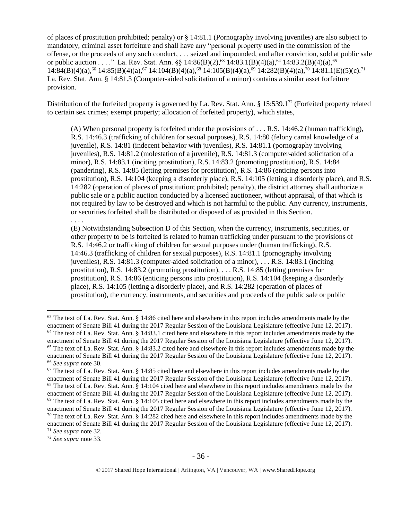of places of prostitution prohibited; penalty) or § 14:81.1 (Pornography involving juveniles) are also subject to mandatory, criminal asset forfeiture and shall have any "personal property used in the commission of the offense, or the proceeds of any such conduct, . . . seized and impounded, and after conviction, sold at public sale or public auction . . . ." La. Rev. Stat. Ann. §§ 14:86(B)(2),<sup>63</sup> 14:83.1(B)(4)(a),<sup>64</sup> 14:83.2(B)(4)(a),<sup>65</sup>  $14:84(B)(4)(a)$ ,<sup>66</sup>  $14:85(B)(4)(a)$ ,<sup>67</sup>  $14:104(B)(4)(a)$ ,<sup>68</sup>  $14:105(B)(4)(a)$ ,<sup>69</sup>  $14:282(B)(4)(a)$ ,<sup>70</sup>  $14:81.1(E)(5)(c)$ .<sup>71</sup> La. Rev. Stat. Ann. § 14:81.3 (Computer-aided solicitation of a minor) contains a similar asset forfeiture provision.

Distribution of the forfeited property is governed by La. Rev. Stat. Ann. § 15:539.1<sup>72</sup> (Forfeited property related to certain sex crimes; exempt property; allocation of forfeited property), which states,

<span id="page-35-5"></span><span id="page-35-4"></span><span id="page-35-3"></span><span id="page-35-2"></span><span id="page-35-1"></span><span id="page-35-0"></span>(A) When personal property is forfeited under the provisions of . . . R.S. 14:46.2 (human trafficking), R.S. 14:46.3 (trafficking of children for sexual purposes), R.S. 14:80 (felony carnal knowledge of a juvenile), R.S. 14:81 (indecent behavior with juveniles), R.S. 14:81.1 (pornography involving juveniles), R.S. 14:81.2 (molestation of a juvenile), R.S. 14:81.3 (computer-aided solicitation of a minor), R.S. 14:83.1 (inciting prostitution), R.S. 14:83.2 (promoting prostitution), R.S. 14:84 (pandering), R.S. 14:85 (letting premises for prostitution), R.S. 14:86 (enticing persons into prostitution), R.S. 14:104 (keeping a disorderly place), R.S. 14:105 (letting a disorderly place), and R.S. 14:282 (operation of places of prostitution; prohibited; penalty), the district attorney shall authorize a public sale or a public auction conducted by a licensed auctioneer, without appraisal, of that which is not required by law to be destroyed and which is not harmful to the public. Any currency, instruments, or securities forfeited shall be distributed or disposed of as provided in this Section.

. . . .

 $\overline{a}$ 

(E) Notwithstanding Subsection D of this Section, when the currency, instruments, securities, or other property to be is forfeited is related to human trafficking under pursuant to the provisions of R.S. 14:46.2 or trafficking of children for sexual purposes under (human trafficking), R.S. 14:46.3 (trafficking of children for sexual purposes), R.S. 14:81.1 (pornography involving juveniles), R.S. 14:81.3 (computer-aided solicitation of a minor), . . . R.S. 14:83.1 (inciting prostitution), R.S. 14:83.2 (promoting prostitution), . . . R.S. 14:85 (letting premises for prostitution), R.S. 14:86 (enticing persons into prostitution), R.S. 14:104 (keeping a disorderly place), R.S. 14:105 (letting a disorderly place), and R.S. 14:282 (operation of places of prostitution), the currency, instruments, and securities and proceeds of the public sale or public

<sup>72</sup> *See supra* note [33.](#page-23-1)

 $63$  The text of La. Rev. Stat. Ann. § 14:86 cited here and elsewhere in this report includes amendments made by the enactment of Senate Bill 41 during the 2017 Regular Session of the Louisiana Legislature (effective June 12, 2017). <sup>64</sup> The text of La. Rev. Stat. Ann. § 14:83.1 cited here and elsewhere in this report includes amendments made by the enactment of Senate Bill 41 during the 2017 Regular Session of the Louisiana Legislature (effective June 12, 2017).  $65$  The text of La. Rev. Stat. Ann. § 14:83.2 cited here and elsewhere in this report includes amendments made by the enactment of Senate Bill 41 during the 2017 Regular Session of the Louisiana Legislature (effective June 12, 2017). <sup>66</sup> *See supra* note [30.](#page-22-2)

 $67$  The text of La. Rev. Stat. Ann. § 14:85 cited here and elsewhere in this report includes amendments made by the enactment of Senate Bill 41 during the 2017 Regular Session of the Louisiana Legislature (effective June 12, 2017). <sup>68</sup> The text of La. Rev. Stat. Ann. § 14:104 cited here and elsewhere in this report includes amendments made by the enactment of Senate Bill 41 during the 2017 Regular Session of the Louisiana Legislature (effective June 12, 2017).  $69$  The text of La. Rev. Stat. Ann. § 14:105 cited here and elsewhere in this report includes amendments made by the enactment of Senate Bill 41 during the 2017 Regular Session of the Louisiana Legislature (effective June 12, 2017).  $70$  The text of La. Rev. Stat. Ann. § 14:282 cited here and elsewhere in this report includes amendments made by the

enactment of Senate Bill 41 during the 2017 Regular Session of the Louisiana Legislature (effective June 12, 2017). <sup>71</sup> *See supra* note [32.](#page-23-0)

<sup>© 2017</sup> Shared Hope International | Arlington, VA | Vancouver, WA | www.SharedHope.org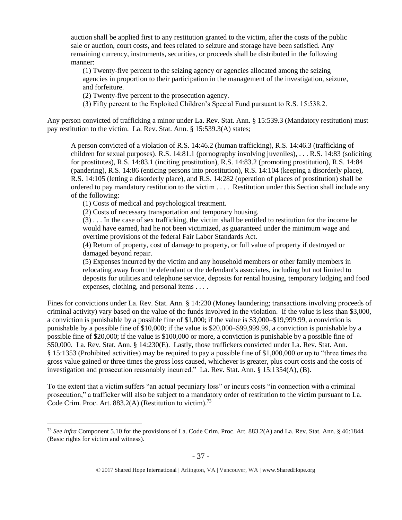auction shall be applied first to any restitution granted to the victim, after the costs of the public sale or auction, court costs, and fees related to seizure and storage have been satisfied. Any remaining currency, instruments, securities, or proceeds shall be distributed in the following manner:

(1) Twenty-five percent to the seizing agency or agencies allocated among the seizing agencies in proportion to their participation in the management of the investigation, seizure, and forfeiture.

(2) Twenty-five percent to the prosecution agency.

(3) Fifty percent to the Exploited Children's Special Fund pursuant to R.S. 15:538.2.

Any person convicted of trafficking a minor under La. Rev. Stat. Ann. § 15:539.3 (Mandatory restitution) must pay restitution to the victim. La. Rev. Stat. Ann. § 15:539.3(A) states;

A person convicted of a violation of R.S. 14:46.2 (human trafficking), R.S. 14:46.3 (trafficking of children for sexual purposes). R.S. 14:81.1 (pornography involving juveniles), . . . R.S. 14:83 (soliciting for prostitutes), R.S. 14:83.1 (inciting prostitution), R.S. 14:83.2 (promoting prostitution), R.S. 14:84 (pandering), R.S. 14:86 (enticing persons into prostitution), R.S. 14:104 (keeping a disorderly place), R.S. 14:105 (letting a disorderly place), and R.S. 14:282 (operation of places of prostitution) shall be ordered to pay mandatory restitution to the victim . . . . Restitution under this Section shall include any of the following:

(1) Costs of medical and psychological treatment.

 $\overline{a}$ 

(2) Costs of necessary transportation and temporary housing.

(3) . . . In the case of sex trafficking, the victim shall be entitled to restitution for the income he would have earned, had he not been victimized, as guaranteed under the minimum wage and overtime provisions of the federal Fair Labor Standards Act.

(4) Return of property, cost of damage to property, or full value of property if destroyed or damaged beyond repair.

(5) Expenses incurred by the victim and any household members or other family members in relocating away from the defendant or the defendant's associates, including but not limited to deposits for utilities and telephone service, deposits for rental housing, temporary lodging and food expenses, clothing, and personal items . . . .

Fines for convictions under La. Rev. Stat. Ann. § 14:230 (Money laundering; transactions involving proceeds of criminal activity) vary based on the value of the funds involved in the violation. If the value is less than \$3,000, a conviction is punishable by a possible fine of \$1,000; if the value is \$3,000–\$19,999.99, a conviction is punishable by a possible fine of \$10,000; if the value is \$20,000–\$99,999.99, a conviction is punishable by a possible fine of \$20,000; if the value is \$100,000 or more, a conviction is punishable by a possible fine of \$50,000. La. Rev. Stat. Ann. § 14:230(E). Lastly, those traffickers convicted under La. Rev. Stat. Ann. § 15:1353 (Prohibited activities) may be required to pay a possible fine of \$1,000,000 or up to "three times the gross value gained or three times the gross loss caused, whichever is greater, plus court costs and the costs of investigation and prosecution reasonably incurred." La. Rev. Stat. Ann. § 15:1354(A), (B).

To the extent that a victim suffers "an actual pecuniary loss" or incurs costs "in connection with a criminal prosecution," a trafficker will also be subject to a mandatory order of restitution to the victim pursuant to La. Code Crim. Proc. Art. 883.2(A) (Restitution to victim).<sup>73</sup>

<sup>73</sup> *See infra* Component 5.10 for the provisions of La. Code Crim. Proc. Art. 883.2(A) and La. Rev. Stat. Ann. § 46:1844 (Basic rights for victim and witness).

<sup>© 2017</sup> Shared Hope International | Arlington, VA | Vancouver, WA | www.SharedHope.org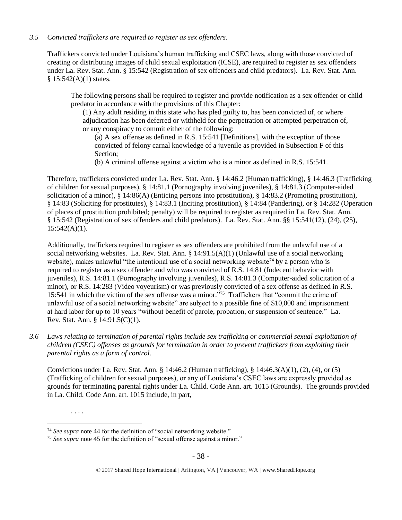## *3.5 Convicted traffickers are required to register as sex offenders.*

Traffickers convicted under Louisiana's human trafficking and CSEC laws, along with those convicted of creating or distributing images of child sexual exploitation (ICSE), are required to register as sex offenders under La. Rev. Stat. Ann. § 15:542 (Registration of sex offenders and child predators). La. Rev. Stat. Ann.  $§ 15:542(A)(1)$  states,

The following persons shall be required to register and provide notification as a sex offender or child predator in accordance with the provisions of this Chapter:

(1) Any adult residing in this state who has pled guilty to, has been convicted of, or where adjudication has been deferred or withheld for the perpetration or attempted perpetration of, or any conspiracy to commit either of the following:

(a) A sex offense as defined in R.S. 15:541 [Definitions], with the exception of those convicted of felony carnal knowledge of a juvenile as provided in Subsection F of this Section;

(b) A criminal offense against a victim who is a minor as defined in R.S. 15:541.

Therefore, traffickers convicted under La. Rev. Stat. Ann. § 14:46.2 (Human trafficking), § 14:46.3 (Trafficking of children for sexual purposes), § 14:81.1 (Pornography involving juveniles), § 14:81.3 (Computer-aided solicitation of a minor), § 14:86(A) (Enticing persons into prostitution), § 14:83.2 (Promoting prostitution), § 14:83 (Soliciting for prostitutes), § 14:83.1 (Inciting prostitution), § 14:84 (Pandering), or § 14:282 (Operation of places of prostitution prohibited; penalty) will be required to register as required in La. Rev. Stat. Ann. § 15:542 (Registration of sex offenders and child predators). La. Rev. Stat. Ann. §§ 15:541(12), (24), (25),  $15:542(A)(1)$ .

Additionally, traffickers required to register as sex offenders are prohibited from the unlawful use of a social networking websites. La. Rev. Stat. Ann. § 14:91.5(A)(1) (Unlawful use of a social networking website), makes unlawful "the intentional use of a social networking website<sup>74</sup> by a person who is required to register as a sex offender and who was convicted of R.S. 14:81 (Indecent behavior with juveniles), R.S. 14:81.1 (Pornography involving juveniles), R.S. 14:81.3 (Computer-aided solicitation of a minor), or R.S. 14:283 (Video voyeurism) or was previously convicted of a sex offense as defined in R.S. 15:541 in which the victim of the sex offense was a minor." <sup>75</sup> Traffickers that "commit the crime of unlawful use of a social networking website" are subject to a possible fine of \$10,000 and imprisonment at hard labor for up to 10 years "without benefit of parole, probation, or suspension of sentence." La. Rev. Stat. Ann. § 14:91.5(C)(1).

*3.6 Laws relating to termination of parental rights include sex trafficking or commercial sexual exploitation of children (CSEC) offenses as grounds for termination in order to prevent traffickers from exploiting their parental rights as a form of control.*

Convictions under La. Rev. Stat. Ann. § 14:46.2 (Human trafficking), § 14:46.3(A)(1), (2), (4), or (5) (Trafficking of children for sexual purposes), or any of Louisiana's CSEC laws are expressly provided as grounds for terminating parental rights under La. Child. Code Ann. art. 1015 (Grounds). The grounds provided in La. Child. Code Ann. art. 1015 include, in part,

. . . .

<sup>74</sup> *See supra* note [44](#page-26-0) for the definition of "social networking website."

<sup>75</sup> *See supra* note [45](#page-27-0) for the definition of "sexual offense against a minor."

<sup>© 2017</sup> Shared Hope International | Arlington, VA | Vancouver, WA | www.SharedHope.org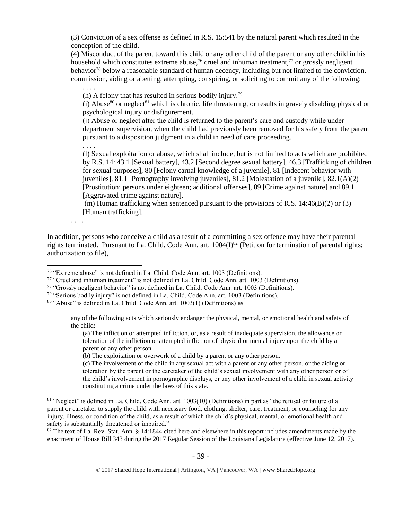(3) Conviction of a sex offense as defined in R.S. 15:541 by the natural parent which resulted in the conception of the child.

(4) Misconduct of the parent toward this child or any other child of the parent or any other child in his household which constitutes extreme abuse,<sup>76</sup> cruel and inhuman treatment,<sup>77</sup> or grossly negligent behavior<sup>78</sup> below a reasonable standard of human decency, including but not limited to the conviction, commission, aiding or abetting, attempting, conspiring, or soliciting to commit any of the following:

. . . .

(h) A felony that has resulted in serious bodily injury.<sup>79</sup>

(i) Abuse $80$  or neglect $81$  which is chronic, life threatening, or results in gravely disabling physical or psychological injury or disfigurement.

(j) Abuse or neglect after the child is returned to the parent's care and custody while under department supervision, when the child had previously been removed for his safety from the parent pursuant to a disposition judgment in a child in need of care proceeding.

. . . .

(l) Sexual exploitation or abuse, which shall include, but is not limited to acts which are prohibited by R.S. 14: 43.1 [Sexual battery], 43.2 [Second degree sexual battery], 46.3 [Trafficking of children for sexual purposes], 80 [Felony carnal knowledge of a juvenile], 81 [Indecent behavior with juveniles], 81.1 [Pornography involving juveniles], 81.2 [Molestation of a juvenile], 82.1(A)(2) [Prostitution; persons under eighteen; additional offenses], 89 [Crime against nature] and 89.1 [Aggravated crime against nature].

(m) Human trafficking when sentenced pursuant to the provisions of R.S.  $14:46(B)(2)$  or (3) [Human trafficking].

. . . .

In addition, persons who conceive a child as a result of a committing a sex offence may have their parental rights terminated. Pursuant to La. Child. Code Ann. art.  $1004(I)^{82}$  (Petition for termination of parental rights; authorization to file),

(a) The infliction or attempted infliction, or, as a result of inadequate supervision, the allowance or toleration of the infliction or attempted infliction of physical or mental injury upon the child by a parent or any other person.

(b) The exploitation or overwork of a child by a parent or any other person.

(c) The involvement of the child in any sexual act with a parent or any other person, or the aiding or toleration by the parent or the caretaker of the child's sexual involvement with any other person or of the child's involvement in pornographic displays, or any other involvement of a child in sexual activity constituting a crime under the laws of this state.

 $82$  The text of La. Rev. Stat. Ann. § 14:1844 cited here and elsewhere in this report includes amendments made by the enactment of House Bill 343 during the 2017 Regular Session of the Louisiana Legislature (effective June 12, 2017).

 $\overline{a}$ <sup>76</sup> "Extreme abuse" is not defined in La. Child. Code Ann. art. 1003 (Definitions).

<sup>77</sup> "Cruel and inhuman treatment" is not defined in La. Child. Code Ann. art. 1003 (Definitions).

<sup>78</sup> "Grossly negligent behavior" is not defined in La. Child. Code Ann. art. 1003 (Definitions).

<sup>79</sup> "Serious bodily injury" is not defined in La. Child. Code Ann. art. 1003 (Definitions).

 $80$  "Abuse" is defined in La. Child. Code Ann. art. 1003(1) (Definitions) as

any of the following acts which seriously endanger the physical, mental, or emotional health and safety of the child:

<sup>81 &</sup>quot;Neglect" is defined in La. Child. Code Ann. art. 1003(10) (Definitions) in part as "the refusal or failure of a parent or caretaker to supply the child with necessary food, clothing, shelter, care, treatment, or counseling for any injury, illness, or condition of the child, as a result of which the child's physical, mental, or emotional health and safety is substantially threatened or impaired."

<sup>© 2017</sup> Shared Hope International | Arlington, VA | Vancouver, WA | www.SharedHope.org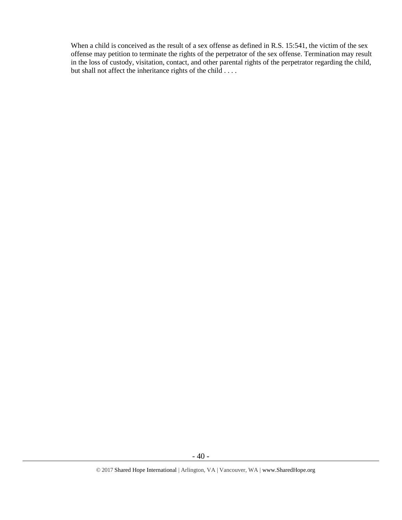When a child is conceived as the result of a sex offense as defined in R.S. 15:541, the victim of the sex offense may petition to terminate the rights of the perpetrator of the sex offense. Termination may result in the loss of custody, visitation, contact, and other parental rights of the perpetrator regarding the child, but shall not affect the inheritance rights of the child . . . .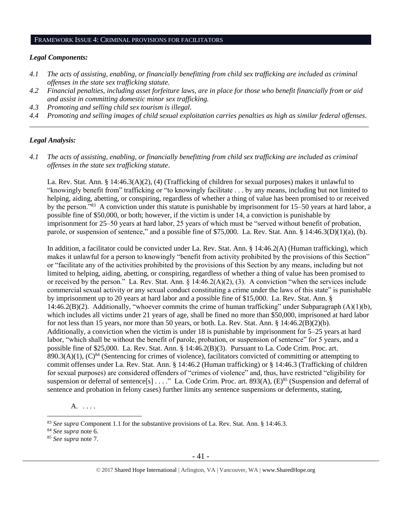#### FRAMEWORK ISSUE 4: CRIMINAL PROVISIONS FOR FACILITATORS

#### *Legal Components:*

- *4.1 The acts of assisting, enabling, or financially benefitting from child sex trafficking are included as criminal offenses in the state sex trafficking statute.*
- *4.2 Financial penalties, including asset forfeiture laws, are in place for those who benefit financially from or aid and assist in committing domestic minor sex trafficking.*
- *4.3 Promoting and selling child sex tourism is illegal.*
- *4.4 Promoting and selling images of child sexual exploitation carries penalties as high as similar federal offenses. \_\_\_\_\_\_\_\_\_\_\_\_\_\_\_\_\_\_\_\_\_\_\_\_\_\_\_\_\_\_\_\_\_\_\_\_\_\_\_\_\_\_\_\_\_\_\_\_\_\_\_\_\_\_\_\_\_\_\_\_\_\_\_\_\_\_\_\_\_\_\_\_\_\_\_\_\_\_\_\_\_\_\_\_\_\_\_\_\_\_\_\_\_\_*

## *Legal Analysis:*

*4.1 The acts of assisting, enabling, or financially benefitting from child sex trafficking are included as criminal offenses in the state sex trafficking statute*.

La. Rev. Stat. Ann. § 14:46.3(A)(2), (4) (Trafficking of children for sexual purposes) makes it unlawful to "knowingly benefit from" trafficking or "to knowingly facilitate . . . by any means, including but not limited to helping, aiding, abetting, or conspiring, regardless of whether a thing of value has been promised to or received by the person."<sup>83</sup> A conviction under this statute is punishable by imprisonment for 15–50 years at hard labor, a possible fine of \$50,000, or both; however, if the victim is under 14, a conviction is punishable by imprisonment for 25–50 years at hard labor, 25 years of which must be "served without benefit of probation, parole, or suspension of sentence," and a possible fine of \$75,000. La. Rev. Stat. Ann. § 14:46.3(D)(1)(a), (b).

In addition, a facilitator could be convicted under La. Rev. Stat. Ann. § 14:46.2(A) (Human trafficking), which makes it unlawful for a person to knowingly "benefit from activity prohibited by the provisions of this Section" or "facilitate any of the activities prohibited by the provisions of this Section by any means, including but not limited to helping, aiding, abetting, or conspiring, regardless of whether a thing of value has been promised to or received by the person." La. Rev. Stat. Ann. § 14:46.2(A)(2), (3). A conviction "when the services include commercial sexual activity or any sexual conduct constituting a crime under the laws of this state" is punishable by imprisonment up to 20 years at hard labor and a possible fine of \$15,000. La. Rev. Stat. Ann. § 14:46.2(B)(2). Additionally, "whoever commits the crime of human trafficking" under Subparagraph (A)(1)(b), which includes all victims under 21 years of age, shall be fined no more than \$50,000, imprisoned at hard labor for not less than 15 years, nor more than 50 years, or both. La. Rev. Stat. Ann. § 14:46.2(B)(2)(b). Additionally, a conviction when the victim is under 18 is punishable by imprisonment for 5–25 years at hard labor, "which shall be without the benefit of parole, probation, or suspension of sentence" for 5 years, and a possible fine of \$25,000. La. Rev. Stat. Ann. § 14:46.2(B)(3). Pursuant to La. Code Crim. Proc. art.  $890.3(A)(1)$ ,  $(C)^{84}$  (Sentencing for crimes of violence), facilitators convicted of committing or attempting to commit offenses under La. Rev. Stat. Ann. § 14:46.2 (Human trafficking) or § 14:46.3 (Trafficking of children for sexual purposes) are considered offenders of "crimes of violence" and, thus, have restricted "eligibility for suspension or deferral of sentence[s] . . . ." La. Code Crim. Proc. art. 893(A), (E)<sup>85</sup> (Suspension and deferral of sentence and probation in felony cases) further limits any sentence suspensions or deferments, stating,

A. . . . .

<sup>83</sup> *See supra* Component 1.1 for the substantive provisions of La. Rev. Stat. Ann. § 14:46.3.

<sup>84</sup> *See supra* note [6.](#page-3-0)

<sup>85</sup> *See supra* note [7.](#page-3-1)

<sup>© 2017</sup> Shared Hope International | Arlington, VA | Vancouver, WA | www.SharedHope.org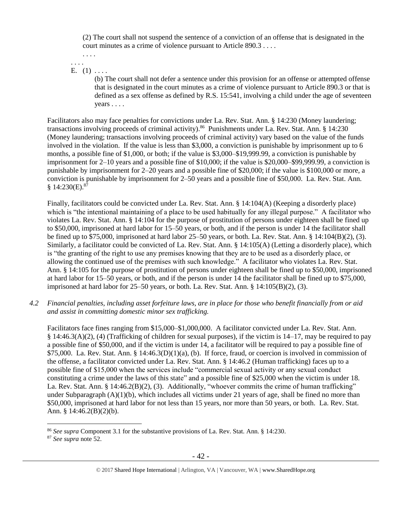(2) The court shall not suspend the sentence of a conviction of an offense that is designated in the court minutes as a crime of violence pursuant to Article 890.3 . . . .

. . . . . . . .

## E.  $(1)$  ....

(b) The court shall not defer a sentence under this provision for an offense or attempted offense that is designated in the court minutes as a crime of violence pursuant to Article 890.3 or that is defined as a sex offense as defined by R.S. 15:541, involving a child under the age of seventeen years . . . .

Facilitators also may face penalties for convictions under La. Rev. Stat. Ann. § 14:230 (Money laundering; transactions involving proceeds of criminal activity).<sup>86</sup> Punishments under La. Rev. Stat. Ann. § 14:230 (Money laundering; transactions involving proceeds of criminal activity) vary based on the value of the funds involved in the violation. If the value is less than \$3,000, a conviction is punishable by imprisonment up to 6 months, a possible fine of \$1,000, or both; if the value is \$3,000–\$19,999.99, a conviction is punishable by imprisonment for 2–10 years and a possible fine of \$10,000; if the value is \$20,000–\$99,999.99, a conviction is punishable by imprisonment for 2–20 years and a possible fine of \$20,000; if the value is \$100,000 or more, a conviction is punishable by imprisonment for 2–50 years and a possible fine of \$50,000. La. Rev. Stat. Ann.  $$14:230(E).$ <sup>87</sup>

Finally, facilitators could be convicted under La. Rev. Stat. Ann. § 14:104(A) (Keeping a disorderly place) which is "the intentional maintaining of a place to be used habitually for any illegal purpose." A facilitator who violates La. Rev. Stat. Ann. § 14:104 for the purpose of prostitution of persons under eighteen shall be fined up to \$50,000, imprisoned at hard labor for 15–50 years, or both, and if the person is under 14 the facilitator shall be fined up to \$75,000, imprisoned at hard labor 25–50 years, or both. La. Rev. Stat. Ann. § 14:104(B)(2), (3). Similarly, a facilitator could be convicted of La. Rev. Stat. Ann. § 14:105(A) (Letting a disorderly place), which is "the granting of the right to use any premises knowing that they are to be used as a disorderly place, or allowing the continued use of the premises with such knowledge." A facilitator who violates La. Rev. Stat. Ann. § 14:105 for the purpose of prostitution of persons under eighteen shall be fined up to \$50,000, imprisoned at hard labor for 15–50 years, or both, and if the person is under 14 the facilitator shall be fined up to \$75,000, imprisoned at hard labor for  $25-50$  years, or both. La. Rev. Stat. Ann. §  $14:105(B)(2)$ , (3).

*4.2 Financial penalties, including asset forfeiture laws, are in place for those who benefit financially from or aid and assist in committing domestic minor sex trafficking.*

Facilitators face fines ranging from \$15,000–\$1,000,000. A facilitator convicted under La. Rev. Stat. Ann. § 14:46.3(A)(2), (4) (Trafficking of children for sexual purposes), if the victim is 14–17, may be required to pay a possible fine of \$50,000, and if the victim is under 14, a facilitator will be required to pay a possible fine of  $$75,000$ . La. Rev. Stat. Ann. § 14:46.3(D)(1)(a), (b). If force, fraud, or coercion is involved in commission of the offense, a facilitator convicted under La. Rev. Stat. Ann. § 14:46.2 (Human trafficking) faces up to a possible fine of \$15,000 when the services include "commercial sexual activity or any sexual conduct constituting a crime under the laws of this state" and a possible fine of \$25,000 when the victim is under 18. La. Rev. Stat. Ann. § 14:46.2(B)(2), (3). Additionally, "whoever commits the crime of human trafficking" under Subparagraph  $(A)(1)(b)$ , which includes all victims under 21 years of age, shall be fined no more than \$50,000, imprisoned at hard labor for not less than 15 years, nor more than 50 years, or both. La. Rev. Stat. Ann. § 14:46.2(B)(2)(b).

<sup>86</sup> *See supra* Component 3.1 for the substantive provisions of La. Rev. Stat. Ann. § 14:230.

<sup>© 2017</sup> Shared Hope International | Arlington, VA | Vancouver, WA | www.SharedHope.org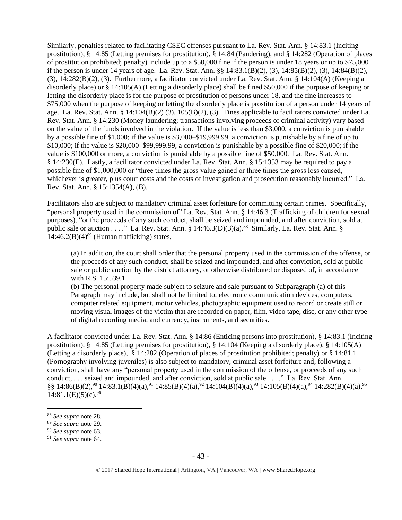Similarly, penalties related to facilitating CSEC offenses pursuant to La. Rev. Stat. Ann. § 14:83.1 (Inciting prostitution), § 14:85 (Letting premises for prostitution), § 14:84 (Pandering), and § 14:282 (Operation of places of prostitution prohibited; penalty) include up to a \$50,000 fine if the person is under 18 years or up to \$75,000 if the person is under 14 years of age. La. Rev. Stat. Ann. §§ 14:83.1(B)(2), (3), 14:85(B)(2), (3), 14:84(B)(2), (3), 14:282(B)(2), (3). Furthermore, a facilitator convicted under La. Rev. Stat. Ann. § 14:104(A) (Keeping a disorderly place) or § 14:105(A) (Letting a disorderly place) shall be fined \$50,000 if the purpose of keeping or letting the disorderly place is for the purpose of prostitution of persons under 18, and the fine increases to \$75,000 when the purpose of keeping or letting the disorderly place is prostitution of a person under 14 years of age. La. Rev. Stat. Ann. § 14:104(B)(2) (3), 105(B)(2), (3). Fines applicable to facilitators convicted under La. Rev. Stat. Ann. § 14:230 (Money laundering; transactions involving proceeds of criminal activity) vary based on the value of the funds involved in the violation. If the value is less than \$3,000, a conviction is punishable by a possible fine of \$1,000; if the value is \$3,000–\$19,999.99, a conviction is punishable by a fine of up to \$10,000; if the value is \$20,000–\$99,999.99, a conviction is punishable by a possible fine of \$20,000; if the value is \$100,000 or more, a conviction is punishable by a possible fine of \$50,000. La. Rev. Stat. Ann. § 14:230(E). Lastly, a facilitator convicted under La. Rev. Stat. Ann. § 15:1353 may be required to pay a possible fine of \$1,000,000 or "three times the gross value gained or three times the gross loss caused, whichever is greater, plus court costs and the costs of investigation and prosecution reasonably incurred." La. Rev. Stat. Ann. § 15:1354(A), (B).

Facilitators also are subject to mandatory criminal asset forfeiture for committing certain crimes. Specifically, "personal property used in the commission of" La. Rev. Stat. Ann. § 14:46.3 (Trafficking of children for sexual purposes), "or the proceeds of any such conduct, shall be seized and impounded, and after conviction, sold at public sale or auction . . . ." La. Rev. Stat. Ann. § 14:46.3(D)(3)(a).<sup>88</sup> Similarly, La. Rev. Stat. Ann. §  $14:46.2(B)(4)^{89}$  (Human trafficking) states,

(a) In addition, the court shall order that the personal property used in the commission of the offense, or the proceeds of any such conduct, shall be seized and impounded, and after conviction, sold at public sale or public auction by the district attorney, or otherwise distributed or disposed of, in accordance with R.S. 15:539.1.

(b) The personal property made subject to seizure and sale pursuant to Subparagraph (a) of this Paragraph may include, but shall not be limited to, electronic communication devices, computers, computer related equipment, motor vehicles, photographic equipment used to record or create still or moving visual images of the victim that are recorded on paper, film, video tape, disc, or any other type of digital recording media, and currency, instruments, and securities.

A facilitator convicted under La. Rev. Stat. Ann. § 14:86 (Enticing persons into prostitution), § 14:83.1 (Inciting prostitution), § 14:85 (Letting premises for prostitution), § 14:104 (Keeping a disorderly place), § 14:105(A) (Letting a disorderly place), § 14:282 (Operation of places of prostitution prohibited; penalty) or § 14:81.1 (Pornography involving juveniles) is also subject to mandatory, criminal asset forfeiture and, following a conviction, shall have any "personal property used in the commission of the offense, or proceeds of any such conduct, . . . seized and impounded, and after conviction, sold at public sale . . . ." La. Rev. Stat. Ann.  $\S$ § 14:86(B)(2),<sup>90</sup> 14:83.1(B)(4)(a),<sup>91</sup> 14:85(B)(4)(a),<sup>92</sup> 14:104(B)(4)(a),<sup>93</sup> 14:105(B)(4)(a),<sup>94</sup> 14:282(B)(4)(a),<sup>95</sup>  $14:81.1(E)(5)(c).96$ 

<sup>88</sup> *See supra* note [28.](#page-22-0)

<sup>89</sup> *See supra* note [29.](#page-22-1)

<sup>90</sup> *See supra* note [63.](#page-35-0)

<sup>91</sup> *See supra* note [64.](#page-35-1)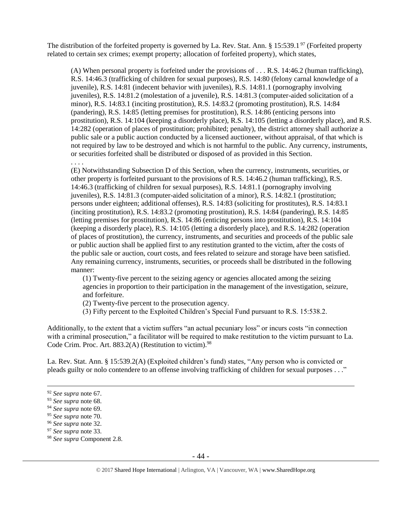The distribution of the forfeited property is governed by La. Rev. Stat. Ann. § 15:539.1<sup>97</sup> (Forfeited property related to certain sex crimes; exempt property; allocation of forfeited property), which states,

(A) When personal property is forfeited under the provisions of . . . R.S. 14:46.2 (human trafficking), R.S. 14:46.3 (trafficking of children for sexual purposes), R.S. 14:80 (felony carnal knowledge of a juvenile), R.S. 14:81 (indecent behavior with juveniles), R.S. 14:81.1 (pornography involving juveniles), R.S. 14:81.2 (molestation of a juvenile), R.S. 14:81.3 (computer-aided solicitation of a minor), R.S. 14:83.1 (inciting prostitution), R.S. 14:83.2 (promoting prostitution), R.S. 14:84 (pandering), R.S. 14:85 (letting premises for prostitution), R.S. 14:86 (enticing persons into prostitution), R.S. 14:104 (keeping a disorderly place), R.S. 14:105 (letting a disorderly place), and R.S. 14:282 (operation of places of prostitution; prohibited; penalty), the district attorney shall authorize a public sale or a public auction conducted by a licensed auctioneer, without appraisal, of that which is not required by law to be destroyed and which is not harmful to the public. Any currency, instruments, or securities forfeited shall be distributed or disposed of as provided in this Section.

. . . .

(E) Notwithstanding Subsection D of this Section, when the currency, instruments, securities, or other property is forfeited pursuant to the provisions of R.S. 14:46.2 (human trafficking), R.S. 14:46.3 (trafficking of children for sexual purposes), R.S. 14:81.1 (pornography involving juveniles), R.S. 14:81.3 (computer-aided solicitation of a minor), R.S. 14:82.1 (prostitution; persons under eighteen; additional offenses), R.S. 14:83 (soliciting for prostitutes), R.S. 14:83.1 (inciting prostitution), R.S. 14:83.2 (promoting prostitution), R.S. 14:84 (pandering), R.S. 14:85 (letting premises for prostitution), R.S. 14:86 (enticing persons into prostitution), R.S. 14:104 (keeping a disorderly place), R.S. 14:105 (letting a disorderly place), and R.S. 14:282 (operation of places of prostitution), the currency, instruments, and securities and proceeds of the public sale or public auction shall be applied first to any restitution granted to the victim, after the costs of the public sale or auction, court costs, and fees related to seizure and storage have been satisfied. Any remaining currency, instruments, securities, or proceeds shall be distributed in the following manner:

(1) Twenty-five percent to the seizing agency or agencies allocated among the seizing agencies in proportion to their participation in the management of the investigation, seizure, and forfeiture.

(2) Twenty-five percent to the prosecution agency.

(3) Fifty percent to the Exploited Children's Special Fund pursuant to R.S. 15:538.2.

Additionally, to the extent that a victim suffers "an actual pecuniary loss" or incurs costs "in connection with a criminal prosecution," a facilitator will be required to make restitution to the victim pursuant to La. Code Crim. Proc. Art. 883.2(A) (Restitution to victim).<sup>98</sup>

La. Rev. Stat. Ann. § 15:539.2(A) (Exploited children's fund) states, "Any person who is convicted or pleads guilty or nolo contendere to an offense involving trafficking of children for sexual purposes . . ."

<sup>92</sup> *See supra* note [67.](#page-35-2)

<sup>93</sup> *See supra* note [68.](#page-35-3)

<sup>94</sup> *See supra* note [69.](#page-35-4)

<sup>95</sup> *See supra* note [70.](#page-35-5)

<sup>96</sup> *See supra* note [32.](#page-23-0)

<sup>97</sup> *See supra* note [33.](#page-23-1)

<sup>98</sup> *See supra* Component 2.8.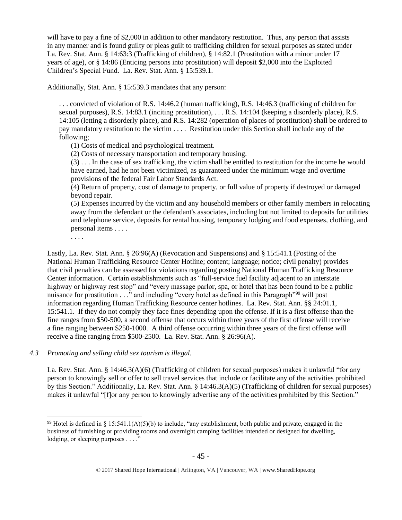will have to pay a fine of \$2,000 in addition to other mandatory restitution. Thus, any person that assists in any manner and is found guilty or pleas guilt to trafficking children for sexual purposes as stated under La. Rev. Stat. Ann. § 14:63:3 (Trafficking of children), § 14:82.1 (Prostitution with a minor under 17 years of age), or § 14:86 (Enticing persons into prostitution) will deposit \$2,000 into the Exploited Children's Special Fund. La. Rev. Stat. Ann. § 15:539.1.

Additionally, Stat. Ann. § 15:539.3 mandates that any person:

. . . convicted of violation of R.S. 14:46.2 (human trafficking), R.S. 14:46.3 (trafficking of children for sexual purposes), R.S. 14:83.1 (inciting prostitution), . . . R.S. 14:104 (keeping a disorderly place), R.S. 14:105 (letting a disorderly place), and R.S. 14:282 (operation of places of prostitution) shall be ordered to pay mandatory restitution to the victim . . . . Restitution under this Section shall include any of the following;

(1) Costs of medical and psychological treatment.

(2) Costs of necessary transportation and temporary housing.

(3) . . . In the case of sex trafficking, the victim shall be entitled to restitution for the income he would have earned, had he not been victimized, as guaranteed under the minimum wage and overtime provisions of the federal Fair Labor Standards Act.

(4) Return of property, cost of damage to property, or full value of property if destroyed or damaged beyond repair.

(5) Expenses incurred by the victim and any household members or other family members in relocating away from the defendant or the defendant's associates, including but not limited to deposits for utilities and telephone service, deposits for rental housing, temporary lodging and food expenses, clothing, and personal items . . . .

. . . .

 $\overline{a}$ 

Lastly, La. Rev. Stat. Ann. § 26:96(A) (Revocation and Suspensions) and § 15:541.1 (Posting of the National Human Trafficking Resource Center Hotline; content; language; notice; civil penalty) provides that civil penalties can be assessed for violations regarding posting National Human Trafficking Resource Center information. Certain establishments such as "full-service fuel facility adjacent to an interstate highway or highway rest stop" and "every massage parlor, spa, or hotel that has been found to be a public nuisance for prostitution . . ." and including "every hotel as defined in this Paragraph"<sup>99</sup> will post information regarding Human Trafficking Resource center hotlines. La. Rev. Stat. Ann. §§ 24:01.1, 15:541.1. If they do not comply they face fines depending upon the offense. If it is a first offense than the fine ranges from \$50-500, a second offense that occurs within three years of the first offense will receive a fine ranging between \$250-1000. A third offense occurring within three years of the first offense will receive a fine ranging from \$500-2500. La. Rev. Stat. Ann. § 26:96(A).

*4.3 Promoting and selling child sex tourism is illegal.*

La. Rev. Stat. Ann. § 14:46.3(A)(6) (Trafficking of children for sexual purposes) makes it unlawful "for any person to knowingly sell or offer to sell travel services that include or facilitate any of the activities prohibited by this Section." Additionally, La. Rev. Stat. Ann. § 14:46.3(A)(5) (Trafficking of children for sexual purposes) makes it unlawful "[f]or any person to knowingly advertise any of the activities prohibited by this Section."

<sup>&</sup>lt;sup>99</sup> Hotel is defined in § 15:541.1(A)(5)(b) to include, "any establishment, both public and private, engaged in the business of furnishing or providing rooms and overnight camping facilities intended or designed for dwelling, lodging, or sleeping purposes . . . ."

<sup>© 2017</sup> Shared Hope International | Arlington, VA | Vancouver, WA | www.SharedHope.org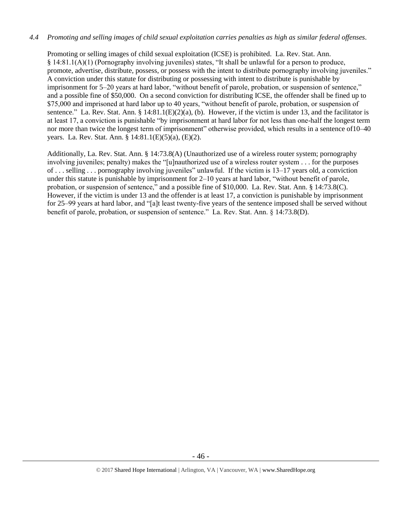## *4.4 Promoting and selling images of child sexual exploitation carries penalties as high as similar federal offenses.*

Promoting or selling images of child sexual exploitation (ICSE) is prohibited. La. Rev. Stat. Ann. § 14:81.1(A)(1) (Pornography involving juveniles) states, "It shall be unlawful for a person to produce, promote, advertise, distribute, possess, or possess with the intent to distribute pornography involving juveniles." A conviction under this statute for distributing or possessing with intent to distribute is punishable by imprisonment for 5–20 years at hard labor, "without benefit of parole, probation, or suspension of sentence," and a possible fine of \$50,000. On a second conviction for distributing ICSE, the offender shall be fined up to \$75,000 and imprisoned at hard labor up to 40 years, "without benefit of parole, probation, or suspension of sentence." La. Rev. Stat. Ann. § 14:81.1(E)(2)(a), (b). However, if the victim is under 13, and the facilitator is at least 17, a conviction is punishable "by imprisonment at hard labor for not less than one-half the longest term nor more than twice the longest term of imprisonment" otherwise provided, which results in a sentence of10–40 years. La. Rev. Stat. Ann. § 14:81.1(E)(5)(a), (E)(2).

Additionally, La. Rev. Stat. Ann. § 14:73.8(A) (Unauthorized use of a wireless router system; pornography involving juveniles; penalty) makes the "[u]nauthorized use of a wireless router system . . . for the purposes of . . . selling . . . pornography involving juveniles" unlawful. If the victim is 13–17 years old, a conviction under this statute is punishable by imprisonment for 2–10 years at hard labor, "without benefit of parole, probation, or suspension of sentence," and a possible fine of \$10,000. La. Rev. Stat. Ann. § 14:73.8(C). However, if the victim is under 13 and the offender is at least 17, a conviction is punishable by imprisonment for 25–99 years at hard labor, and "[a]t least twenty-five years of the sentence imposed shall be served without benefit of parole, probation, or suspension of sentence." La. Rev. Stat. Ann. § 14:73.8(D).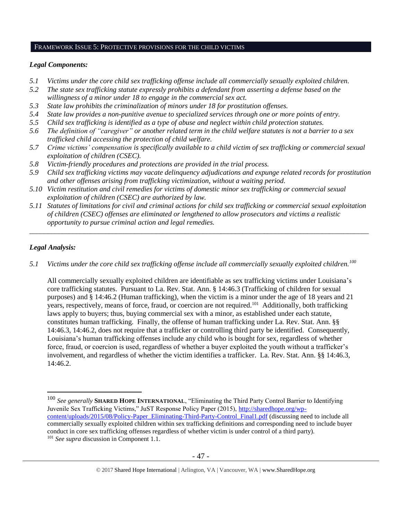#### FRAMEWORK ISSUE 5: PROTECTIVE PROVISIONS FOR THE CHILD VICTIMS

## *Legal Components:*

- *5.1 Victims under the core child sex trafficking offense include all commercially sexually exploited children.*
- *5.2 The state sex trafficking statute expressly prohibits a defendant from asserting a defense based on the willingness of a minor under 18 to engage in the commercial sex act.*
- *5.3 State law prohibits the criminalization of minors under 18 for prostitution offenses.*
- *5.4 State law provides a non-punitive avenue to specialized services through one or more points of entry.*
- *5.5 Child sex trafficking is identified as a type of abuse and neglect within child protection statutes.*
- *5.6 The definition of "caregiver" or another related term in the child welfare statutes is not a barrier to a sex trafficked child accessing the protection of child welfare.*
- *5.7 Crime victims' compensation is specifically available to a child victim of sex trafficking or commercial sexual exploitation of children (CSEC).*
- *5.8 Victim-friendly procedures and protections are provided in the trial process.*
- *5.9 Child sex trafficking victims may vacate delinquency adjudications and expunge related records for prostitution and other offenses arising from trafficking victimization, without a waiting period.*
- *5.10 Victim restitution and civil remedies for victims of domestic minor sex trafficking or commercial sexual exploitation of children (CSEC) are authorized by law.*
- *5.11 Statutes of limitations for civil and criminal actions for child sex trafficking or commercial sexual exploitation of children (CSEC) offenses are eliminated or lengthened to allow prosecutors and victims a realistic opportunity to pursue criminal action and legal remedies.*

*\_\_\_\_\_\_\_\_\_\_\_\_\_\_\_\_\_\_\_\_\_\_\_\_\_\_\_\_\_\_\_\_\_\_\_\_\_\_\_\_\_\_\_\_\_\_\_\_\_\_\_\_\_\_\_\_\_\_\_\_\_\_\_\_\_\_\_\_\_\_\_\_\_\_\_\_\_\_\_\_\_\_\_\_\_\_\_\_\_\_\_\_\_\_*

## *Legal Analysis:*

 $\overline{a}$ 

*5.1 Victims under the core child sex trafficking offense include all commercially sexually exploited children.<sup>100</sup>*

All commercially sexually exploited children are identifiable as sex trafficking victims under Louisiana's core trafficking statutes. Pursuant to La. Rev. Stat. Ann. § 14:46.3 (Trafficking of children for sexual purposes) and § 14:46.2 (Human trafficking), when the victim is a minor under the age of 18 years and 21 years, respectively, means of force, fraud, or coercion are not required.<sup>101</sup> Additionally, both trafficking laws apply to buyers; thus, buying commercial sex with a minor, as established under each statute, constitutes human trafficking. Finally, the offense of human trafficking under La. Rev. Stat. Ann. §§ 14:46.3, 14:46.2, does not require that a trafficker or controlling third party be identified. Consequently, Louisiana's human trafficking offenses include any child who is bought for sex, regardless of whether force, fraud, or coercion is used, regardless of whether a buyer exploited the youth without a trafficker's involvement, and regardless of whether the victim identifies a trafficker. La. Rev. Stat. Ann. §§ 14:46.3, 14:46.2.

<sup>100</sup> *See generally* **SHARED HOPE INTERNATIONAL**, "Eliminating the Third Party Control Barrier to Identifying Juvenile Sex Trafficking Victims," JuST Response Policy Paper (2015), [http://sharedhope.org/wp](http://sharedhope.org/wp-content/uploads/2015/08/Policy-Paper_Eliminating-Third-Party-Control_Final1.pdf)[content/uploads/2015/08/Policy-Paper\\_Eliminating-Third-Party-Control\\_Final1.pdf](http://sharedhope.org/wp-content/uploads/2015/08/Policy-Paper_Eliminating-Third-Party-Control_Final1.pdf) (discussing need to include all commercially sexually exploited children within sex trafficking definitions and corresponding need to include buyer conduct in core sex trafficking offenses regardless of whether victim is under control of a third party). <sup>101</sup> *See supra* discussion in Component 1.1.

<sup>© 2017</sup> Shared Hope International | Arlington, VA | Vancouver, WA | www.SharedHope.org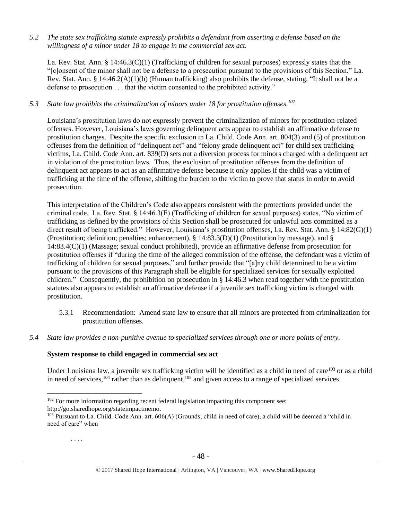*5.2 The state sex trafficking statute expressly prohibits a defendant from asserting a defense based on the willingness of a minor under 18 to engage in the commercial sex act.* 

La. Rev. Stat. Ann. § 14:46.3(C)(1) (Trafficking of children for sexual purposes) expressly states that the "[c]onsent of the minor shall not be a defense to a prosecution pursuant to the provisions of this Section." La. Rev. Stat. Ann. § 14:46.2(A)(1)(b) (Human trafficking) also prohibits the defense, stating, "It shall not be a defense to prosecution . . . that the victim consented to the prohibited activity."

## *5.3 State law prohibits the criminalization of minors under 18 for prostitution offenses. 102*

Louisiana's prostitution laws do not expressly prevent the criminalization of minors for prostitution-related offenses. However, Louisiana's laws governing delinquent acts appear to establish an affirmative defense to prostitution charges. Despite the specific exclusion in La. Child. Code Ann. art. 804(3) and (5) of prostitution offenses from the definition of "delinquent act" and "felony grade delinquent act" for child sex trafficking victims, La. Child. Code Ann. art. 839(D) sets out a diversion process for minors charged with a delinquent act in violation of the prostitution laws. Thus, the exclusion of prostitution offenses from the definition of delinquent act appears to act as an affirmative defense because it only applies if the child was a victim of trafficking at the time of the offense, shifting the burden to the victim to prove that status in order to avoid prosecution.

This interpretation of the Children's Code also appears consistent with the protections provided under the criminal code. La. Rev. Stat. § 14:46.3(E) (Trafficking of children for sexual purposes) states, "No victim of trafficking as defined by the provisions of this Section shall be prosecuted for unlawful acts committed as a direct result of being trafficked." However, Louisiana's prostitution offenses, La. Rev. Stat. Ann. § 14:82(G)(1) (Prostitution; definition; penalties; enhancement), § 14:83.3(D)(1) (Prostitution by massage), and § 14:83.4(C)(1) (Massage; sexual conduct prohibited), provide an affirmative defense from prosecution for prostitution offenses if "during the time of the alleged commission of the offense, the defendant was a victim of trafficking of children for sexual purposes," and further provide that "[a]ny child determined to be a victim pursuant to the provisions of this Paragraph shall be eligible for specialized services for sexually exploited children." Consequently, the prohibition on prosecution in § 14:46.3 when read together with the prostitution statutes also appears to establish an affirmative defense if a juvenile sex trafficking victim is charged with prostitution.

- 5.3.1 Recommendation: Amend state law to ensure that all minors are protected from criminalization for prostitution offenses.
- *5.4 State law provides a non-punitive avenue to specialized services through one or more points of entry.*

## **System response to child engaged in commercial sex act**

Under Louisiana law, a juvenile sex trafficking victim will be identified as a child in need of care<sup>103</sup> or as a child in need of services, $104$  rather than as delinquent, $105$  and given access to a range of specialized services.

http://go.sharedhope.org/stateimpactmemo.

. . . .

<sup>&</sup>lt;sup>102</sup> For more information regarding recent federal legislation impacting this component see:

<sup>&</sup>lt;sup>103</sup> Pursuant to La. Child. Code Ann. art. 606(A) (Grounds; child in need of care), a child will be deemed a "child in need of care" when

<span id="page-47-0"></span><sup>© 2017</sup> Shared Hope International | Arlington, VA | Vancouver, WA | www.SharedHope.org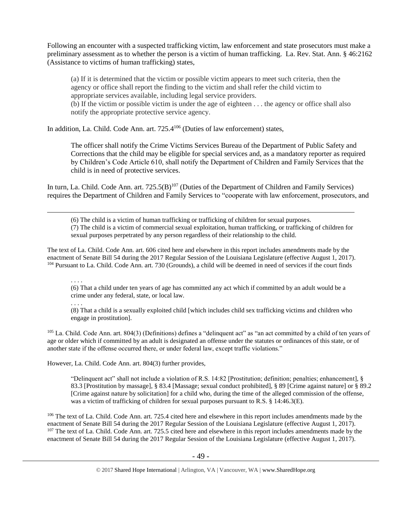Following an encounter with a suspected trafficking victim, law enforcement and state prosecutors must make a preliminary assessment as to whether the person is a victim of human trafficking. La. Rev. Stat. Ann. § 46:2162 (Assistance to victims of human trafficking) states,

(a) If it is determined that the victim or possible victim appears to meet such criteria, then the agency or office shall report the finding to the victim and shall refer the child victim to appropriate services available, including legal service providers.

(b) If the victim or possible victim is under the age of eighteen . . . the agency or office shall also notify the appropriate protective service agency.

In addition, La. Child. Code Ann. art. 725.4<sup>106</sup> (Duties of law enforcement) states,

The officer shall notify the Crime Victims Services Bureau of the Department of Public Safety and Corrections that the child may be eligible for special services and, as a mandatory reporter as required by Children's Code Article 610, shall notify the Department of Children and Family Services that the child is in need of protective services.

In turn, La. Child. Code Ann. art.  $725.5(B)^{107}$  (Duties of the Department of Children and Family Services) requires the Department of Children and Family Services to "cooperate with law enforcement, prosecutors, and

<span id="page-48-0"></span>(6) The child is a victim of human trafficking or trafficking of children for sexual purposes. (7) The child is a victim of commercial sexual exploitation, human trafficking, or trafficking of children for sexual purposes perpetrated by any person regardless of their relationship to the child.

The text of La. Child. Code Ann. art. 606 cited here and elsewhere in this report includes amendments made by the enactment of Senate Bill 54 during the 2017 Regular Session of the Louisiana Legislature (effective August 1, 2017). <sup>104</sup> Pursuant to La. Child. Code Ann. art. 730 (Grounds), a child will be deemed in need of services if the court finds

(6) That a child under ten years of age has committed any act which if committed by an adult would be a crime under any federal, state, or local law.

. . . .

. . . .

 $\overline{a}$ 

(8) That a child is a sexually exploited child [which includes child sex trafficking victims and children who engage in prostitution].

<sup>105</sup> La. Child. Code Ann. art. 804(3) (Definitions) defines a "delinquent act" as "an act committed by a child of ten years of age or older which if committed by an adult is designated an offense under the statutes or ordinances of this state, or of another state if the offense occurred there, or under federal law, except traffic violations."

However, La. Child. Code Ann. art. 804(3) further provides,

"Delinquent act" shall not include a violation of R.S. 14:82 [Prostitution; definition; penalties; enhancement], § 83.3 [Prostitution by massage], § 83.4 [Massage; sexual conduct prohibited], § 89 [Crime against nature] or § 89.2 [Crime against nature by solicitation] for a child who, during the time of the alleged commission of the offense, was a victim of trafficking of children for sexual purposes pursuant to R.S. § 14:46.3(E).

<sup>106</sup> The text of La. Child. Code Ann. art. 725.4 cited here and elsewhere in this report includes amendments made by the enactment of Senate Bill 54 during the 2017 Regular Session of the Louisiana Legislature (effective August 1, 2017). <sup>107</sup> The text of La. Child. Code Ann. art. 725.5 cited here and elsewhere in this report includes amendments made by the enactment of Senate Bill 54 during the 2017 Regular Session of the Louisiana Legislature (effective August 1, 2017).

<sup>© 2017</sup> Shared Hope International | Arlington, VA | Vancouver, WA | www.SharedHope.org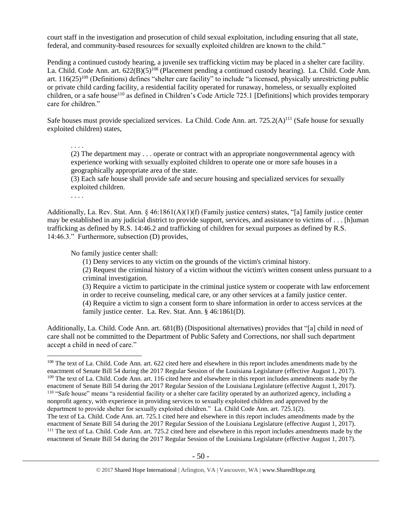court staff in the investigation and prosecution of child sexual exploitation, including ensuring that all state, federal, and community-based resources for sexually exploited children are known to the child."

Pending a continued custody hearing, a juvenile sex trafficking victim may be placed in a shelter care facility. La. Child. Code Ann. art. 622(B)(5)<sup>108</sup> (Placement pending a continued custody hearing). La. Child. Code Ann. art.  $116(25)^{109}$  (Definitions) defines "shelter care facility" to include "a licensed, physically unrestricting public or private child carding facility, a residential facility operated for runaway, homeless, or sexually exploited children, or a safe house<sup>110</sup> as defined in Children's Code Article 725.1 [Definitions] which provides temporary care for children."

Safe houses must provide specialized services. La Child. Code Ann. art.  $725.2(A)^{111}$  (Safe house for sexually exploited children) states,

. . . . (2) The department may . . . operate or contract with an appropriate nongovernmental agency with experience working with sexually exploited children to operate one or more safe houses in a geographically appropriate area of the state.

(3) Each safe house shall provide safe and secure housing and specialized services for sexually exploited children.

. . . .

 $\overline{a}$ 

Additionally, La. Rev. Stat. Ann. § 46:1861(A)(1)(f) (Family justice centers) states, "[a] family justice center may be established in any judicial district to provide support, services, and assistance to victims of . . . [h]uman trafficking as defined by R.S. 14:46.2 and trafficking of children for sexual purposes as defined by R.S. 14:46.3." Furthermore, subsection (D) provides,

No family justice center shall:

(1) Deny services to any victim on the grounds of the victim's criminal history.

(2) Request the criminal history of a victim without the victim's written consent unless pursuant to a criminal investigation.

(3) Require a victim to participate in the criminal justice system or cooperate with law enforcement in order to receive counseling, medical care, or any other services at a family justice center. (4) Require a victim to sign a consent form to share information in order to access services at the family justice center. La. Rev. Stat. Ann. § 46:1861(D).

Additionally, La. Child. Code Ann. art. 681(B) (Dispositional alternatives) provides that "[a] child in need of care shall not be committed to the Department of Public Safety and Corrections, nor shall such department accept a child in need of care."

enactment of Senate Bill 54 during the 2017 Regular Session of the Louisiana Legislature (effective August 1, 2017). <sup>111</sup> The text of La. Child. Code Ann. art. 725.2 cited here and elsewhere in this report includes amendments made by the enactment of Senate Bill 54 during the 2017 Regular Session of the Louisiana Legislature (effective August 1, 2017).

<sup>&</sup>lt;sup>108</sup> The text of La. Child. Code Ann. art. 622 cited here and elsewhere in this report includes amendments made by the enactment of Senate Bill 54 during the 2017 Regular Session of the Louisiana Legislature (effective August 1, 2017). <sup>109</sup> The text of La. Child. Code Ann. art. 116 cited here and elsewhere in this report includes amendments made by the enactment of Senate Bill 54 during the 2017 Regular Session of the Louisiana Legislature (effective August 1, 2017). <sup>110</sup> "Safe house" means "a residential facility or a shelter care facility operated by an authorized agency, including a nonprofit agency, with experience in providing services to sexually exploited children and approved by the department to provide shelter for sexually exploited children." La. Child Code Ann. art. 725.1(2). The text of La. Child. Code Ann. art. 725.1 cited here and elsewhere in this report includes amendments made by the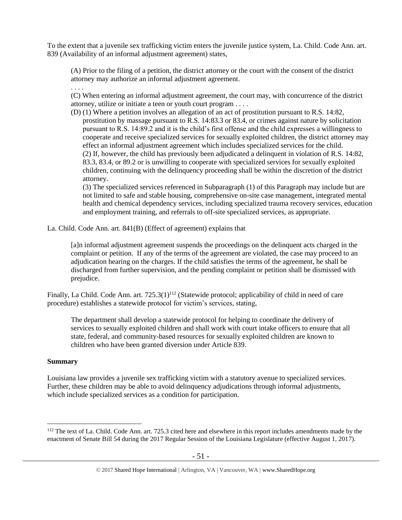To the extent that a juvenile sex trafficking victim enters the juvenile justice system, La. Child. Code Ann. art. 839 (Availability of an informal adjustment agreement) states,

(A) Prior to the filing of a petition, the district attorney or the court with the consent of the district attorney may authorize an informal adjustment agreement.

(C) When entering an informal adjustment agreement, the court may, with concurrence of the district attorney, utilize or initiate a teen or youth court program . . . .

(D) (1) Where a petition involves an allegation of an act of prostitution pursuant to R.S. 14:82, prostitution by massage pursuant to R.S. 14:83.3 or 83.4, or crimes against nature by solicitation pursuant to R.S. 14:89.2 and it is the child's first offense and the child expresses a willingness to cooperate and receive specialized services for sexually exploited children, the district attorney may effect an informal adjustment agreement which includes specialized services for the child. (2) If, however, the child has previously been adjudicated a delinquent in violation of R.S. 14:82, 83.3, 83.4, or 89.2 or is unwilling to cooperate with specialized services for sexually exploited children, continuing with the delinquency proceeding shall be within the discretion of the district attorney.

(3) The specialized services referenced in Subparagraph (1) of this Paragraph may include but are not limited to safe and stable housing, comprehensive on-site case management, integrated mental health and chemical dependency services, including specialized trauma recovery services, education and employment training, and referrals to off-site specialized services, as appropriate.

La. Child. Code Ann. art. 841(B) (Effect of agreement) explains that

[a]n informal adjustment agreement suspends the proceedings on the delinquent acts charged in the complaint or petition. If any of the terms of the agreement are violated, the case may proceed to an adjudication hearing on the charges. If the child satisfies the terms of the agreement, he shall be discharged from further supervision, and the pending complaint or petition shall be dismissed with prejudice.

Finally, La Child. Code Ann. art.  $725.3(1)^{112}$  (Statewide protocol; applicability of child in need of care procedure) establishes a statewide protocol for victim's services, stating,

The department shall develop a statewide protocol for helping to coordinate the delivery of services to sexually exploited children and shall work with court intake officers to ensure that all state, federal, and community-based resources for sexually exploited children are known to children who have been granted diversion under Article 839.

## **Summary**

 $\overline{a}$ 

. . . .

Louisiana law provides a juvenile sex trafficking victim with a statutory avenue to specialized services. Further, these children may be able to avoid delinquency adjudications through informal adjustments, which include specialized services as a condition for participation.

<sup>&</sup>lt;sup>112</sup> The text of La. Child. Code Ann. art. 725.3 cited here and elsewhere in this report includes amendments made by the enactment of Senate Bill 54 during the 2017 Regular Session of the Louisiana Legislature (effective August 1, 2017).

<sup>© 2017</sup> Shared Hope International | Arlington, VA | Vancouver, WA | www.SharedHope.org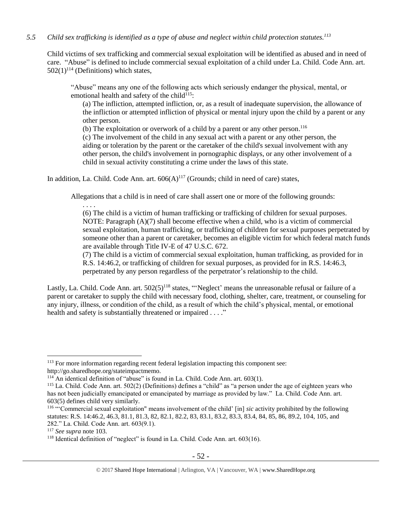## *5.5 Child sex trafficking is identified as a type of abuse and neglect within child protection statutes.<sup>113</sup>*

Child victims of sex trafficking and commercial sexual exploitation will be identified as abused and in need of care. "Abuse" is defined to include commercial sexual exploitation of a child under La. Child. Code Ann. art.  $502(1)^{114}$  (Definitions) which states,

"Abuse" means any one of the following acts which seriously endanger the physical, mental, or emotional health and safety of the child $115$ :

(a) The infliction, attempted infliction, or, as a result of inadequate supervision, the allowance of the infliction or attempted infliction of physical or mental injury upon the child by a parent or any other person.

(b) The exploitation or overwork of a child by a parent or any other person.<sup>116</sup>

(c) The involvement of the child in any sexual act with a parent or any other person, the aiding or toleration by the parent or the caretaker of the child's sexual involvement with any other person, the child's involvement in pornographic displays, or any other involvement of a child in sexual activity constituting a crime under the laws of this state.

In addition, La. Child. Code Ann. art.  $606(A)^{117}$  (Grounds; child in need of care) states,

Allegations that a child is in need of care shall assert one or more of the following grounds:

. . . .

(6) The child is a victim of human trafficking or trafficking of children for sexual purposes. NOTE: Paragraph (A)(7) shall become effective when a child, who is a victim of commercial sexual exploitation, human trafficking, or trafficking of children for sexual purposes perpetrated by someone other than a parent or caretaker, becomes an eligible victim for which federal match funds are available through Title IV-E of 47 U.S.C. 672.

(7) The child is a victim of commercial sexual exploitation, human trafficking, as provided for in R.S. 14:46.2, or trafficking of children for sexual purposes, as provided for in R.S. 14:46.3, perpetrated by any person regardless of the perpetrator's relationship to the child.

Lastly, La. Child. Code Ann. art.  $502(5)^{118}$  states, "'Neglect' means the unreasonable refusal or failure of a parent or caretaker to supply the child with necessary food, clothing, shelter, care, treatment, or counseling for any injury, illness, or condition of the child, as a result of which the child's physical, mental, or emotional health and safety is substantially threatened or impaired . . . ."

<sup>&</sup>lt;sup>113</sup> For more information regarding recent federal legislation impacting this component see: http://go.sharedhope.org/stateimpactmemo.

<sup>114</sup> An identical definition of "abuse" is found in La. Child. Code Ann. art. 603(1).

<sup>115</sup> La. Child. Code Ann. art. 502(2) (Definitions) defines a "child" as "a person under the age of eighteen years who has not been judicially emancipated or emancipated by marriage as provided by law." La. Child. Code Ann. art. 603(5) defines child very similarly.

<sup>116</sup> "'Commercial sexual exploitation" means involvement of the child' [in] *sic* activity prohibited by the following statutes: R.S. 14:46.2, 46.3, 81.1, 81.3, 82, 82.1, 82.2, 83, 83.1, 83.2, 83.3, 83.4, 84, 85, 86, 89.2, 104, 105, and 282." La. Child. Code Ann. art. 603(9.1).

<sup>117</sup> *See supra* not[e 103.](#page-47-0)

<sup>&</sup>lt;sup>118</sup> Identical definition of "neglect" is found in La. Child. Code Ann. art. 603(16).

<sup>© 2017</sup> Shared Hope International | Arlington, VA | Vancouver, WA | www.SharedHope.org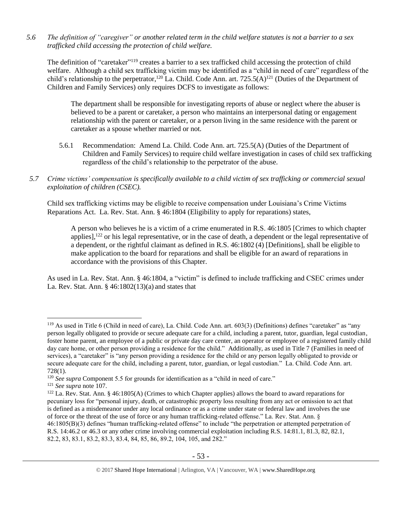*5.6 The definition of "caregiver" or another related term in the child welfare statutes is not a barrier to a sex trafficked child accessing the protection of child welfare.*

The definition of "caretaker"<sup>119</sup> creates a barrier to a sex trafficked child accessing the protection of child welfare. Although a child sex trafficking victim may be identified as a "child in need of care" regardless of the child's relationship to the perpetrator,<sup>120</sup> La. Child. Code Ann. art. 725.5(A)<sup>121</sup> (Duties of the Department of Children and Family Services) only requires DCFS to investigate as follows:

The department shall be responsible for investigating reports of abuse or neglect where the abuser is believed to be a parent or caretaker, a person who maintains an interpersonal dating or engagement relationship with the parent or caretaker, or a person living in the same residence with the parent or caretaker as a spouse whether married or not.

- 5.6.1 Recommendation: Amend La. Child. Code Ann. art. 725.5(A) (Duties of the Department of Children and Family Services) to require child welfare investigation in cases of child sex trafficking regardless of the child's relationship to the perpetrator of the abuse.
- *5.7 Crime victims' compensation is specifically available to a child victim of sex trafficking or commercial sexual exploitation of children (CSEC).*

Child sex trafficking victims may be eligible to receive compensation under Louisiana's Crime Victims Reparations Act. La. Rev. Stat. Ann. § 46:1804 (Eligibility to apply for reparations) states,

A person who believes he is a victim of a crime enumerated in R.S. 46:1805 [Crimes to which chapter applies],<sup>122</sup> or his legal representative, or in the case of death, a dependent or the legal representative of a dependent, or the rightful claimant as defined in R.S. 46:1802 (4) [Definitions], shall be eligible to make application to the board for reparations and shall be eligible for an award of reparations in accordance with the provisions of this Chapter.

As used in La. Rev. Stat. Ann. § 46:1804, a "victim" is defined to include trafficking and CSEC crimes under La. Rev. Stat. Ann. § 46:1802(13)(a) and states that

<sup>119</sup> As used in Title 6 (Child in need of care), La. Child. Code Ann. art. 603(3) (Definitions) defines "caretaker" as "any person legally obligated to provide or secure adequate care for a child, including a parent, tutor, guardian, legal custodian, foster home parent, an employee of a public or private day care center, an operator or employee of a registered family child day care home, or other person providing a residence for the child." Additionally, as used in Title 7 (Families in need of services), a "caretaker" is "any person providing a residence for the child or any person legally obligated to provide or secure adequate care for the child, including a parent, tutor, guardian, or legal custodian." La. Child. Code Ann. art. 728(1).

<sup>&</sup>lt;sup>120</sup> See supra Component 5.5 for grounds for identification as a "child in need of care."

<sup>121</sup> *See supra* not[e 107.](#page-48-0)

 $122$  La. Rev. Stat. Ann. § 46:1805(A) (Crimes to which Chapter applies) allows the board to award reparations for pecuniary loss for "personal injury, death, or catastrophic property loss resulting from any act or omission to act that is defined as a misdemeanor under any local ordinance or as a crime under state or federal law and involves the use of force or the threat of the use of force or any human trafficking-related offense." La. Rev. Stat. Ann. § 46:1805(B)(3) defines "human trafficking-related offense" to include "the perpetration or attempted perpetration of R.S. 14:46.2 or 46.3 or any other crime involving commercial exploitation including R.S. 14:81.1, 81.3, 82, 82.1, 82.2, 83, 83.1, 83.2, 83.3, 83.4, 84, 85, 86, 89.2, 104, 105, and 282."

<sup>© 2017</sup> Shared Hope International | Arlington, VA | Vancouver, WA | www.SharedHope.org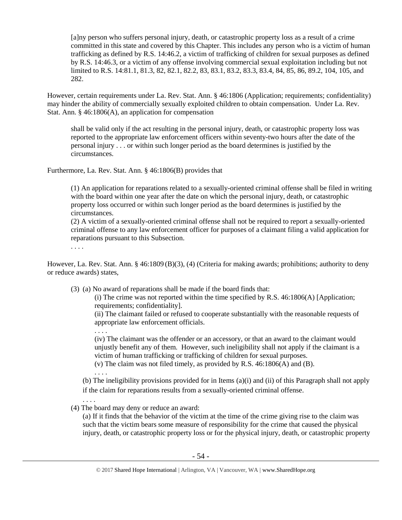[a]ny person who suffers personal injury, death, or catastrophic property loss as a result of a crime committed in this state and covered by this Chapter. This includes any person who is a victim of human trafficking as defined by R.S. 14:46.2, a victim of trafficking of children for sexual purposes as defined by R.S. 14:46.3, or a victim of any offense involving commercial sexual exploitation including but not limited to R.S. 14:81.1, 81.3, 82, 82.1, 82.2, 83, 83.1, 83.2, 83.3, 83.4, 84, 85, 86, 89.2, 104, 105, and 282.

However, certain requirements under La. Rev. Stat. Ann. § 46:1806 (Application; requirements; confidentiality) may hinder the ability of commercially sexually exploited children to obtain compensation. Under La. Rev. Stat. Ann. § 46:1806(A), an application for compensation

shall be valid only if the act resulting in the personal injury, death, or catastrophic property loss was reported to the appropriate law enforcement officers within seventy-two hours after the date of the personal injury . . . or within such longer period as the board determines is justified by the circumstances.

Furthermore, La. Rev. Stat. Ann. § 46:1806(B) provides that

(1) An application for reparations related to a sexually-oriented criminal offense shall be filed in writing with the board within one year after the date on which the personal injury, death, or catastrophic property loss occurred or within such longer period as the board determines is justified by the circumstances.

(2) A victim of a sexually-oriented criminal offense shall not be required to report a sexually-oriented criminal offense to any law enforcement officer for purposes of a claimant filing a valid application for reparations pursuant to this Subsection.

. . . .

However, La. Rev. Stat. Ann. § 46:1809 (B)(3), (4) (Criteria for making awards; prohibitions; authority to deny or reduce awards) states,

(3) (a) No award of reparations shall be made if the board finds that:

(i) The crime was not reported within the time specified by R.S.  $46:1806(A)$  [Application; requirements; confidentiality].

(ii) The claimant failed or refused to cooperate substantially with the reasonable requests of appropriate law enforcement officials.

(iv) The claimant was the offender or an accessory, or that an award to the claimant would unjustly benefit any of them. However, such ineligibility shall not apply if the claimant is a victim of human trafficking or trafficking of children for sexual purposes.

(v) The claim was not filed timely, as provided by R.S. 46:1806(A) and (B).

. . . .

(b) The ineligibility provisions provided for in Items (a)(i) and (ii) of this Paragraph shall not apply if the claim for reparations results from a sexually-oriented criminal offense.

. . . .

. . . .

(4) The board may deny or reduce an award:

(a) If it finds that the behavior of the victim at the time of the crime giving rise to the claim was such that the victim bears some measure of responsibility for the crime that caused the physical injury, death, or catastrophic property loss or for the physical injury, death, or catastrophic property

<sup>© 2017</sup> Shared Hope International | Arlington, VA | Vancouver, WA | www.SharedHope.org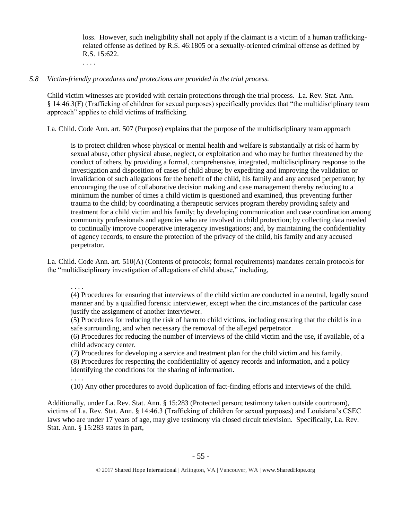loss. However, such ineligibility shall not apply if the claimant is a victim of a human traffickingrelated offense as defined by R.S. 46:1805 or a sexually-oriented criminal offense as defined by R.S. 15:622.

## *5.8 Victim-friendly procedures and protections are provided in the trial process.*

Child victim witnesses are provided with certain protections through the trial process. La. Rev. Stat. Ann. § 14:46.3(F) (Trafficking of children for sexual purposes) specifically provides that "the multidisciplinary team approach" applies to child victims of trafficking.

La. Child. Code Ann. art. 507 (Purpose) explains that the purpose of the multidisciplinary team approach

is to protect children whose physical or mental health and welfare is substantially at risk of harm by sexual abuse, other physical abuse, neglect, or exploitation and who may be further threatened by the conduct of others, by providing a formal, comprehensive, integrated, multidisciplinary response to the investigation and disposition of cases of child abuse; by expediting and improving the validation or invalidation of such allegations for the benefit of the child, his family and any accused perpetrator; by encouraging the use of collaborative decision making and case management thereby reducing to a minimum the number of times a child victim is questioned and examined, thus preventing further trauma to the child; by coordinating a therapeutic services program thereby providing safety and treatment for a child victim and his family; by developing communication and case coordination among community professionals and agencies who are involved in child protection; by collecting data needed to continually improve cooperative interagency investigations; and, by maintaining the confidentiality of agency records, to ensure the protection of the privacy of the child, his family and any accused perpetrator.

La. Child. Code Ann. art. 510(A) (Contents of protocols; formal requirements) mandates certain protocols for the "multidisciplinary investigation of allegations of child abuse," including,

. . . .

. . . .

. . . .

(4) Procedures for ensuring that interviews of the child victim are conducted in a neutral, legally sound manner and by a qualified forensic interviewer, except when the circumstances of the particular case justify the assignment of another interviewer.

(5) Procedures for reducing the risk of harm to child victims, including ensuring that the child is in a safe surrounding, and when necessary the removal of the alleged perpetrator.

(6) Procedures for reducing the number of interviews of the child victim and the use, if available, of a child advocacy center.

(7) Procedures for developing a service and treatment plan for the child victim and his family.

(8) Procedures for respecting the confidentiality of agency records and information, and a policy identifying the conditions for the sharing of information.

(10) Any other procedures to avoid duplication of fact-finding efforts and interviews of the child.

Additionally, under La. Rev. Stat. Ann. § 15:283 (Protected person; testimony taken outside courtroom), victims of La. Rev. Stat. Ann. § 14:46.3 (Trafficking of children for sexual purposes) and Louisiana's CSEC laws who are under 17 years of age, may give testimony via closed circuit television. Specifically, La. Rev. Stat. Ann. § 15:283 states in part,

<sup>© 2017</sup> Shared Hope International | Arlington, VA | Vancouver, WA | www.SharedHope.org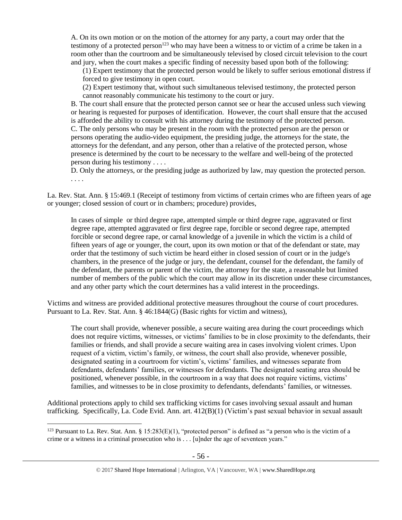A. On its own motion or on the motion of the attorney for any party, a court may order that the testimony of a protected person<sup>123</sup> who may have been a witness to or victim of a crime be taken in a room other than the courtroom and be simultaneously televised by closed circuit television to the court and jury, when the court makes a specific finding of necessity based upon both of the following:

(1) Expert testimony that the protected person would be likely to suffer serious emotional distress if forced to give testimony in open court.

(2) Expert testimony that, without such simultaneous televised testimony, the protected person cannot reasonably communicate his testimony to the court or jury.

B. The court shall ensure that the protected person cannot see or hear the accused unless such viewing or hearing is requested for purposes of identification. However, the court shall ensure that the accused is afforded the ability to consult with his attorney during the testimony of the protected person. C. The only persons who may be present in the room with the protected person are the person or persons operating the audio-video equipment, the presiding judge, the attorneys for the state, the attorneys for the defendant, and any person, other than a relative of the protected person, whose presence is determined by the court to be necessary to the welfare and well-being of the protected person during his testimony . . . .

D. Only the attorneys, or the presiding judge as authorized by law, may question the protected person. . . . .

La. Rev. Stat. Ann. § 15:469.1 (Receipt of testimony from victims of certain crimes who are fifteen years of age or younger; closed session of court or in chambers; procedure) provides,

In cases of simple or third degree rape, attempted simple or third degree rape, aggravated or first degree rape, attempted aggravated or first degree rape, forcible or second degree rape, attempted forcible or second degree rape, or carnal knowledge of a juvenile in which the victim is a child of fifteen years of age or younger, the court, upon its own motion or that of the defendant or state, may order that the testimony of such victim be heard either in closed session of court or in the judge's chambers, in the presence of the judge or jury, the defendant, counsel for the defendant, the family of the defendant, the parents or parent of the victim, the attorney for the state, a reasonable but limited number of members of the public which the court may allow in its discretion under these circumstances, and any other party which the court determines has a valid interest in the proceedings.

Victims and witness are provided additional protective measures throughout the course of court procedures. Pursuant to La. Rev. Stat. Ann. § 46:1844(G) (Basic rights for victim and witness),

The court shall provide, whenever possible, a secure waiting area during the court proceedings which does not require victims, witnesses, or victims' families to be in close proximity to the defendants, their families or friends, and shall provide a secure waiting area in cases involving violent crimes. Upon request of a victim, victim's family, or witness, the court shall also provide, whenever possible, designated seating in a courtroom for victim's, victims' families, and witnesses separate from defendants, defendants' families, or witnesses for defendants. The designated seating area should be positioned, whenever possible, in the courtroom in a way that does not require victims, victims' families, and witnesses to be in close proximity to defendants, defendants' families, or witnesses.

Additional protections apply to child sex trafficking victims for cases involving sexual assault and human trafficking. Specifically, La. Code Evid. Ann. art. 412(B)(1) (Victim's past sexual behavior in sexual assault

<sup>&</sup>lt;sup>123</sup> Pursuant to La. Rev. Stat. Ann. §  $15:283(E)(1)$ , "protected person" is defined as "a person who is the victim of a crime or a witness in a criminal prosecution who is . . . [u]nder the age of seventeen years."

<sup>© 2017</sup> Shared Hope International | Arlington, VA | Vancouver, WA | www.SharedHope.org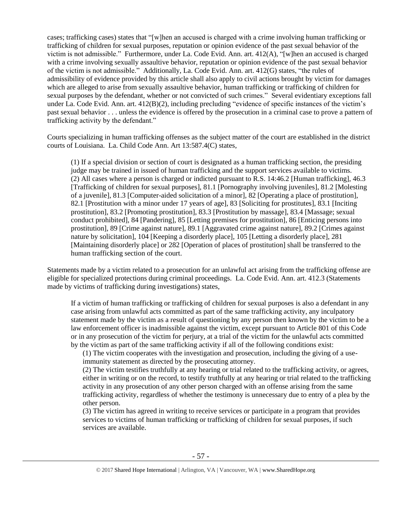cases; trafficking cases) states that "[w]hen an accused is charged with a crime involving human trafficking or trafficking of children for sexual purposes, reputation or opinion evidence of the past sexual behavior of the victim is not admissible." Furthermore, under La. Code Evid. Ann. art. 412(A), "[w]hen an accused is charged with a crime involving sexually assaultive behavior, reputation or opinion evidence of the past sexual behavior of the victim is not admissible." Additionally, La. Code Evid. Ann. art. 412(G) states, "the rules of admissibility of evidence provided by this article shall also apply to civil actions brought by victim for damages which are alleged to arise from sexually assaultive behavior, human trafficking or trafficking of children for sexual purposes by the defendant, whether or not convicted of such crimes." Several evidentiary exceptions fall under La. Code Evid. Ann. art. 412(B)(2), including precluding "evidence of specific instances of the victim's past sexual behavior . . . unless the evidence is offered by the prosecution in a criminal case to prove a pattern of trafficking activity by the defendant."

Courts specializing in human trafficking offenses as the subject matter of the court are established in the district courts of Louisiana. La. Child Code Ann. Art 13:587.4(C) states,

(1) If a special division or section of court is designated as a human trafficking section, the presiding judge may be trained in issued of human trafficking and the support services available to victims. (2) All cases where a person is charged or indicted pursuant to R.S. 14:46.2 [Human trafficking], 46.3 [Trafficking of children for sexual purposes], 81.1 [Pornography involving juveniles], 81.2 [Molesting of a juvenile], 81.3 [Computer-aided solicitation of a minor], 82 [Operating a place of prostitution], 82.1 [Prostitution with a minor under 17 years of age], 83 [Soliciting for prostitutes], 83.1 [Inciting prostitution], 83.2 [Promoting prostitution], 83.3 [Prostitution by massage], 83.4 [Massage; sexual conduct prohibited], 84 [Pandering], 85 [Letting premises for prostitution], 86 [Enticing persons into prostitution], 89 [Crime against nature], 89.1 [Aggravated crime against nature], 89.2 [Crimes against nature by solicitation], 104 [Keeping a disorderly place], 105 [Letting a disorderly place], 281 [Maintaining disorderly place] or 282 [Operation of places of prostitution] shall be transferred to the human trafficking section of the court.

Statements made by a victim related to a prosecution for an unlawful act arising from the trafficking offense are eligible for specialized protections during criminal proceedings. La. Code Evid. Ann. art. 412.3 (Statements made by victims of trafficking during investigations) states,

If a victim of human trafficking or trafficking of children for sexual purposes is also a defendant in any case arising from unlawful acts committed as part of the same trafficking activity, any inculpatory statement made by the victim as a result of questioning by any person then known by the victim to be a law enforcement officer is inadmissible against the victim, except pursuant to Article 801 of this Code or in any prosecution of the victim for perjury, at a trial of the victim for the unlawful acts committed by the victim as part of the same trafficking activity if all of the following conditions exist:

(1) The victim cooperates with the investigation and prosecution, including the giving of a useimmunity statement as directed by the prosecuting attorney.

(2) The victim testifies truthfully at any hearing or trial related to the trafficking activity, or agrees, either in writing or on the record, to testify truthfully at any hearing or trial related to the trafficking activity in any prosecution of any other person charged with an offense arising from the same trafficking activity, regardless of whether the testimony is unnecessary due to entry of a plea by the other person.

(3) The victim has agreed in writing to receive services or participate in a program that provides services to victims of human trafficking or trafficking of children for sexual purposes, if such services are available.

<sup>© 2017</sup> Shared Hope International | Arlington, VA | Vancouver, WA | www.SharedHope.org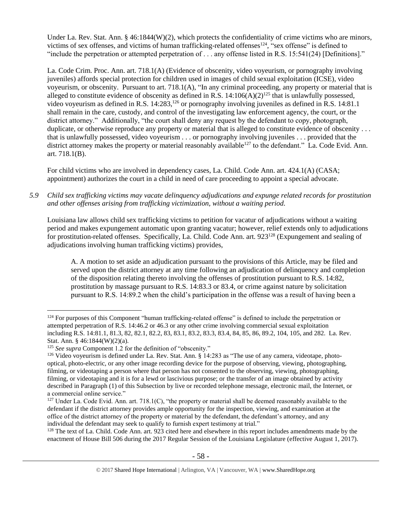Under La. Rev. Stat. Ann. § 46:1844(W)(2), which protects the confidentiality of crime victims who are minors, victims of sex offenses, and victims of human trafficking-related offenses<sup>124</sup>, "sex offense" is defined to "include the perpetration or attempted perpetration of . . . any offense listed in R.S. 15:541(24) [Definitions]."

La. Code Crim. Proc. Ann. art. 718.1(A) (Evidence of obscenity, video voyeurism, or pornography involving juveniles) affords special protection for children used in images of child sexual exploitation (ICSE), video voyeurism, or obscenity. Pursuant to art. 718.1(A), "In any criminal proceeding, any property or material that is alleged to constitute evidence of obscenity as defined in R.S.  $14:106(A)(2)^{125}$  that is unlawfully possessed, video voyeurism as defined in R.S. 14:283,<sup>126</sup> or pornography involving juveniles as defined in R.S. 14:81.1 shall remain in the care, custody, and control of the investigating law enforcement agency, the court, or the district attorney." Additionally, "the court shall deny any request by the defendant to copy, photograph, duplicate, or otherwise reproduce any property or material that is alleged to constitute evidence of obscenity ... that is unlawfully possessed, video voyeurism . . . or pornography involving juveniles . . . provided that the district attorney makes the property or material reasonably available<sup>127</sup> to the defendant." La. Code Evid. Ann. art. 718.1(B).

For child victims who are involved in dependency cases, La. Child. Code Ann. art. 424.1(A) (CASA; appointment) authorizes the court in a child in need of care proceeding to appoint a special advocate.

*5.9 Child sex trafficking victims may vacate delinquency adjudications and expunge related records for prostitution and other offenses arising from trafficking victimization, without a waiting period.*

Louisiana law allows child sex trafficking victims to petition for vacatur of adjudications without a waiting period and makes expungement automatic upon granting vacatur; however, relief extends only to adjudications for prostitution-related offenses. Specifically, La. Child. Code Ann. art. 923<sup>128</sup> (Expungement and sealing of adjudications involving human trafficking victims) provides,

A. A motion to set aside an adjudication pursuant to the provisions of this Article, may be filed and served upon the district attorney at any time following an adjudication of delinquency and completion of the disposition relating thereto involving the offenses of prostitution pursuant to R.S. 14:82, prostitution by massage pursuant to R.S. 14:83.3 or 83.4, or crime against nature by solicitation pursuant to R.S. 14:89.2 when the child's participation in the offense was a result of having been a

 $128$  The text of La. Child. Code Ann. art. 923 cited here and elsewhere in this report includes amendments made by the enactment of House Bill 506 during the 2017 Regular Session of the Louisiana Legislature (effective August 1, 2017).

 $\overline{a}$ <sup>124</sup> For purposes of this Component "human trafficking-related offense" is defined to include the perpetration or attempted perpetration of R.S. 14:46.2 or 46.3 or any other crime involving commercial sexual exploitation including R.S. 14:81.1, 81.3, 82, 82.1, 82.2, 83, 83.1, 83.2, 83.3, 83.4, 84, 85, 86, 89.2, 104, 105, and 282. La. Rev. Stat. Ann. § 46:1844(W)(2)(a).

<sup>125</sup> *See supra* Component 1.2 for the definition of "obscenity."

<sup>126</sup> Video voyeurism is defined under La. Rev. Stat. Ann. § 14:283 as "The use of any camera, videotape, photooptical, photo-electric, or any other image recording device for the purpose of observing, viewing, photographing, filming, or videotaping a person where that person has not consented to the observing, viewing, photographing, filming, or videotaping and it is for a lewd or lascivious purpose; or the transfer of an image obtained by activity described in Paragraph (1) of this Subsection by live or recorded telephone message, electronic mail, the Internet, or a commercial online service."

 $127$  Under La. Code Evid. Ann. art. 718.1(C), "the property or material shall be deemed reasonably available to the defendant if the district attorney provides ample opportunity for the inspection, viewing, and examination at the office of the district attorney of the property or material by the defendant, the defendant's attorney, and any individual the defendant may seek to qualify to furnish expert testimony at trial."

<sup>© 2017</sup> Shared Hope International | Arlington, VA | Vancouver, WA | www.SharedHope.org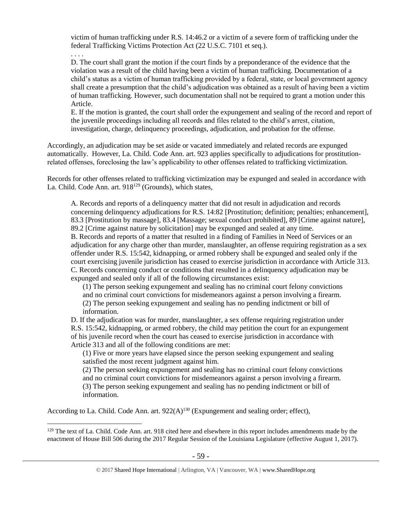victim of human trafficking under R.S. 14:46.2 or a victim of a severe form of trafficking under the federal Trafficking Victims Protection Act (22 U.S.C. 7101 et seq.).

. . . .

 $\overline{a}$ 

D. The court shall grant the motion if the court finds by a preponderance of the evidence that the violation was a result of the child having been a victim of human trafficking. Documentation of a child's status as a victim of human trafficking provided by a federal, state, or local government agency shall create a presumption that the child's adjudication was obtained as a result of having been a victim of human trafficking. However, such documentation shall not be required to grant a motion under this Article.

E. If the motion is granted, the court shall order the expungement and sealing of the record and report of the juvenile proceedings including all records and files related to the child's arrest, citation, investigation, charge, delinquency proceedings, adjudication, and probation for the offense.

Accordingly, an adjudication may be set aside or vacated immediately and related records are expunged automatically. However, La. Child. Code Ann. art. 923 applies specifically to adjudications for prostitutionrelated offenses, foreclosing the law's applicability to other offenses related to trafficking victimization.

Records for other offenses related to trafficking victimization may be expunged and sealed in accordance with La. Child. Code Ann. art.  $918^{129}$  (Grounds), which states,

A. Records and reports of a delinquency matter that did not result in adjudication and records concerning delinquency adjudications for R.S. 14:82 [Prostitution; definition; penalties; enhancement], 83.3 [Prostitution by massage], 83.4 [Massage; sexual conduct prohibited], 89 [Crime against nature], 89.2 [Crime against nature by solicitation] may be expunged and sealed at any time.

B. Records and reports of a matter that resulted in a finding of Families in Need of Services or an adjudication for any charge other than murder, manslaughter, an offense requiring registration as a sex offender under R.S. 15:542, kidnapping, or armed robbery shall be expunged and sealed only if the court exercising juvenile jurisdiction has ceased to exercise jurisdiction in accordance with Article 313. C. Records concerning conduct or conditions that resulted in a delinquency adjudication may be expunged and sealed only if all of the following circumstances exist:

(1) The person seeking expungement and sealing has no criminal court felony convictions and no criminal court convictions for misdemeanors against a person involving a firearm. (2) The person seeking expungement and sealing has no pending indictment or bill of information.

D. If the adjudication was for murder, manslaughter, a sex offense requiring registration under R.S. 15:542, kidnapping, or armed robbery, the child may petition the court for an expungement of his juvenile record when the court has ceased to exercise jurisdiction in accordance with Article 313 and all of the following conditions are met:

(1) Five or more years have elapsed since the person seeking expungement and sealing satisfied the most recent judgment against him.

(2) The person seeking expungement and sealing has no criminal court felony convictions and no criminal court convictions for misdemeanors against a person involving a firearm. (3) The person seeking expungement and sealing has no pending indictment or bill of information.

According to La. Child. Code Ann. art.  $922(A)^{130}$  (Expungement and sealing order; effect),

<sup>129</sup> The text of La. Child. Code Ann. art. 918 cited here and elsewhere in this report includes amendments made by the enactment of House Bill 506 during the 2017 Regular Session of the Louisiana Legislature (effective August 1, 2017).

<sup>© 2017</sup> Shared Hope International | Arlington, VA | Vancouver, WA | www.SharedHope.org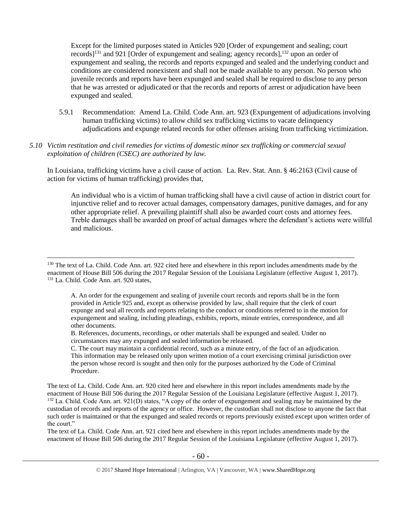Except for the limited purposes stated in Articles 920 [Order of expungement and sealing; court records]<sup>131</sup> and 921 [Order of expungement and sealing; agency records],<sup>132</sup> upon an order of expungement and sealing, the records and reports expunged and sealed and the underlying conduct and conditions are considered nonexistent and shall not be made available to any person. No person who juvenile records and reports have been expunged and sealed shall be required to disclose to any person that he was arrested or adjudicated or that the records and reports of arrest or adjudication have been expunged and sealed.

- 5.9.1 Recommendation: Amend La. Child. Code Ann. art. 923 (Expungement of adjudications involving human trafficking victims) to allow child sex trafficking victims to vacate delinquency adjudications and expunge related records for other offenses arising from trafficking victimization.
- *5.10 Victim restitution and civil remedies for victims of domestic minor sex trafficking or commercial sexual exploitation of children (CSEC) are authorized by law.*

In Louisiana, trafficking victims have a civil cause of action. La. Rev. Stat. Ann. § 46:2163 (Civil cause of action for victims of human trafficking) provides that,

An individual who is a victim of human trafficking shall have a civil cause of action in district court for injunctive relief and to recover actual damages, compensatory damages, punitive damages, and for any other appropriate relief. A prevailing plaintiff shall also be awarded court costs and attorney fees. Treble damages shall be awarded on proof of actual damages where the defendant's actions were willful and malicious.

 $\overline{a}$ 

A. An order for the expungement and sealing of juvenile court records and reports shall be in the form provided in Article 925 and, except as otherwise provided by law, shall require that the clerk of court expunge and seal all records and reports relating to the conduct or conditions referred to in the motion for expungement and sealing, including pleadings, exhibits, reports, minute entries, correspondence, and all other documents.

B. References, documents, recordings, or other materials shall be expunged and sealed. Under no circumstances may any expunged and sealed information be released.

C. The court may maintain a confidential record, such as a minute entry, of the fact of an adjudication. This information may be released only upon written motion of a court exercising criminal jurisdiction over the person whose record is sought and then only for the purposes authorized by the Code of Criminal Procedure.

The text of La. Child. Code Ann. art. 920 cited here and elsewhere in this report includes amendments made by the enactment of House Bill 506 during the 2017 Regular Session of the Louisiana Legislature (effective August 1, 2017). <sup>132</sup> La. Child. Code Ann. art. 921(D) states, "A copy of the order of expungement and sealing may be maintained by the custodian of records and reports of the agency or office. However, the custodian shall not disclose to anyone the fact that such order is maintained or that the expunged and sealed records or reports previously existed except upon written order of the court."

The text of La. Child. Code Ann. art. 921 cited here and elsewhere in this report includes amendments made by the enactment of House Bill 506 during the 2017 Regular Session of the Louisiana Legislature (effective August 1, 2017).

<sup>&</sup>lt;sup>130</sup> The text of La. Child. Code Ann. art. 922 cited here and elsewhere in this report includes amendments made by the enactment of House Bill 506 during the 2017 Regular Session of the Louisiana Legislature (effective August 1, 2017). <sup>131</sup> La. Child. Code Ann. art. 920 states,

<sup>© 2017</sup> Shared Hope International | Arlington, VA | Vancouver, WA | www.SharedHope.org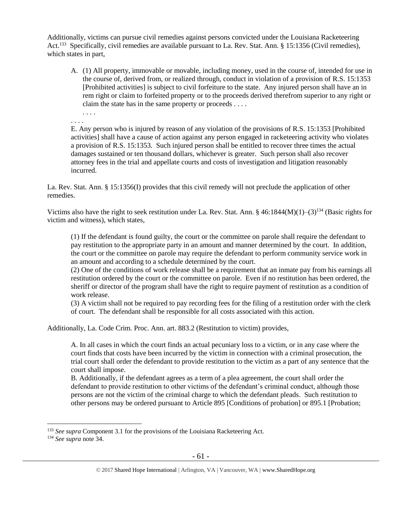Additionally, victims can pursue civil remedies against persons convicted under the Louisiana Racketeering Act.<sup>133</sup> Specifically, civil remedies are available pursuant to La. Rev. Stat. Ann. § 15:1356 (Civil remedies), which states in part,

- A. (1) All property, immovable or movable, including money, used in the course of, intended for use in the course of, derived from, or realized through, conduct in violation of a provision of [R.S. 15:1353](https://www.lexis.com/research/buttonTFLink?_m=adbaaf1e18f2b659dc9b502e460590c9&_xfercite=%3ccite%20cc%3d%22USA%22%3e%3c%21%5bCDATA%5bLa.%20R.S.%2015%3a1356%5d%5d%3e%3c%2fcite%3e&_butType=4&_butStat=0&_butNum=2&_butInline=1&_butinfo=LACODE%2015%3a1353&_fmtstr=FULL&docnum=1&_startdoc=1&wchp=dGLbVzV-zSkAW&_md5=1d254099e34f73c122bf836a1bcd50ac) [Prohibited activities] is subject to civil forfeiture to the state. Any injured person shall have an in rem right or claim to forfeited property or to the proceeds derived therefrom superior to any right or claim the state has in the same property or proceeds . . . .
- . . . . . . . .

E. Any person who is injured by reason of any violation of the provisions of R.S. 15:1353 [Prohibited activities] shall have a cause of action against any person engaged in racketeering activity who violates a provision of R.S. 15:1353. Such injured person shall be entitled to recover three times the actual damages sustained or ten thousand dollars, whichever is greater. Such person shall also recover attorney fees in the trial and appellate courts and costs of investigation and litigation reasonably incurred.

La. Rev. Stat. Ann. § 15:1356(I) provides that this civil remedy will not preclude the application of other remedies.

Victims also have the right to seek restitution under La. Rev. Stat. Ann. § 46:1844(M)(1)–(3)<sup>134</sup> (Basic rights for victim and witness), which states,

(1) If the defendant is found guilty, the court or the committee on parole shall require the defendant to pay restitution to the appropriate party in an amount and manner determined by the court. In addition, the court or the committee on parole may require the defendant to perform community service work in an amount and according to a schedule determined by the court.

(2) One of the conditions of work release shall be a requirement that an inmate pay from his earnings all restitution ordered by the court or the committee on parole. Even if no restitution has been ordered, the sheriff or director of the program shall have the right to require payment of restitution as a condition of work release.

(3) A victim shall not be required to pay recording fees for the filing of a restitution order with the clerk of court. The defendant shall be responsible for all costs associated with this action.

Additionally, La. Code Crim. Proc. Ann. art. 883.2 (Restitution to victim) provides,

A. In all cases in which the court finds an actual pecuniary loss to a victim, or in any case where the court finds that costs have been incurred by the victim in connection with a criminal prosecution, the trial court shall order the defendant to provide restitution to the victim as a part of any sentence that the court shall impose.

B. Additionally, if the defendant agrees as a term of a plea agreement, the court shall order the defendant to provide restitution to other victims of the defendant's criminal conduct, although those persons are not the victim of the criminal charge to which the defendant pleads. Such restitution to other persons may be ordered pursuant to Article 895 [Conditions of probation] or 895.1 [Probation;

 $\overline{a}$ <sup>133</sup> *See supra* Component 3.1 for the provisions of the Louisiana Racketeering Act.

<sup>134</sup> *See supra* not[e 34.](#page-24-0)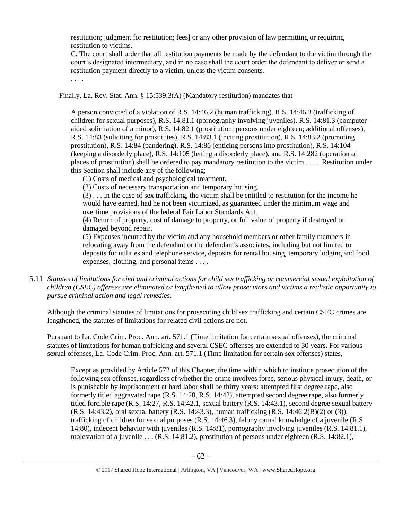restitution; judgment for restitution; fees] or any other provision of law permitting or requiring restitution to victims.

C. The court shall order that all restitution payments be made by the defendant to the victim through the court's designated intermediary, and in no case shall the court order the defendant to deliver or send a restitution payment directly to a victim, unless the victim consents.

. . . .

Finally, La. Rev. Stat. Ann. § 15:539.3(A) (Mandatory restitution) mandates that

A person convicted of a violation of R.S. 14:46.2 (human trafficking). R.S. 14:46.3 (trafficking of children for sexual purposes), R.S. 14:81.1 (pornography involving juveniles), R.S. 14:81.3 (computeraided solicitation of a minor), R.S. 14:82.1 (prostitution; persons under eighteen; additional offenses), R.S. 14:83 (soliciting for prostitutes), R.S. 14:83.1 (inciting prostitution), R.S. 14:83.2 (promoting prostitution), R.S. 14:84 (pandering), R.S. 14:86 (enticing persons into prostitution), R.S. 14:104 (keeping a disorderly place), R.S. 14:105 (letting a disorderly place), and R.S. 14:282 (operation of places of prostitution) shall be ordered to pay mandatory restitution to the victim . . . . Restitution under this Section shall include any of the following;

(1) Costs of medical and psychological treatment.

(2) Costs of necessary transportation and temporary housing.

(3) . . . In the case of sex trafficking, the victim shall be entitled to restitution for the income he would have earned, had he not been victimized, as guaranteed under the minimum wage and overtime provisions of the federal Fair Labor Standards Act.

(4) Return of property, cost of damage to property, or full value of property if destroyed or damaged beyond repair.

(5) Expenses incurred by the victim and any household members or other family members in relocating away from the defendant or the defendant's associates, including but not limited to deposits for utilities and telephone service, deposits for rental housing, temporary lodging and food expenses, clothing, and personal items . . . .

5.11 *Statutes of limitations for civil and criminal actions for child sex trafficking or commercial sexual exploitation of children (CSEC) offenses are eliminated or lengthened to allow prosecutors and victims a realistic opportunity to pursue criminal action and legal remedies.*

Although the criminal statutes of limitations for prosecuting child sex trafficking and certain CSEC crimes are lengthened, the statutes of limitations for related civil actions are not.

Pursuant to La. Code Crim. Proc. Ann. art. 571.1 (Time limitation for certain sexual offenses), the criminal statutes of limitations for human trafficking and several CSEC offenses are extended to 30 years. For various sexual offenses, La. Code Crim. Proc. Ann. art. 571.1 (Time limitation for certain sex offenses) states,

Except as provided by Article 572 of this Chapter, the time within which to institute prosecution of the following sex offenses, regardless of whether the crime involves force, serious physical injury, death, or is punishable by imprisonment at hard labor shall be thirty years: attempted first degree rape, also formerly titled aggravated rape (R.S. 14:28, R.S. 14:42), attempted second degree rape, also formerly titled forcible rape (R.S. 14:27, R.S. 14:42.1, sexual battery (R.S. 14:43.1), second degree sexual battery (R.S. 14:43.2), oral sexual battery (R.S. 14:43.3), human trafficking (R.S. 14:46:2(B)(2) or (3)), trafficking of children for sexual purposes (R.S. 14:46.3), felony carnal knowledge of a juvenile (R.S. 14:80), indecent behavior with juveniles (R.S. 14:81), pornography involving juveniles (R.S. 14:81.1), molestation of a juvenile . . . (R.S. 14:81.2), prostitution of persons under eighteen (R.S. 14:82.1),

<sup>© 2017</sup> Shared Hope International | Arlington, VA | Vancouver, WA | www.SharedHope.org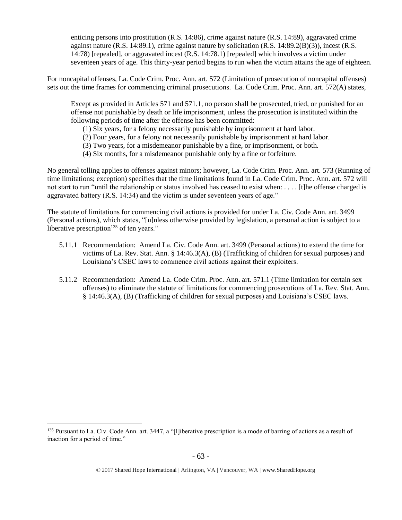enticing persons into prostitution (R.S. 14:86), crime against nature (R.S. 14:89), aggravated crime against nature (R.S. 14:89.1), crime against nature by solicitation (R.S. 14:89.2(B)(3)), incest (R.S. 14:78) [repealed], or aggravated incest (R.S. 14:78.1) [repealed] which involves a victim under seventeen years of age. This thirty-year period begins to run when the victim attains the age of eighteen.

For noncapital offenses, La. Code Crim. Proc. Ann. art. 572 (Limitation of prosecution of noncapital offenses) sets out the time frames for commencing criminal prosecutions. La. Code Crim. Proc. Ann. art. 572(A) states,

Except as provided in Articles 571 and 571.1, no person shall be prosecuted, tried, or punished for an offense not punishable by death or life imprisonment, unless the prosecution is instituted within the following periods of time after the offense has been committed:

- (1) Six years, for a felony necessarily punishable by imprisonment at hard labor.
- (2) Four years, for a felony not necessarily punishable by imprisonment at hard labor.
- (3) Two years, for a misdemeanor punishable by a fine, or imprisonment, or both.
- (4) Six months, for a misdemeanor punishable only by a fine or forfeiture.

No general tolling applies to offenses against minors; however, La. Code Crim. Proc. Ann. art. 573 (Running of time limitations; exception) specifies that the time limitations found in La. Code Crim. Proc. Ann. art. 572 will not start to run "until the relationship or status involved has ceased to exist when: . . . . [t]he offense charged is aggravated battery (R.S. 14:34) and the victim is under seventeen years of age."

The statute of limitations for commencing civil actions is provided for under La. Civ. Code Ann. art. 3499 (Personal actions), which states, "[u]nless otherwise provided by legislation, a personal action is subject to a liberative prescription $135$  of ten years."

- 5.11.1 Recommendation: Amend La. Civ. Code Ann. art. 3499 (Personal actions) to extend the time for victims of La. Rev. Stat. Ann. § 14:46.3(A), (B) (Trafficking of children for sexual purposes) and Louisiana's CSEC laws to commence civil actions against their exploiters.
- 5.11.2 Recommendation: Amend La. Code Crim. Proc. Ann. art. 571.1 (Time limitation for certain sex offenses) to eliminate the statute of limitations for commencing prosecutions of La. Rev. Stat. Ann. § 14:46.3(A), (B) (Trafficking of children for sexual purposes) and Louisiana's CSEC laws.

<sup>&</sup>lt;sup>135</sup> Pursuant to La. Civ. Code Ann. art. 3447, a "[l]iberative prescription is a mode of barring of actions as a result of inaction for a period of time."

<sup>© 2017</sup> Shared Hope International | Arlington, VA | Vancouver, WA | www.SharedHope.org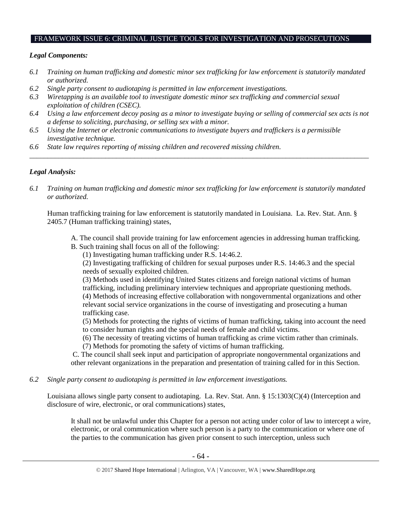#### FRAMEWORK ISSUE 6: CRIMINAL JUSTICE TOOLS FOR INVESTIGATION AND PROSECUTIONS

## *Legal Components:*

- *6.1 Training on human trafficking and domestic minor sex trafficking for law enforcement is statutorily mandated or authorized.*
- *6.2 Single party consent to audiotaping is permitted in law enforcement investigations.*
- *6.3 Wiretapping is an available tool to investigate domestic minor sex trafficking and commercial sexual exploitation of children (CSEC).*
- *6.4 Using a law enforcement decoy posing as a minor to investigate buying or selling of commercial sex acts is not a defense to soliciting, purchasing, or selling sex with a minor.*
- *6.5 Using the Internet or electronic communications to investigate buyers and traffickers is a permissible investigative technique.*
- *6.6 State law requires reporting of missing children and recovered missing children.*

## *Legal Analysis:*

*6.1 Training on human trafficking and domestic minor sex trafficking for law enforcement is statutorily mandated or authorized.*

*\_\_\_\_\_\_\_\_\_\_\_\_\_\_\_\_\_\_\_\_\_\_\_\_\_\_\_\_\_\_\_\_\_\_\_\_\_\_\_\_\_\_\_\_\_\_\_\_\_\_\_\_\_\_\_\_\_\_\_\_\_\_\_\_\_\_\_\_\_\_\_\_\_\_\_\_\_\_\_\_\_\_\_\_\_\_\_\_\_\_\_\_\_\_*

Human trafficking training for law enforcement is statutorily mandated in Louisiana. La. Rev. Stat. Ann. § 2405.7 (Human trafficking training) states,

- A. The council shall provide training for law enforcement agencies in addressing human trafficking.
- B. Such training shall focus on all of the following:

(1) Investigating human trafficking under R.S. 14:46.2.

(2) Investigating trafficking of children for sexual purposes under R.S. 14:46.3 and the special needs of sexually exploited children.

(3) Methods used in identifying United States citizens and foreign national victims of human trafficking, including preliminary interview techniques and appropriate questioning methods. (4) Methods of increasing effective collaboration with nongovernmental organizations and other relevant social service organizations in the course of investigating and prosecuting a human trafficking case.

(5) Methods for protecting the rights of victims of human trafficking, taking into account the need to consider human rights and the special needs of female and child victims.

(6) The necessity of treating victims of human trafficking as crime victim rather than criminals.

(7) Methods for promoting the safety of victims of human trafficking.

C. The council shall seek input and participation of appropriate nongovernmental organizations and other relevant organizations in the preparation and presentation of training called for in this Section.

*6.2 Single party consent to audiotaping is permitted in law enforcement investigations.*

Louisiana allows single party consent to audiotaping. La. Rev. Stat. Ann. § 15:1303(C)(4) (Interception and disclosure of wire, electronic, or oral communications) states,

It shall not be unlawful under this Chapter for a person not acting under color of law to intercept a wire, electronic, or oral communication where such person is a party to the communication or where one of the parties to the communication has given prior consent to such interception, unless such

<sup>© 2017</sup> Shared Hope International | Arlington, VA | Vancouver, WA | www.SharedHope.org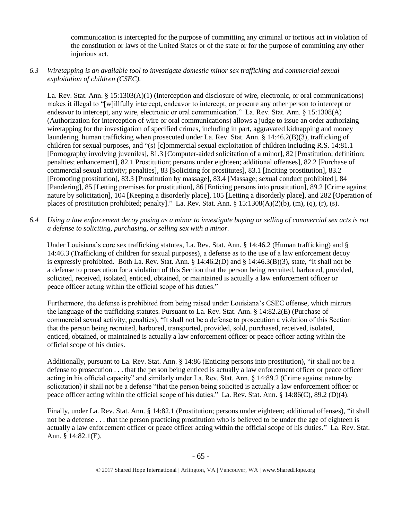communication is intercepted for the purpose of committing any criminal or tortious act in violation of the constitution or laws of the United States or of the state or for the purpose of committing any other injurious act.

## *6.3 Wiretapping is an available tool to investigate domestic minor sex trafficking and commercial sexual exploitation of children (CSEC).*

La. Rev. Stat. Ann. § 15:1303(A)(1) (Interception and disclosure of wire, electronic, or oral communications) makes it illegal to "[w]illfully intercept, endeavor to intercept, or procure any other person to intercept or endeavor to intercept, any wire, electronic or oral communication." La. Rev. Stat. Ann. § 15:1308(A) (Authorization for interception of wire or oral communications) allows a judge to issue an order authorizing wiretapping for the investigation of specified crimes, including in part, aggravated kidnapping and money laundering, human trafficking when prosecuted under La. Rev. Stat. Ann. § 14:46.2(B)(3), trafficking of children for sexual purposes, and "(s) [c]ommercial sexual exploitation of children including R.S. 14:81.1 [Pornography involving juveniles], 81.3 [Computer-aided solicitation of a minor], 82 [Prostitution; definition; penalties; enhancement], 82.1 Prostitution; persons under eighteen; additional offenses], 82.2 [Purchase of commercial sexual activity; penalties], 83 [Soliciting for prostitutes], 83.1 [Inciting prostitution], 83.2 [Promoting prostitution], 83.3 [Prostitution by massage], 83.4 [Massage; sexual conduct prohibited], 84 [Pandering], 85 [Letting premises for prostitution], 86 [Enticing persons into prostitution], 89.2 [Crime against nature by solicitation], 104 [Keeping a disorderly place], 105 [Letting a disorderly place], and 282 [Operation of places of prostitution prohibited; penalty]." La. Rev. Stat. Ann.  $\S$  15:1308(A)(2)(b), (m), (q), (r), (s).

*6.4 Using a law enforcement decoy posing as a minor to investigate buying or selling of commercial sex acts is not a defense to soliciting, purchasing, or selling sex with a minor.*

Under Louisiana's core sex trafficking statutes, La. Rev. Stat. Ann. § 14:46.2 (Human trafficking) and § 14:46.3 (Trafficking of children for sexual purposes), a defense as to the use of a law enforcement decoy is expressly prohibited. Both La. Rev. Stat. Ann. § 14:46.2(D) and § 14:46.3(B)(3), state, "It shall not be a defense to prosecution for a violation of this Section that the person being recruited, harbored, provided, solicited, received, isolated, enticed, obtained, or maintained is actually a law enforcement officer or peace officer acting within the official scope of his duties."

Furthermore, the defense is prohibited from being raised under Louisiana's CSEC offense, which mirrors the language of the trafficking statutes. Pursuant to La. Rev. Stat. Ann. § 14:82.2(E) (Purchase of commercial sexual activity; penalties), "It shall not be a defense to prosecution a violation of this Section that the person being recruited, harbored, transported, provided, sold, purchased, received, isolated, enticed, obtained, or maintained is actually a law enforcement officer or peace officer acting within the official scope of his duties.

Additionally, pursuant to La. Rev. Stat. Ann. § 14:86 (Enticing persons into prostitution), "it shall not be a defense to prosecution . . . that the person being enticed is actually a law enforcement officer or peace officer acting in his official capacity" and similarly under La. Rev. Stat. Ann. § 14:89.2 (Crime against nature by solicitation) it shall not be a defense "that the person being solicited is actually a law enforcement officer or peace officer acting within the official scope of his duties." La. Rev. Stat. Ann. § 14:86(C), 89.2 (D)(4).

Finally, under La. Rev. Stat. Ann. § 14:82.1 (Prostitution; persons under eighteen; additional offenses), "it shall not be a defense . . . that the person practicing prostitution who is believed to be under the age of eighteen is actually a law enforcement officer or peace officer acting within the official scope of his duties." La. Rev. Stat. Ann. § 14:82.1(E).

<sup>© 2017</sup> Shared Hope International | Arlington, VA | Vancouver, WA | www.SharedHope.org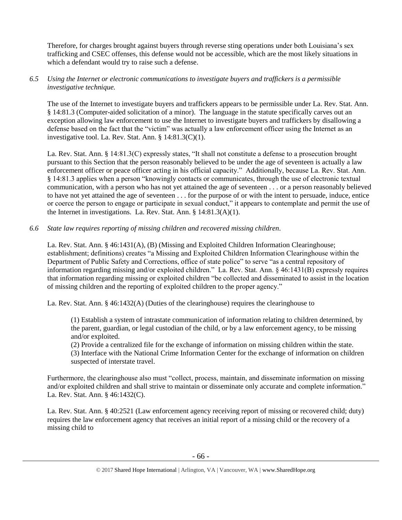Therefore, for charges brought against buyers through reverse sting operations under both Louisiana's sex trafficking and CSEC offenses, this defense would not be accessible, which are the most likely situations in which a defendant would try to raise such a defense.

## *6.5 Using the Internet or electronic communications to investigate buyers and traffickers is a permissible investigative technique.*

The use of the Internet to investigate buyers and traffickers appears to be permissible under La. Rev. Stat. Ann. § 14:81.3 (Computer-aided solicitation of a minor). The language in the statute specifically carves out an exception allowing law enforcement to use the Internet to investigate buyers and traffickers by disallowing a defense based on the fact that the "victim" was actually a law enforcement officer using the Internet as an investigative tool. La. Rev. Stat. Ann. § 14:81.3(C)(1).

La. Rev. Stat. Ann. § 14:81.3(C) expressly states, "It shall not constitute a defense to a prosecution brought pursuant to this Section that the person reasonably believed to be under the age of seventeen is actually a law enforcement officer or peace officer acting in his official capacity." Additionally, because La. Rev. Stat. Ann. § 14:81.3 applies when a person "knowingly contacts or communicates, through the use of electronic textual communication, with a person who has not yet attained the age of seventeen . . . or a person reasonably believed to have not yet attained the age of seventeen . . . for the purpose of or with the intent to persuade, induce, entice or coerce the person to engage or participate in sexual conduct," it appears to contemplate and permit the use of the Internet in investigations. La. Rev. Stat. Ann. § 14:81.3(A)(1).

## *6.6 State law requires reporting of missing children and recovered missing children.*

La. Rev. Stat. Ann. § 46:1431(A), (B) (Missing and Exploited Children Information Clearinghouse; establishment; definitions) creates "a Missing and Exploited Children Information Clearinghouse within the Department of Public Safety and Corrections, office of state police" to serve "as a central repository of information regarding missing and/or exploited children." La. Rev. Stat. Ann. § 46:1431(B) expressly requires that information regarding missing or exploited children "be collected and disseminated to assist in the location of missing children and the reporting of exploited children to the proper agency."

La. Rev. Stat. Ann. § 46:1432(A) (Duties of the clearinghouse) requires the clearinghouse to

(1) Establish a system of intrastate communication of information relating to children determined, by the parent, guardian, or legal custodian of the child, or by a law enforcement agency, to be missing and/or exploited.

(2) Provide a centralized file for the exchange of information on missing children within the state.

(3) Interface with the National Crime Information Center for the exchange of information on children suspected of interstate travel.

Furthermore, the clearinghouse also must "collect, process, maintain, and disseminate information on missing and/or exploited children and shall strive to maintain or disseminate only accurate and complete information." La. Rev. Stat. Ann. § 46:1432(C).

La. Rev. Stat. Ann. § 40:2521 (Law enforcement agency receiving report of missing or recovered child; duty) requires the law enforcement agency that receives an initial report of a missing child or the recovery of a missing child to

<sup>© 2017</sup> Shared Hope International | Arlington, VA | Vancouver, WA | www.SharedHope.org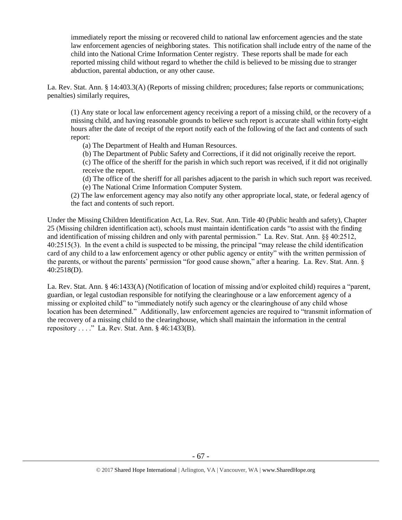immediately report the missing or recovered child to national law enforcement agencies and the state law enforcement agencies of neighboring states. This notification shall include entry of the name of the child into the National Crime Information Center registry. These reports shall be made for each reported missing child without regard to whether the child is believed to be missing due to stranger abduction, parental abduction, or any other cause.

La. Rev. Stat. Ann. § 14:403.3(A) (Reports of missing children; procedures; false reports or communications; penalties) similarly requires,

(1) Any state or local law enforcement agency receiving a report of a missing child, or the recovery of a missing child, and having reasonable grounds to believe such report is accurate shall within forty-eight hours after the date of receipt of the report notify each of the following of the fact and contents of such report:

- (a) The Department of Health and Human Resources.
- (b) The Department of Public Safety and Corrections, if it did not originally receive the report.

(c) The office of the sheriff for the parish in which such report was received, if it did not originally receive the report.

(d) The office of the sheriff for all parishes adjacent to the parish in which such report was received. (e) The National Crime Information Computer System.

(2) The law enforcement agency may also notify any other appropriate local, state, or federal agency of the fact and contents of such report.

Under the Missing Children Identification Act, La. Rev. Stat. Ann. Title 40 (Public health and safety), Chapter 25 (Missing children identification act), schools must maintain identification cards "to assist with the finding and identification of missing children and only with parental permission." La. Rev. Stat. Ann. §§ 40:2512, 40:2515(3). In the event a child is suspected to be missing, the principal "may release the child identification card of any child to a law enforcement agency or other public agency or entity" with the written permission of the parents, or without the parents' permission "for good cause shown," after a hearing. La. Rev. Stat. Ann. § 40:2518(D).

La. Rev. Stat. Ann. § 46:1433(A) (Notification of location of missing and/or exploited child) requires a "parent, guardian, or legal custodian responsible for notifying the clearinghouse or a law enforcement agency of a missing or exploited child" to "immediately notify such agency or the clearinghouse of any child whose location has been determined." Additionally, law enforcement agencies are required to "transmit information of the recovery of a missing child to the clearinghouse, which shall maintain the information in the central repository . . . ." La. Rev. Stat. Ann. § 46:1433(B).